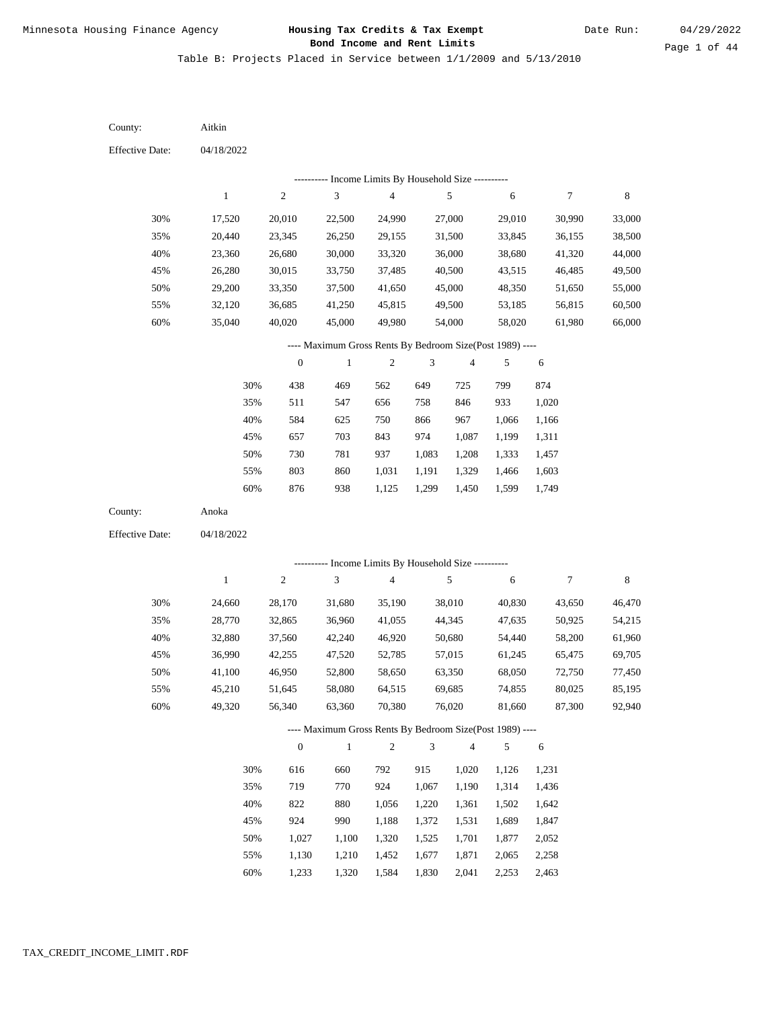Table B: Projects Placed in Service between 1/1/2009 and 5/13/2010

04/18/2022 04/18/2022 Aitkin Anoka 30% 35% 40% 45% 50% 55% 60% 30% 35% 40% 45% 50% 55% 60% 17,520 20,440 23,360 26,280 29,200 32,120 35,040 24,660 28,770 32,880 36,990 41,100 45,210 49,320 20,010 23,345 26,680 30,015 33,350 36,685 40,020 28,170 32,865 37,560 42,255 46,950 51,645 56,340 22,500 26,250 30,000 33,750 37,500 41,250 45,000 31,680 36,960 42,240 47,520 52,800 58,080 63,360 24,990 29,155 33,320 37,485 41,650 45,815 49,980 35,190 41,055 46,920 52,785 58,650 64,515 70,380 27,000 31,500 36,000 40,500 45,000 49,500 54,000 38,010 44,345 50,680 57,015 63,350 69,685 76,020 29,010 33,845 38,680 43,515 48,350 53,185 58,020 40,830 47,635 54,440 61,245 68,050 74,855 81,660 30,990 36,155 41,320 46,485 51,650 56,815 61,980 43,650 50,925 58,200 65,475 72,750 80,025 87,300 33,000 38,500 44,000 49,500 55,000 60,500 66,000 46,470 54,215 61,960 69,705 77,450 85,195 92,940 438 511 584 657 730 803 876 616 719 822 924 1,027 1,130 1,233 469 547 625 703 781 860 938 660 770 880 990 1,100 1,210 1,320 562 656 750 843 937 1,031 1,125 792 924 1,056 1,188 1,320 1,452 1,584 649 758 866 974 1,083 1,191 1,299 915 1,067 1,220 1,372 1,525 1,677 1,830 725 846 967 1,087 1,208 1,329 1,450 1,020 1,190 1,361 1,531 1,701 1,871 2,041 799 933 1,066 1,199 1,333 1,466 1,599 1,126 1,314 1,502 1,689 1,877 2,065 2,253 874 1,020 1,166 1,311 1,457 1,603 1,749 1,231 1,436 1,642 1,847 2,052 2,258 2,463 County: County: Effective Date: Effective Date: 1 1 2 2 3 3 4 4 5 5 6 6 7 7 8 8 0 0 1 1 2 2 3 3 4 4 5 5 6 6 ---------- Income Limits By Household Size ---------- ---------- Income Limits By Household Size ---------- ---- Maximum Gross Rents By Bedroom Size(Post 1989) ---- ---- Maximum Gross Rents By Bedroom Size(Post 1989) ---- 30% 35% 40% 45% 50% 55% 60% 30% 35% 40% 45% 50% 55% 60%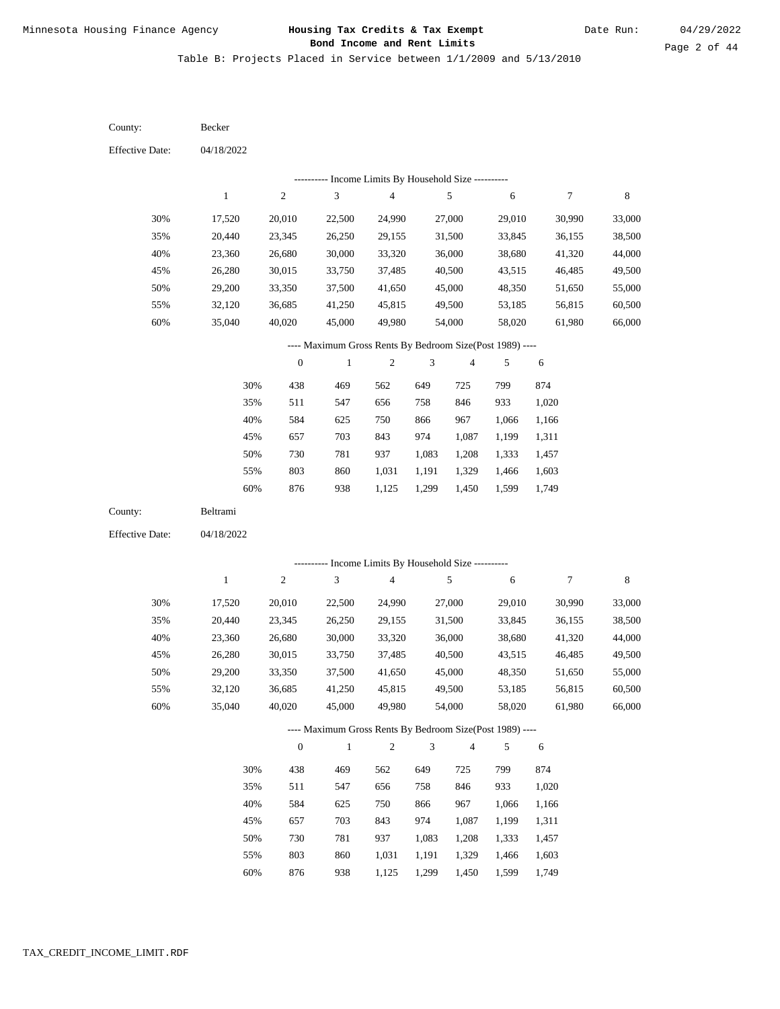Table B: Projects Placed in Service between 1/1/2009 and 5/13/2010

04/18/2022 04/18/2022 Becker Beltrami 30% 35% 40% 45% 50% 55% 60% 30% 35% 40% 45% 50% 55% 60% 17,520 20,440 23,360 26,280 29,200 32,120 35,040 17,520 20,440 23,360 26,280 29,200 32,120 35,040 20,010 23,345 26,680 30,015 33,350 36,685 40,020 20,010 23,345 26,680 30,015 33,350 36,685 40,020 22,500 26,250 30,000 33,750 37,500 41,250 45,000 22,500 26,250 30,000 33,750 37,500 41,250 45,000 24,990 29,155 33,320 37,485 41,650 45,815 49,980 24,990 29,155 33,320 37,485 41,650 45,815 49,980 27,000 31,500 36,000 40,500 45,000 49,500 54,000 27,000 31,500 36,000 40,500 45,000 49,500 54,000 29,010 33,845 38,680 43,515 48,350 53,185 58,020 29,010 33,845 38,680 43,515 48,350 53,185 58,020 30,990 36,155 41,320 46,485 51,650 56,815 61,980 30,990 36,155 41,320 46,485 51,650 56,815 61,980 33,000 38,500 44,000 49,500 55,000 60,500 66,000 33,000 38,500 44,000 49,500 55,000 60,500 66,000 438 511 584 657 730 803 876 438 511 584 657 730 803 876 469 547 625 703 781 860 938 469 547 625 703 781 860 938 562 656 750 843 937 1,031 1,125 562 656 750 843 937 1,031 1,125 649 758 866 974 1,083 1,191 1,299 649 758 866 974 1,083 1,191 1,299 725 846 967 1,087 1,208 1,329 1,450 725 846 967 1,087 1,208 1,329 1,450 799 933 1,066 1,199 1,333 1,466 1,599 799 933 1,066 1,199 1,333 1,466 1,599 874 1,020 1,166 1,311 1,457 1,603 1,749 874 1,020 1,166 1,311 1,457 1,603 1,749 County: County: Effective Date: Effective Date: 1 1 2 2 3 3 4 4 5 5 6 6 7 7 8 8 0 0 1 1 2 2 3 3 4 4 5 5 6 6 ---------- Income Limits By Household Size ---------- ---------- Income Limits By Household Size ---------- ---- Maximum Gross Rents By Bedroom Size(Post 1989) ---- ---- Maximum Gross Rents By Bedroom Size(Post 1989) ---- 30% 35% 40% 45% 50% 55% 60% 30% 35% 40% 45% 50% 55% 60%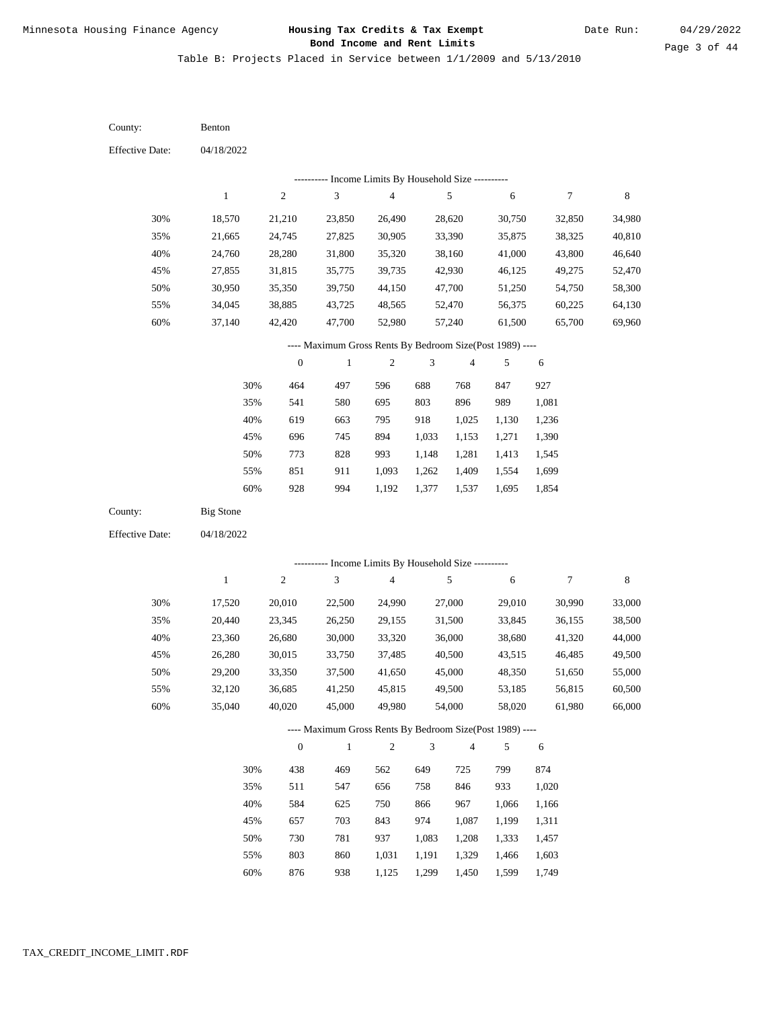Table B: Projects Placed in Service between 1/1/2009 and 5/13/2010

04/18/2022 04/18/2022 Benton Big Stone 30% 35% 40% 45% 50% 55% 60% 30% 35% 40% 45% 50% 55% 60% 18,570 21,665 24,760 27,855 30,950 34,045 37,140 17,520 20,440 23,360 26,280 29,200 32,120 35,040 21,210 24,745 28,280 31,815 35,350 38,885 42,420 20,010 23,345 26,680 30,015 33,350 36,685 40,020 23,850 27,825 31,800 35,775 39,750 43,725 47,700 22,500 26,250 30,000 33,750 37,500 41,250 45,000 26,490 30,905 35,320 39,735 44,150 48,565 52,980 24,990 29,155 33,320 37,485 41,650 45,815 49,980 28,620 33,390 38,160 42,930 47,700 52,470 57,240 27,000 31,500 36,000 40,500 45,000 49,500 54,000 30,750 35,875 41,000 46,125 51,250 56,375 61,500 29,010 33,845 38,680 43,515 48,350 53,185 58,020 32,850 38,325 43,800 49,275 54,750 60,225 65,700 30,990 36,155 41,320 46,485 51,650 56,815 61,980 34,980 40,810 46,640 52,470 58,300 64,130 69,960 33,000 38,500 44,000 49,500 55,000 60,500 66,000 464 541 619 696 773 851 928 438 511 584 657 730 803 876 497 580 663 745 828 911 994 469 547 625 703 781 860 938 596 695 795 894 993 1,093 1,192 562 656 750 843 937 1,031 1,125 688 803 918 1,033 1,148 1,262 1,377 649 758 866 974 1,083 1,191 1,299 768 896 1,025 1,153 1,281 1,409 1,537 725 846 967 1,087 1,208 1,329 1,450 847 989 1,130 1,271 1,413 1,554 1,695 799 933 1,066 1,199 1,333 1,466 1,599 927 1,081 1,236 1,390 1,545 1,699 1,854 874 1,020 1,166 1,311 1,457 1,603 1,749 County: County: Effective Date: Effective Date: 1 1 2 2 3 3 4 4 5 5 6 6 7 7 8 8 0 0 1 1 2 2 3 3 4 4 5 5 6 6 ---------- Income Limits By Household Size ---------- ---------- Income Limits By Household Size ---------- ---- Maximum Gross Rents By Bedroom Size(Post 1989) ---- ---- Maximum Gross Rents By Bedroom Size(Post 1989) ---- 30% 35% 40% 45% 50% 55% 60% 30% 35% 40% 45% 50% 55% 60%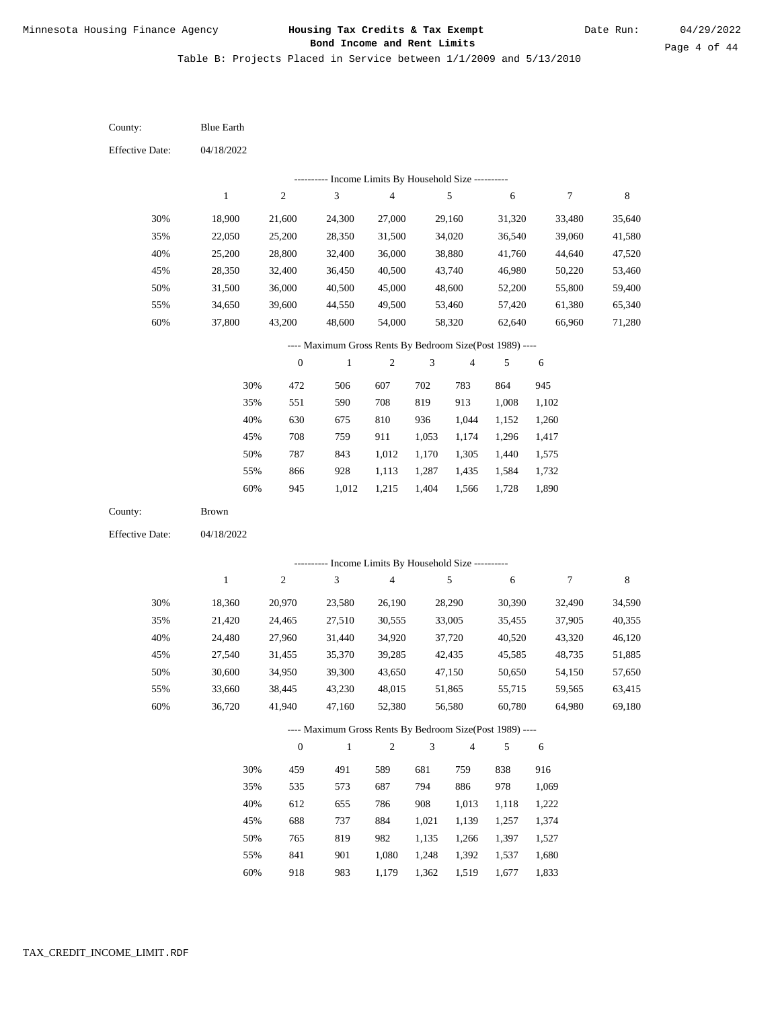Table B: Projects Placed in Service between 1/1/2009 and 5/13/2010

04/18/2022 04/18/2022 Blue Earth Brown 30% 35% 40% 45% 50% 55% 60% 30% 35% 40% 45% 50% 55% 60% 18,900 22,050 25,200 28,350 31,500 34,650 37,800 18,360 21,420 24,480 27,540 30,600 33,660 36,720 21,600 25,200 28,800 32,400 36,000 39,600 43,200 20,970 24,465 27,960 31,455 34,950 38,445 41,940 24,300 28,350 32,400 36,450 40,500 44,550 48,600 23,580 27,510 31,440 35,370 39,300 43,230 47,160 27,000 31,500 36,000 40,500 45,000 49,500 54,000 26,190 30,555 34,920 39,285 43,650 48,015 52,380 29,160 34,020 38,880 43,740 48,600 53,460 58,320 28,290 33,005 37,720 42,435 47,150 51,865 56,580 31,320 36,540 41,760 46,980 52,200 57,420 62,640 30,390 35,455 40,520 45,585 50,650 55,715 60,780 33,480 39,060 44,640 50,220 55,800 61,380 66,960 32,490 37,905 43,320 48,735 54,150 59,565 64,980 35,640 41,580 47,520 53,460 59,400 65,340 71,280 34,590 40,355 46,120 51,885 57,650 63,415 69,180 472 551 630 708 787 866 945 459 535 612 688 765 841 918 506 590 675 759 843 928 1,012 491 573 655 737 819 901 983 607 708 810 911 1,012 1,113 1,215 589 687 786 884 982 1,080 1,179 702 819 936 1,053 1,170 1,287 1,404 681 794 908 1,021 1,135 1,248 1,362 783 913 1,044 1,174 1,305 1,435 1,566 759 886 1,013 1,139 1,266 1,392 1,519 864 1,008 1,152 1,296 1,440 1,584 1,728 838 978 1,118 1,257 1,397 1,537 1,677 945 1,102 1,260 1,417 1,575 1,732 1,890 916 1,069 1,222 1,374 1,527 1,680 1,833 County: County: Effective Date: Effective Date: 1 1 2 2 3 3 4 4 5 5 6 6 7 7 8 8 0 0 1 1 2 2 3 3 4 4 5 5 6 6 ---------- Income Limits By Household Size ---------- ---------- Income Limits By Household Size ---------- ---- Maximum Gross Rents By Bedroom Size(Post 1989) ---- ---- Maximum Gross Rents By Bedroom Size(Post 1989) ---- 30% 35% 40% 45% 50% 55% 60% 30% 35% 40% 45% 50% 55% 60%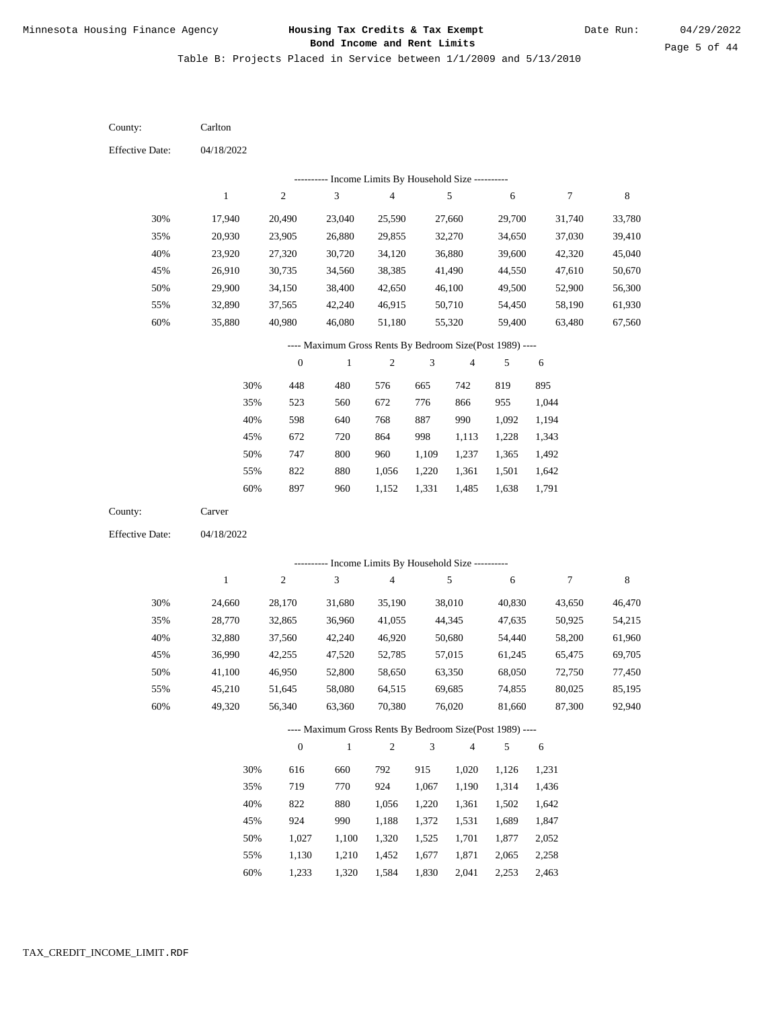Table B: Projects Placed in Service between 1/1/2009 and 5/13/2010

04/18/2022 04/18/2022 Carlton Carver 30% 35% 40% 45% 50% 55% 60% 30% 35% 40% 45% 50% 55% 60% 17,940 20,930 23,920 26,910 29,900 32,890 35,880 24,660 28,770 32,880 36,990 41,100 45,210 49,320 20,490 23,905 27,320 30,735 34,150 37,565 40,980 28,170 32,865 37,560 42,255 46,950 51,645 56,340 23,040 26,880 30,720 34,560 38,400 42,240 46,080 31,680 36,960 42,240 47,520 52,800 58,080 63,360 25,590 29,855 34,120 38,385 42,650 46,915 51,180 35,190 41,055 46,920 52,785 58,650 64,515 70,380 27,660 32,270 36,880 41,490 46,100 50,710 55,320 38,010 44,345 50,680 57,015 63,350 69,685 76,020 29,700 34,650 39,600 44,550 49,500 54,450 59,400 40,830 47,635 54,440 61,245 68,050 74,855 81,660 31,740 37,030 42,320 47,610 52,900 58,190 63,480 43,650 50,925 58,200 65,475 72,750 80,025 87,300 33,780 39,410 45,040 50,670 56,300 61,930 67,560 46,470 54,215 61,960 69,705 77,450 85,195 92,940 448 523 598 672 747 822 897 616 719 822 924 1,027 1,130 1,233 480 560 640 720 800 880 960 660 770 880 990 1,100 1,210 1,320 576 672 768 864 960 1,056 1,152 792 924 1,056 1,188 1,320 1,452 1,584 665 776 887 998 1,109 1,220 1,331 915 1,067 1,220 1,372 1,525 1,677 1,830 742 866 990 1,113 1,237 1,361 1,485 1,020 1,190 1,361 1,531 1,701 1,871 2,041 819 955 1,092 1,228 1,365 1,501 1,638 1,126 1,314 1,502 1,689 1,877 2,065 2,253 895 1,044 1,194 1,343 1,492 1,642 1,791 1,231 1,436 1,642 1,847 2,052 2,258 2,463 County: County: Effective Date: Effective Date: 1 1 2 2 3 3 4 4 5 5 6 6 7 7 8 8 0 0 1 1 2 2 3 3 4 4 5 5 6 6 ---------- Income Limits By Household Size ---------- ---------- Income Limits By Household Size ---------- ---- Maximum Gross Rents By Bedroom Size(Post 1989) ---- ---- Maximum Gross Rents By Bedroom Size(Post 1989) ---- 30% 35% 40% 45% 50% 55% 60% 30% 35% 40% 45% 50% 55% 60%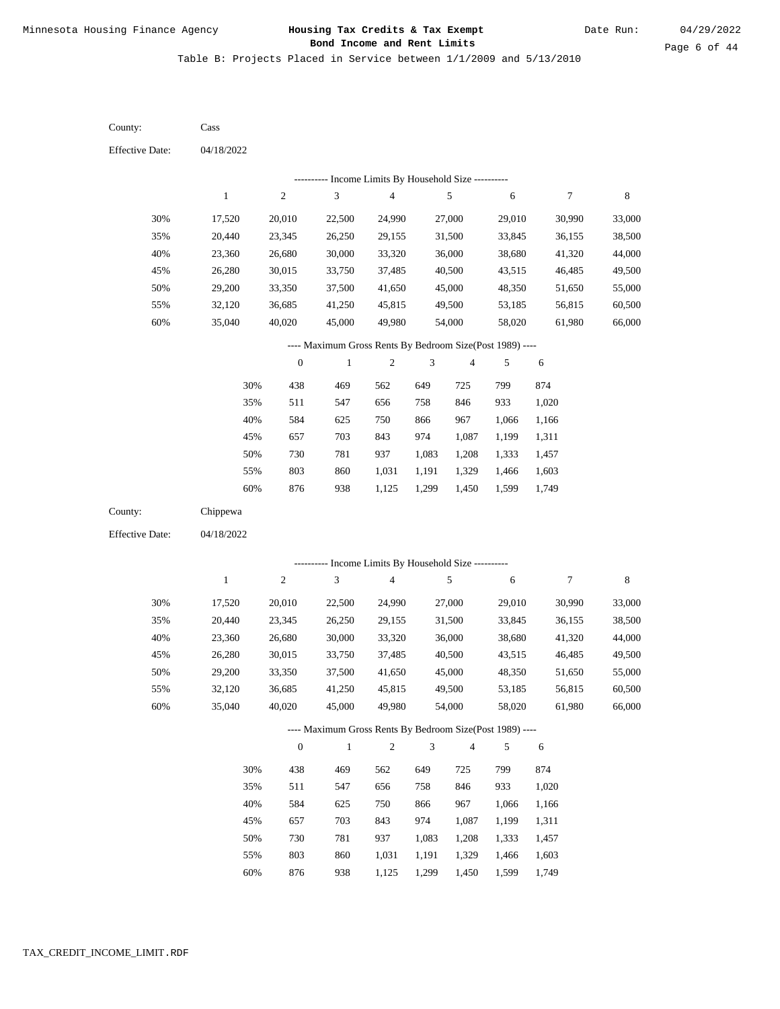Table B: Projects Placed in Service between 1/1/2009 and 5/13/2010

04/18/2022 04/18/2022 Cass Chippewa 30% 35% 40% 45% 50% 55% 60% 30% 35% 40% 45% 50% 55% 60% 17,520 20,440 23,360 26,280 29,200 32,120 35,040 17,520 20,440 23,360 26,280 29,200 32,120 35,040 20,010 23,345 26,680 30,015 33,350 36,685 40,020 20,010 23,345 26,680 30,015 33,350 36,685 40,020 22,500 26,250 30,000 33,750 37,500 41,250 45,000 22,500 26,250 30,000 33,750 37,500 41,250 45,000 24,990 29,155 33,320 37,485 41,650 45,815 49,980 24,990 29,155 33,320 37,485 41,650 45,815 49,980 27,000 31,500 36,000 40,500 45,000 49,500 54,000 27,000 31,500 36,000 40,500 45,000 49,500 54,000 29,010 33,845 38,680 43,515 48,350 53,185 58,020 29,010 33,845 38,680 43,515 48,350 53,185 58,020 30,990 36,155 41,320 46,485 51,650 56,815 61,980 30,990 36,155 41,320 46,485 51,650 56,815 61,980 33,000 38,500 44,000 49,500 55,000 60,500 66,000 33,000 38,500 44,000 49,500 55,000 60,500 66,000 438 511 584 657 730 803 876 438 511 584 657 730 803 876 469 547 625 703 781 860 938 469 547 625 703 781 860 938 562 656 750 843 937 1,031 1,125 562 656 750 843 937 1,031 1,125 649 758 866 974 1,083 1,191 1,299 649 758 866 974 1,083 1,191 1,299 725 846 967 1,087 1,208 1,329 1,450 725 846 967 1,087 1,208 1,329 1,450 799 933 1,066 1,199 1,333 1,466 1,599 799 933 1,066 1,199 1,333 1,466 1,599 874 1,020 1,166 1,311 1,457 1,603 1,749 874 1,020 1,166 1,311 1,457 1,603 1,749 County: County: Effective Date: Effective Date: 1 1 2 2 3 3 4 4 5 5 6 6 7 7 8 8 0 0 1 1 2 2 3 3 4 4 5 5 6 6 ---------- Income Limits By Household Size ---------- ---------- Income Limits By Household Size ---------- ---- Maximum Gross Rents By Bedroom Size(Post 1989) ---- ---- Maximum Gross Rents By Bedroom Size(Post 1989) ---- 30% 35% 40% 45% 50% 55% 60% 30% 35% 40% 45% 50% 55% 60%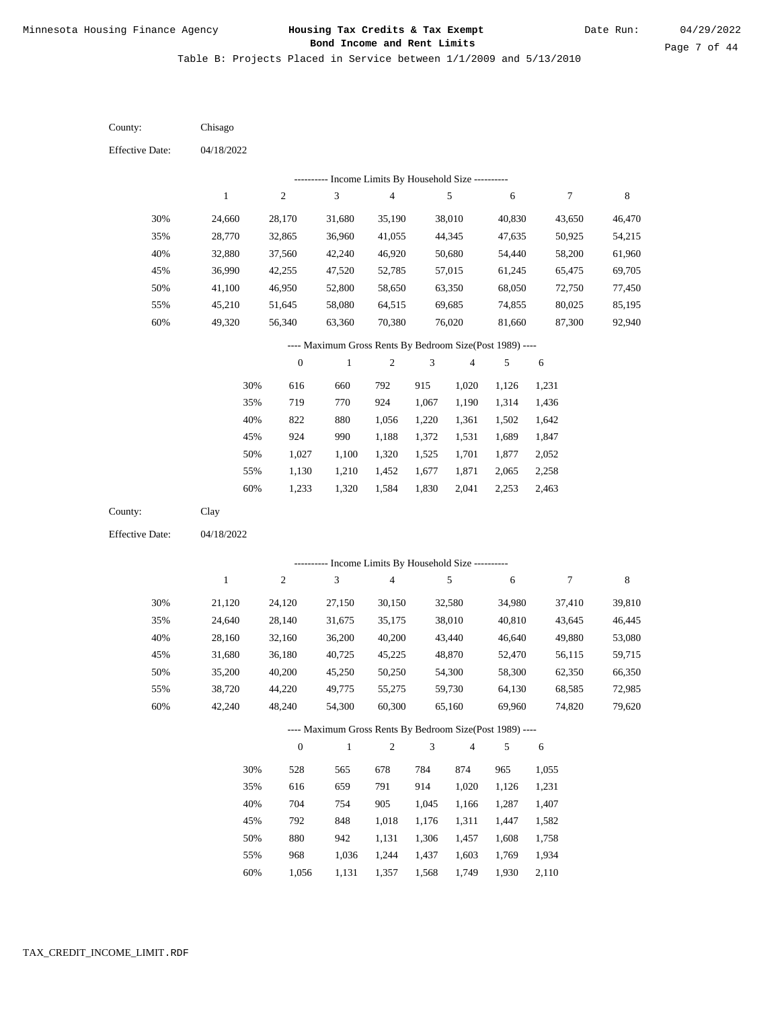Table B: Projects Placed in Service between 1/1/2009 and 5/13/2010

04/18/2022 04/18/2022 Chisago Clay 30% 35% 40% 45% 50% 55% 60% 30% 35% 40% 45% 50% 55% 60% 24,660 28,770 32,880 36,990 41,100 45,210 49,320 21,120 24,640 28,160 31,680 35,200 38,720 42,240 28,170 32,865 37,560 42,255 46,950 51,645 56,340 24,120 28,140 32,160 36,180 40,200 44,220 48,240 31,680 36,960 42,240 47,520 52,800 58,080 63,360 27,150 31,675 36,200 40,725 45,250 49,775 54,300 35,190 41,055 46,920 52,785 58,650 64,515 70,380 30,150 35,175 40,200 45,225 50,250 55,275 60,300 38,010 44,345 50,680 57,015 63,350 69,685 76,020 32,580 38,010 43,440 48,870 54,300 59,730 65,160 40,830 47,635 54,440 61,245 68,050 74,855 81,660 34,980 40,810 46,640 52,470 58,300 64,130 69,960 43,650 50,925 58,200 65,475 72,750 80,025 87,300 37,410 43,645 49,880 56,115 62,350 68,585 74,820 46,470 54,215 61,960 69,705 77,450 85,195 92,940 39,810 46,445 53,080 59,715 66,350 72,985 79,620 616 719 822 924 1,027 1,130 1,233 528 616 704 792 880 968 660 770 880 990 1,100 1,210 1,320 565 659 754 848 942 1,036 792 924 1,056 1,188 1,320 1,452 1,584 678 791 905 1,018 1,131 1,244 915 1,067 1,220 1,372 1,525 1,677 1,830 784 914 1,045 1,176 1,306 1,437 1,020 1,190 1,361 1,531 1,701 1,871 2,041 874 1,020 1,166 1,311 1,457 1,603 1,126 1,314 1,502 1,689 1,877 2,065 2,253 965 1,126 1,287 1,447 1,608 1,769 1,231 1,436 1,642 1,847 2,052 2,258 2,463 1,055 1,231 1,407 1,582 1,758 1,934 County: County: Effective Date: Effective Date: 1 1 2 2 3 3 4 4 5 5 6 6 7 7 8 8 0 0 1 1 2 2 3 3 4 4 5 5 6 6 ---------- Income Limits By Household Size ---------- ---------- Income Limits By Household Size ---------- ---- Maximum Gross Rents By Bedroom Size(Post 1989) ---- ---- Maximum Gross Rents By Bedroom Size(Post 1989) ---- 30% 35% 40% 45% 50% 55% 60% 30% 35% 40% 45% 50% 55%

1,056

60%

1,131

1,357

1,568

1,749

1,930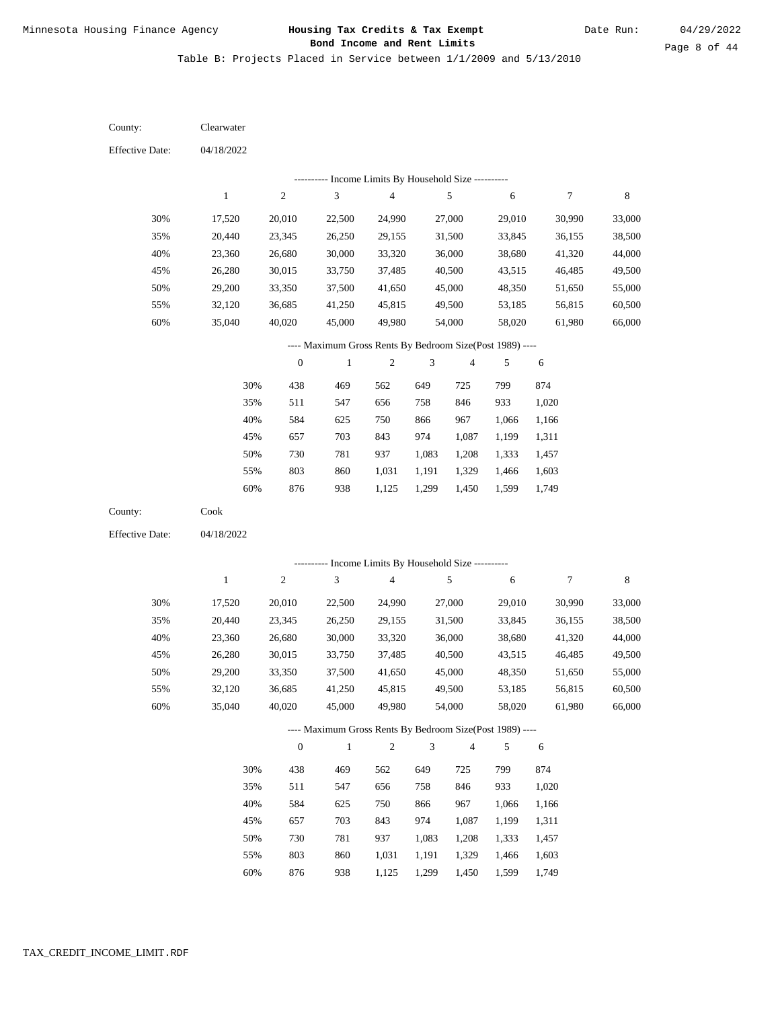Table B: Projects Placed in Service between 1/1/2009 and 5/13/2010

04/18/2022 04/18/2022 Clearwater Cook 30% 35% 40% 45% 50% 55% 60% 30% 35% 40% 45% 50% 55% 60% 17,520 20,440 23,360 26,280 29,200 32,120 35,040 17,520 20,440 23,360 26,280 29,200 32,120 35,040 20,010 23,345 26,680 30,015 33,350 36,685 40,020 20,010 23,345 26,680 30,015 33,350 36,685 40,020 22,500 26,250 30,000 33,750 37,500 41,250 45,000 22,500 26,250 30,000 33,750 37,500 41,250 45,000 24,990 29,155 33,320 37,485 41,650 45,815 49,980 24,990 29,155 33,320 37,485 41,650 45,815 49,980 27,000 31,500 36,000 40,500 45,000 49,500 54,000 27,000 31,500 36,000 40,500 45,000 49,500 54,000 29,010 33,845 38,680 43,515 48,350 53,185 58,020 29,010 33,845 38,680 43,515 48,350 53,185 58,020 30,990 36,155 41,320 46,485 51,650 56,815 61,980 30,990 36,155 41,320 46,485 51,650 56,815 61,980 33,000 38,500 44,000 49,500 55,000 60,500 66,000 33,000 38,500 44,000 49,500 55,000 60,500 66,000 438 511 584 657 730 803 876 438 511 584 657 730 803 876 469 547 625 703 781 860 938 469 547 625 703 781 860 938 562 656 750 843 937 1,031 1,125 562 656 750 843 937 1,031 1,125 649 758 866 974 1,083 1,191 1,299 649 758 866 974 1,083 1,191 1,299 725 846 967 1,087 1,208 1,329 1,450 725 846 967 1,087 1,208 1,329 1,450 799 933 1,066 1,199 1,333 1,466 1,599 799 933 1,066 1,199 1,333 1,466 1,599 874 1,020 1,166 1,311 1,457 1,603 1,749 874 1,020 1,166 1,311 1,457 1,603 1,749 County: County: Effective Date: Effective Date: 1 1 2 2 3 3 4 4 5 5 6 6 7 7 8 8 0 0 1 1 2 2 3 3 4 4 5 5 6 6 ---------- Income Limits By Household Size ---------- ---------- Income Limits By Household Size ---------- ---- Maximum Gross Rents By Bedroom Size(Post 1989) ---- ---- Maximum Gross Rents By Bedroom Size(Post 1989) ---- 30% 35% 40% 45% 50% 55% 60% 30% 35% 40% 45% 50% 55% 60%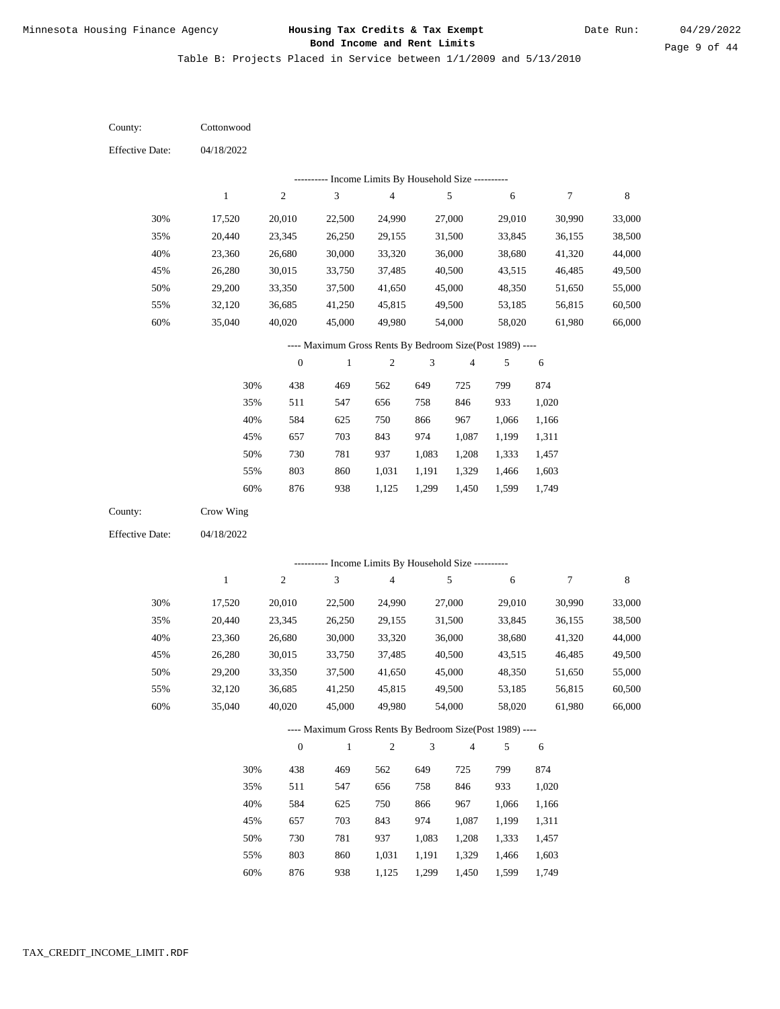Table B: Projects Placed in Service between 1/1/2009 and 5/13/2010

04/18/2022 04/18/2022 **Cottonwood** Crow Wing 30% 35% 40% 45% 50% 55% 60% 30% 35% 40% 45% 50% 55% 60% 17,520 20,440 23,360 26,280 29,200 32,120 35,040 17,520 20,440 23,360 26,280 29,200 32,120 35,040 20,010 23,345 26,680 30,015 33,350 36,685 40,020 20,010 23,345 26,680 30,015 33,350 36,685 40,020 22,500 26,250 30,000 33,750 37,500 41,250 45,000 22,500 26,250 30,000 33,750 37,500 41,250 45,000 24,990 29,155 33,320 37,485 41,650 45,815 49,980 24,990 29,155 33,320 37,485 41,650 45,815 49,980 27,000 31,500 36,000 40,500 45,000 49,500 54,000 27,000 31,500 36,000 40,500 45,000 49,500 54,000 29,010 33,845 38,680 43,515 48,350 53,185 58,020 29,010 33,845 38,680 43,515 48,350 53,185 58,020 30,990 36,155 41,320 46,485 51,650 56,815 61,980 30,990 36,155 41,320 46,485 51,650 56,815 61,980 33,000 38,500 44,000 49,500 55,000 60,500 66,000 33,000 38,500 44,000 49,500 55,000 60,500 66,000 438 511 584 657 730 803 876 438 511 584 657 730 803 876 469 547 625 703 781 860 938 469 547 625 703 781 860 562 656 750 843 937 1,031 1,125 562 656 750 843 937 1,031 649 758 866 974 1,083 1,191 1,299 649 758 866 974 1,083 1,191 725 846 967 1,087 1,208 1,329 1,450 725 846 967 1,087 1,208 1,329 799 933 1,066 1,199 1,333 1,466 1,599 799 933 1,066 1,199 1,333 1,466 1,599 874 1,020 1,166 1,311 1,457 1,603 1,749 874 1,020 1,166 1,311 1,457 1,603 County: County: Effective Date: Effective Date: 1 1 2 2 3 3 4 4 5 5 6 6 7 7 8 8 0 0 1 1 2 2 3 3 4 4 5 5 6 6 ---------- Income Limits By Household Size ---------- ---------- Income Limits By Household Size ---------- ---- Maximum Gross Rents By Bedroom Size(Post 1989) ---- ---- Maximum Gross Rents By Bedroom Size(Post 1989) ---- 30% 35% 40% 45% 50% 55% 60% 30% 35% 40% 45% 50% 55% 60%

938

1,125

1,299

1,450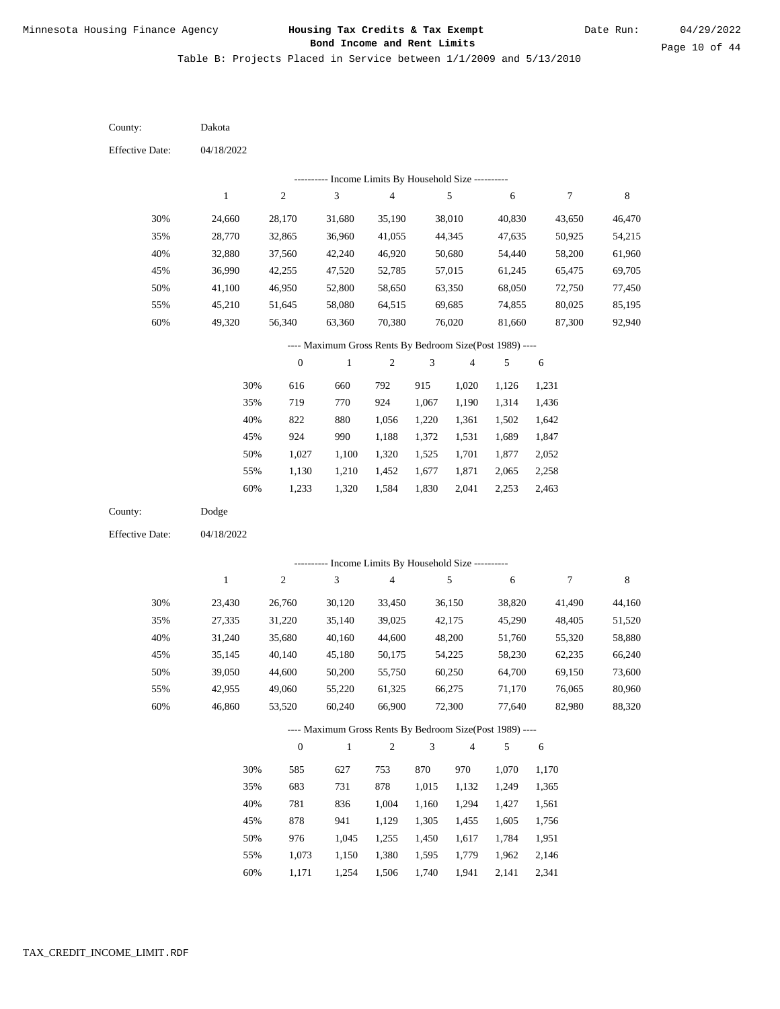Table B: Projects Placed in Service between 1/1/2009 and 5/13/2010

| County:                | Dakota       |                  |                                                          |                          |                |                         |        |                  |             |
|------------------------|--------------|------------------|----------------------------------------------------------|--------------------------|----------------|-------------------------|--------|------------------|-------------|
| <b>Effective Date:</b> | 04/18/2022   |                  |                                                          |                          |                |                         |        |                  |             |
|                        |              |                  | ---------- Income Limits By Household Size ----------    |                          |                |                         |        |                  |             |
|                        | $\mathbf{1}$ | $\sqrt{2}$       | 3                                                        | $\overline{\mathcal{L}}$ |                | $\sqrt{5}$              | 6      | 7                | $\,$ 8 $\,$ |
| 30%                    | 24,660       | 28,170           | 31,680                                                   | 35,190                   |                | 38,010                  | 40,830 | 43,650           | 46,470      |
| 35%                    | 28,770       | 32,865           | 36,960                                                   | 41,055                   |                | 44,345                  | 47,635 | 50,925           | 54,215      |
| 40%                    | 32,880       | 37,560           | 42,240                                                   | 46,920                   |                | 50,680                  | 54,440 | 58,200           | 61,960      |
| 45%                    | 36,990       | 42,255           | 47,520                                                   | 52,785                   |                | 57,015                  | 61,245 | 65,475           | 69,705      |
| 50%                    | 41,100       | 46,950           | 52,800                                                   | 58,650                   |                | 63,350                  | 68,050 | 72,750           | 77,450      |
| 55%                    | 45,210       | 51,645           | 58,080                                                   | 64,515                   |                | 69,685                  | 74,855 | 80,025           | 85,195      |
| 60%                    | 49,320       | 56,340           | 63,360                                                   | 70,380                   |                | 76,020                  | 81,660 | 87,300           | 92,940      |
|                        |              |                  | ---- Maximum Gross Rents By Bedroom Size(Post 1989) ---- |                          |                |                         |        |                  |             |
|                        |              | $\boldsymbol{0}$ | $\,1$                                                    | 2                        | 3              | 4                       | 5      | 6                |             |
|                        | 30%          | 616              | 660                                                      | 792                      | 915            | 1,020                   | 1,126  | 1,231            |             |
|                        | 35%          | 719              | 770                                                      | 924                      | 1,067          | 1,190                   | 1,314  | 1,436            |             |
|                        | 40%          | 822              | 880                                                      | 1,056                    | 1,220          | 1,361                   | 1,502  | 1,642            |             |
|                        | 45%          | 924              | 990                                                      | 1,188                    | 1,372          | 1,531                   | 1,689  | 1,847            |             |
|                        | 50%          | 1,027            | 1,100                                                    | 1,320                    | 1,525          | 1,701                   | 1,877  | 2,052            |             |
|                        | 55%          | 1,130            | 1,210                                                    | 1,452                    | 1,677          | 1,871                   | 2,065  | 2,258            |             |
|                        | 60%          | 1,233            | 1,320                                                    | 1,584                    | 1,830          | 2,041                   | 2,253  | 2,463            |             |
| County:                | Dodge        |                  |                                                          |                          |                |                         |        |                  |             |
| <b>Effective Date:</b> | 04/18/2022   |                  |                                                          |                          |                |                         |        |                  |             |
|                        |              |                  |                                                          |                          |                |                         |        |                  |             |
|                        |              |                  |                                                          |                          |                |                         |        |                  |             |
|                        |              |                  | ---------- Income Limits By Household Size ----------    |                          |                |                         |        |                  |             |
|                        | $\mathbf{1}$ | $\sqrt{2}$       | $\sqrt{3}$                                               | $\overline{\mathcal{L}}$ |                | $\sqrt{5}$              | 6      | $\boldsymbol{7}$ | $\,$ 8 $\,$ |
| 30%                    | 23,430       | 26,760           | 30,120                                                   | 33,450                   |                | 36,150                  | 38,820 | 41,490           | 44,160      |
| 35%                    | 27,335       | 31,220           | 35,140                                                   | 39,025                   |                | 42,175                  | 45,290 | 48,405           | 51,520      |
| 40%                    | 31,240       | 35,680           | 40,160                                                   | 44,600                   |                | 48,200                  | 51,760 | 55,320           | 58,880      |
| 45%                    | 35,145       | 40,140           | 45,180                                                   | 50,175                   |                | 54,225                  | 58,230 | 62,235           | 66,240      |
| 50%                    | 39,050       | 44,600           | 50,200                                                   | 55,750                   |                | 60,250                  | 64,700 | 69,150           | 73,600      |
| 55%                    | 42,955       | 49,060           | 55,220                                                   | 61,325                   |                | 66,275                  | 71,170 | 76,065           | 80,960      |
| 60%                    | 46,860       | 53,520           | 60,240                                                   | 66,900                   |                | 72,300                  | 77,640 | 82,980           | 88,320      |
|                        |              |                  | ---- Maximum Gross Rents By Bedroom Size(Post 1989) ---- |                          |                |                         |        |                  |             |
|                        |              | $\boldsymbol{0}$ | $\,1\,$                                                  | $\sqrt{2}$               | $\mathfrak{Z}$ | $\overline{\mathbf{4}}$ | 5      | 6                |             |
|                        | 30%          | 585              | 627                                                      | 753                      | 870            | 970                     | 1,070  | 1,170            |             |
|                        | 35%          | 683              | 731                                                      | 878                      | 1,015          | 1,132                   | 1,249  | 1,365            |             |
|                        | 40%          | 781              | 836                                                      | 1,004                    | 1,160          | 1,294                   | 1,427  | 1,561            |             |
|                        | 45%          | 878              | 941                                                      | 1,129                    | 1,305          | 1,455                   | 1,605  | 1,756            |             |
|                        | 50%          | 976              | 1,045                                                    | 1,255                    | 1,450          | 1,617                   | 1,784  | 1,951            |             |
|                        | 55%          | 1,073            | 1,150                                                    | 1,380                    | 1,595          | 1,779                   | 1,962  | 2,146            |             |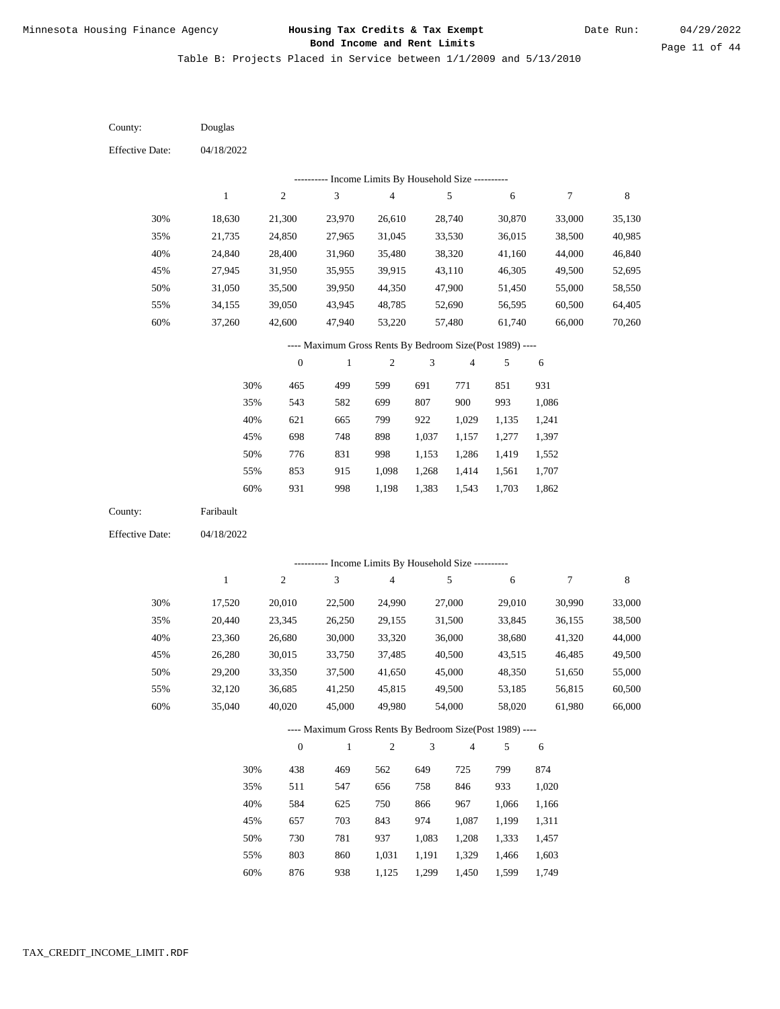Table B: Projects Placed in Service between 1/1/2009 and 5/13/2010

| County:                | Douglas      |                  |                                                          |                         |                |                         |        |                  |             |
|------------------------|--------------|------------------|----------------------------------------------------------|-------------------------|----------------|-------------------------|--------|------------------|-------------|
| <b>Effective Date:</b> | 04/18/2022   |                  |                                                          |                         |                |                         |        |                  |             |
|                        |              |                  | ---------- Income Limits By Household Size ----------    |                         |                |                         |        |                  |             |
|                        | $\,1$        | $\sqrt{2}$       | $\ensuremath{\mathfrak{Z}}$                              | $\overline{\mathbf{4}}$ |                | $\sqrt{5}$              | 6      | $\boldsymbol{7}$ | $\,$ 8 $\,$ |
| 30%                    | 18,630       | 21,300           | 23,970                                                   | 26,610                  |                | 28,740                  | 30,870 | 33,000           | 35,130      |
| 35%                    | 21,735       | 24,850           | 27,965                                                   | 31,045                  |                | 33,530                  | 36,015 | 38,500           | 40,985      |
| 40%                    | 24,840       | 28,400           | 31,960                                                   | 35,480                  |                | 38,320                  | 41,160 | 44,000           | 46,840      |
| 45%                    | 27,945       | 31,950           | 35,955                                                   | 39,915                  |                | 43,110                  | 46,305 | 49,500           | 52,695      |
| 50%                    | 31,050       | 35,500           | 39,950                                                   | 44,350                  |                | 47,900                  | 51,450 | 55,000           | 58,550      |
| 55%                    | 34,155       | 39,050           | 43,945                                                   | 48,785                  |                | 52,690                  | 56,595 | 60,500           | 64,405      |
| 60%                    | 37,260       | 42,600           | 47,940                                                   | 53,220                  |                | 57,480                  | 61,740 | 66,000           | 70,260      |
|                        |              |                  | ---- Maximum Gross Rents By Bedroom Size(Post 1989) ---- |                         |                |                         |        |                  |             |
|                        |              | $\boldsymbol{0}$ | $\mathbf{1}$                                             | $\mathfrak{2}$          | 3              | $\overline{\mathbf{4}}$ | 5      | $\sqrt{6}$       |             |
|                        | 30%          | 465              | 499                                                      | 599                     | 691            | 771                     | 851    | 931              |             |
|                        | 35%          | 543              | 582                                                      | 699                     | 807            | 900                     | 993    | 1,086            |             |
|                        | 40%          | 621              | 665                                                      | 799                     | 922            | 1,029                   | 1,135  | 1,241            |             |
|                        | 45%          | 698              | 748                                                      | 898                     | 1,037          | 1,157                   | 1,277  | 1,397            |             |
|                        | 50%          | 776              | 831                                                      | 998                     | 1,153          | 1,286                   | 1,419  | 1,552            |             |
|                        | 55%          | 853              | 915                                                      | 1,098                   | 1,268          | 1,414                   | 1,561  | 1,707            |             |
|                        | 60%          | 931              | 998                                                      | 1,198                   | 1,383          | 1,543                   | 1,703  | 1,862            |             |
| County:                | Faribault    |                  |                                                          |                         |                |                         |        |                  |             |
|                        |              |                  |                                                          |                         |                |                         |        |                  |             |
| <b>Effective Date:</b> | 04/18/2022   |                  |                                                          |                         |                |                         |        |                  |             |
|                        |              |                  |                                                          |                         |                |                         |        |                  |             |
|                        |              |                  | ---------- Income Limits By Household Size ----------    |                         |                |                         |        |                  |             |
|                        | $\mathbf{1}$ | $\sqrt{2}$       | 3                                                        | $\overline{\mathbf{4}}$ |                | 5                       | 6      | $\boldsymbol{7}$ | 8           |
| 30%                    | 17,520       | 20,010           | 22,500                                                   | 24,990                  |                | 27,000                  | 29,010 | 30,990           | 33,000      |
| 35%                    | 20,440       | 23,345           | 26,250                                                   | 29,155                  |                | 31,500                  | 33,845 | 36,155           | 38,500      |
| 40%                    | 23,360       | 26,680           | 30,000                                                   | 33,320                  |                | 36,000                  | 38,680 | 41,320           | 44,000      |
| 45%                    | 26,280       | 30,015           | 33,750                                                   | 37,485                  |                | 40,500                  | 43,515 | 46,485           | 49,500      |
| 50%                    | 29,200       | 33,350           | 37,500                                                   | 41,650                  |                | 45,000                  | 48,350 | 51,650           | 55,000      |
| 55%                    | 32,120       | 36,685           | 41,250                                                   | 45,815                  |                | 49,500                  | 53,185 | 56,815           | 60,500      |
| 60%                    | 35,040       | 40,020           | 45,000                                                   | 49,980                  |                | 54,000                  | 58,020 | 61,980           | 66,000      |
|                        |              |                  | ---- Maximum Gross Rents By Bedroom Size(Post 1989) ---- |                         |                |                         |        |                  |             |
|                        |              | $\boldsymbol{0}$ | $\mathbf{1}$                                             | $\sqrt{2}$              | $\mathfrak{Z}$ | 4                       | 5      | 6                |             |
|                        | 30%          | 438              | 469                                                      | 562                     | 649            | 725                     | 799    | 874              |             |
|                        | 35%          | 511              | 547                                                      | 656                     | 758            | 846                     | 933    | 1,020            |             |
|                        | 40%          | 584              | 625                                                      | 750                     | 866            | 967                     | 1,066  | 1,166            |             |
|                        | 45%          | 657              | 703                                                      | 843                     | 974            | 1,087                   | 1,199  | 1,311            |             |
|                        | 50%          | 730              | 781                                                      | 937                     | 1,083          | 1,208                   | 1,333  | 1,457            |             |
|                        | 55%          | 803              | 860                                                      | 1,031                   | 1,191          | 1,329                   | 1,466  | 1,603            |             |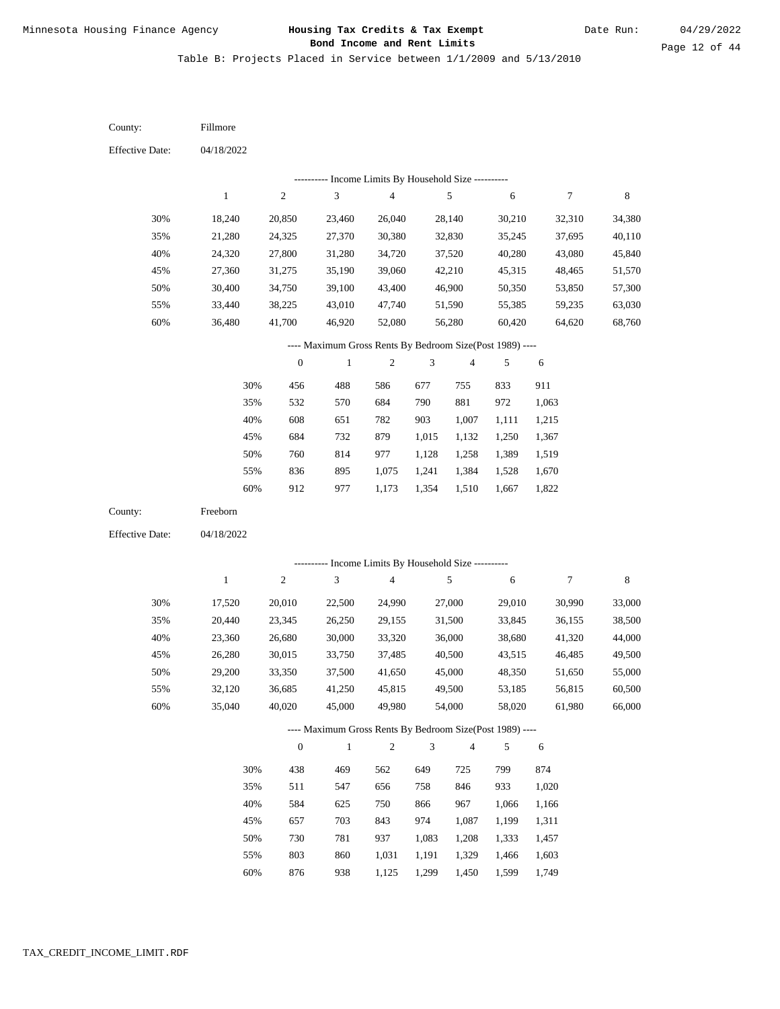Table B: Projects Placed in Service between 1/1/2009 and 5/13/2010

| <b>Effective Date:</b><br>04/18/2022<br>Income Limits By Household Size ----------<br>$\sqrt{2}$<br>3<br>$\overline{\mathbf{4}}$<br>5<br>6<br>$\boldsymbol{7}$<br>8<br>$\mathbf{1}$<br>30%<br>18,240<br>26,040<br>28,140<br>30,210<br>20,850<br>23,460<br>32,310<br>34,380<br>35%<br>40,110<br>21,280<br>24,325<br>27,370<br>30,380<br>32,830<br>35,245<br>37,695<br>40%<br>24,320<br>27,800<br>31,280<br>34,720<br>37,520<br>40,280<br>43,080<br>45,840<br>45%<br>27,360<br>31,275<br>35,190<br>39,060<br>42,210<br>45,315<br>51,570<br>48,465<br>50%<br>30,400<br>43,400<br>46,900<br>57,300<br>34,750<br>39,100<br>50,350<br>53,850<br>55%<br>33,440<br>38,225<br>43,010<br>47,740<br>51,590<br>55,385<br>59,235<br>63,030<br>$60\%$<br>36,480<br>41,700<br>52,080<br>56,280<br>60,420<br>64,620<br>68,760<br>46,920<br>---- Maximum Gross Rents By Bedroom Size(Post 1989) ---- |
|-------------------------------------------------------------------------------------------------------------------------------------------------------------------------------------------------------------------------------------------------------------------------------------------------------------------------------------------------------------------------------------------------------------------------------------------------------------------------------------------------------------------------------------------------------------------------------------------------------------------------------------------------------------------------------------------------------------------------------------------------------------------------------------------------------------------------------------------------------------------------------------|
|                                                                                                                                                                                                                                                                                                                                                                                                                                                                                                                                                                                                                                                                                                                                                                                                                                                                                     |
|                                                                                                                                                                                                                                                                                                                                                                                                                                                                                                                                                                                                                                                                                                                                                                                                                                                                                     |
|                                                                                                                                                                                                                                                                                                                                                                                                                                                                                                                                                                                                                                                                                                                                                                                                                                                                                     |
|                                                                                                                                                                                                                                                                                                                                                                                                                                                                                                                                                                                                                                                                                                                                                                                                                                                                                     |
|                                                                                                                                                                                                                                                                                                                                                                                                                                                                                                                                                                                                                                                                                                                                                                                                                                                                                     |
|                                                                                                                                                                                                                                                                                                                                                                                                                                                                                                                                                                                                                                                                                                                                                                                                                                                                                     |
|                                                                                                                                                                                                                                                                                                                                                                                                                                                                                                                                                                                                                                                                                                                                                                                                                                                                                     |
|                                                                                                                                                                                                                                                                                                                                                                                                                                                                                                                                                                                                                                                                                                                                                                                                                                                                                     |
|                                                                                                                                                                                                                                                                                                                                                                                                                                                                                                                                                                                                                                                                                                                                                                                                                                                                                     |
|                                                                                                                                                                                                                                                                                                                                                                                                                                                                                                                                                                                                                                                                                                                                                                                                                                                                                     |
|                                                                                                                                                                                                                                                                                                                                                                                                                                                                                                                                                                                                                                                                                                                                                                                                                                                                                     |
| $\boldsymbol{0}$<br>$\overline{4}$<br>$\mathbf{1}$<br>$\sqrt{2}$<br>3<br>5<br>6                                                                                                                                                                                                                                                                                                                                                                                                                                                                                                                                                                                                                                                                                                                                                                                                     |
| 30%<br>456<br>488<br>586<br>677<br>833<br>911<br>755                                                                                                                                                                                                                                                                                                                                                                                                                                                                                                                                                                                                                                                                                                                                                                                                                                |
| 790<br>881<br>972<br>35%<br>532<br>570<br>684<br>1,063                                                                                                                                                                                                                                                                                                                                                                                                                                                                                                                                                                                                                                                                                                                                                                                                                              |
| 40%<br>608<br>651<br>903<br>782<br>1,007<br>1,111<br>1,215                                                                                                                                                                                                                                                                                                                                                                                                                                                                                                                                                                                                                                                                                                                                                                                                                          |
| 45%<br>684<br>732<br>879<br>1,015<br>1,132<br>1,250<br>1,367                                                                                                                                                                                                                                                                                                                                                                                                                                                                                                                                                                                                                                                                                                                                                                                                                        |
| 50%<br>760<br>814<br>977<br>1,128<br>1,258<br>1,389<br>1,519                                                                                                                                                                                                                                                                                                                                                                                                                                                                                                                                                                                                                                                                                                                                                                                                                        |
| 895<br>55%<br>836<br>1,075<br>1,241<br>1,384<br>1,528<br>1,670                                                                                                                                                                                                                                                                                                                                                                                                                                                                                                                                                                                                                                                                                                                                                                                                                      |
| 60%<br>977<br>1,510<br>1,667<br>912<br>1,173<br>1,354<br>1,822                                                                                                                                                                                                                                                                                                                                                                                                                                                                                                                                                                                                                                                                                                                                                                                                                      |
| Freeborn<br>County:                                                                                                                                                                                                                                                                                                                                                                                                                                                                                                                                                                                                                                                                                                                                                                                                                                                                 |
| <b>Effective Date:</b><br>04/18/2022                                                                                                                                                                                                                                                                                                                                                                                                                                                                                                                                                                                                                                                                                                                                                                                                                                                |
| --------- Income Limits By Household Size ----------                                                                                                                                                                                                                                                                                                                                                                                                                                                                                                                                                                                                                                                                                                                                                                                                                                |
| 3<br>$\,1\,$<br>$\sqrt{2}$<br>$\overline{\mathbf{4}}$<br>5<br>$\boldsymbol{7}$<br>$\,$ 8 $\,$<br>6                                                                                                                                                                                                                                                                                                                                                                                                                                                                                                                                                                                                                                                                                                                                                                                  |
| 27,000                                                                                                                                                                                                                                                                                                                                                                                                                                                                                                                                                                                                                                                                                                                                                                                                                                                                              |
| 30%<br>33,000<br>17,520<br>20,010<br>22,500<br>24,990<br>29,010<br>30,990<br>35%<br>20,440<br>23,345<br>26,250<br>29,155<br>31,500<br>33,845<br>38,500<br>36,155                                                                                                                                                                                                                                                                                                                                                                                                                                                                                                                                                                                                                                                                                                                    |
| 40%<br>23,360<br>26,680<br>33,320<br>36,000<br>44,000<br>30,000<br>38,680<br>41,320                                                                                                                                                                                                                                                                                                                                                                                                                                                                                                                                                                                                                                                                                                                                                                                                 |
| 45%<br>40,500<br>49,500<br>26,280<br>30,015<br>33,750<br>37,485<br>43,515<br>46,485                                                                                                                                                                                                                                                                                                                                                                                                                                                                                                                                                                                                                                                                                                                                                                                                 |
| 50%<br>55,000<br>29,200<br>33,350<br>37,500<br>41,650<br>45,000<br>48,350<br>51,650                                                                                                                                                                                                                                                                                                                                                                                                                                                                                                                                                                                                                                                                                                                                                                                                 |
| 55%<br>32,120<br>36,685<br>41,250<br>45,815<br>49,500<br>53,185<br>56,815<br>60,500                                                                                                                                                                                                                                                                                                                                                                                                                                                                                                                                                                                                                                                                                                                                                                                                 |
| 60%<br>35,040<br>40,020<br>45,000<br>49,980<br>66,000<br>54,000<br>58,020<br>61,980                                                                                                                                                                                                                                                                                                                                                                                                                                                                                                                                                                                                                                                                                                                                                                                                 |
| ---- Maximum Gross Rents By Bedroom Size(Post 1989) ----                                                                                                                                                                                                                                                                                                                                                                                                                                                                                                                                                                                                                                                                                                                                                                                                                            |
| $\sqrt{2}$<br>3<br>$\boldsymbol{0}$<br>$\mathbf{1}$<br>$\overline{4}$<br>5<br>6                                                                                                                                                                                                                                                                                                                                                                                                                                                                                                                                                                                                                                                                                                                                                                                                     |
| 469<br>649<br>799<br>30%<br>438<br>562<br>725<br>874                                                                                                                                                                                                                                                                                                                                                                                                                                                                                                                                                                                                                                                                                                                                                                                                                                |
| 547<br>758<br>933<br>35%<br>511<br>656<br>846<br>1,020                                                                                                                                                                                                                                                                                                                                                                                                                                                                                                                                                                                                                                                                                                                                                                                                                              |
| 584<br>625<br>750<br>866<br>967<br>1,066<br>40%<br>1,166                                                                                                                                                                                                                                                                                                                                                                                                                                                                                                                                                                                                                                                                                                                                                                                                                            |
| 703<br>974<br>45%<br>657<br>843<br>1,087<br>1,199<br>1,311                                                                                                                                                                                                                                                                                                                                                                                                                                                                                                                                                                                                                                                                                                                                                                                                                          |
| 781<br>50%<br>730<br>937<br>1,083<br>1,208<br>1,333<br>1,457                                                                                                                                                                                                                                                                                                                                                                                                                                                                                                                                                                                                                                                                                                                                                                                                                        |
| 55%<br>803<br>860<br>1,031<br>1,191<br>1,329<br>1,466<br>1,603                                                                                                                                                                                                                                                                                                                                                                                                                                                                                                                                                                                                                                                                                                                                                                                                                      |

876 938 1,125 1,299 1,450 1,599 1,749 60%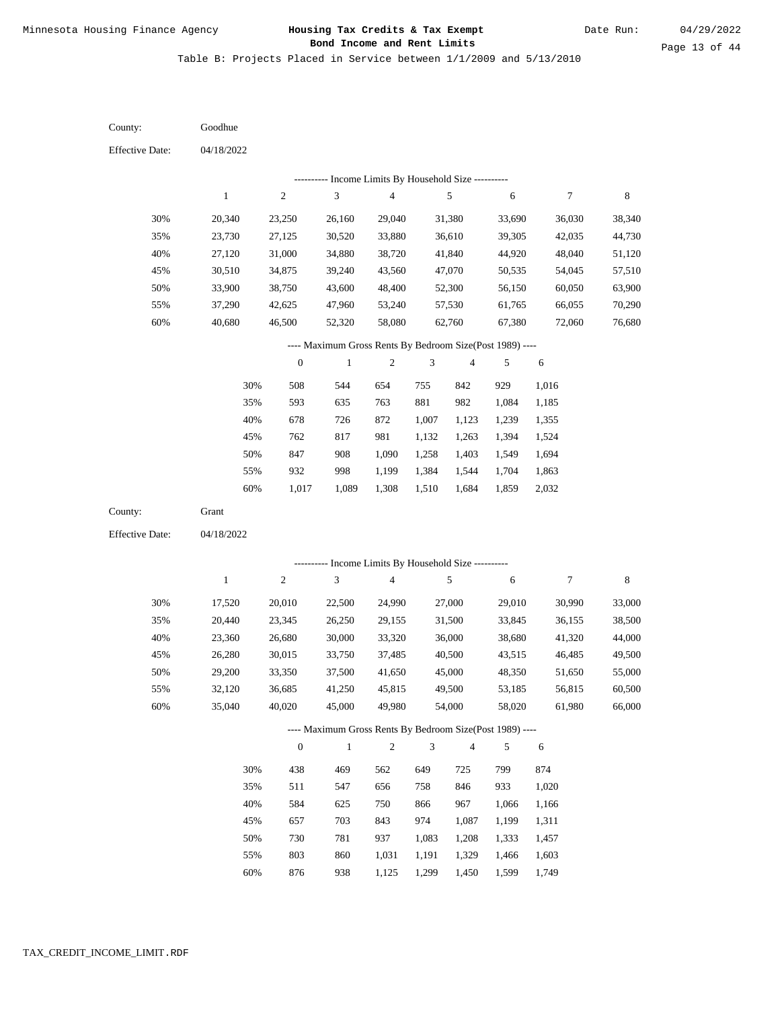Table B: Projects Placed in Service between 1/1/2009 and 5/13/2010

| County:                | Goodhue          |                  |                                                          |                                            |                |                |                  |                  |             |
|------------------------|------------------|------------------|----------------------------------------------------------|--------------------------------------------|----------------|----------------|------------------|------------------|-------------|
| <b>Effective Date:</b> | 04/18/2022       |                  |                                                          |                                            |                |                |                  |                  |             |
|                        |                  |                  |                                                          | Income Limits By Household Size ---------- |                |                |                  |                  |             |
|                        | $\mathbf{1}$     | $\sqrt{2}$       | $\mathfrak{Z}$                                           | $\overline{\mathbf{4}}$                    |                | 5              | 6                | $\boldsymbol{7}$ | 8           |
| 30%                    | 20,340           | 23,250           | 26,160                                                   | 29,040                                     |                | 31,380         | 33,690           | 36,030           | 38,340      |
| 35%                    | 23,730           | 27,125           | 30,520                                                   | 33,880                                     |                | 36,610         | 39,305           | 42,035           | 44,730      |
| 40%                    | 27,120           | 31,000           | 34,880                                                   | 38,720                                     |                | 41,840         | 44,920           | 48,040           | 51,120      |
| 45%                    | 30,510           | 34,875           | 39,240                                                   | 43,560                                     |                | 47,070         | 50,535           | 54,045           | 57,510      |
| 50%                    | 33,900           | 38,750           | 43,600                                                   | 48,400                                     |                | 52,300         | 56,150           | 60,050           | 63,900      |
| 55%                    | 37,290           | 42,625           | 47,960                                                   | 53,240                                     |                | 57,530         | 61,765           | 66,055           | 70,290      |
| 60%                    | 40,680           | 46,500           | 52,320                                                   | 58,080                                     |                | 62,760         | 67,380           | 72,060           | 76,680      |
|                        |                  |                  | ---- Maximum Gross Rents By Bedroom Size(Post 1989) ---- |                                            |                |                |                  |                  |             |
|                        |                  | $\boldsymbol{0}$ | $\,1$                                                    | 2                                          | 3              | $\overline{4}$ | 5                | $\sqrt{6}$       |             |
|                        | 30%              | 508              | 544                                                      | 654                                        | 755            | 842            | 929              | 1,016            |             |
|                        | 35%              | 593              | 635                                                      | 763                                        | 881            | 982            | 1,084            | 1,185            |             |
|                        | 40%              | 678              | 726                                                      | 872                                        | 1,007          | 1,123          | 1,239            | 1,355            |             |
|                        | 45%              | 762              | 817                                                      | 981                                        | 1,132          | 1,263          | 1,394            | 1,524            |             |
|                        | 50%              | 847              | 908                                                      | 1,090                                      | 1,258          | 1,403          | 1,549            | 1,694            |             |
|                        | 55%              | 932              | 998                                                      | 1,199                                      | 1,384          | 1,544          | 1,704            | 1,863            |             |
|                        | $60\%$           | 1,017            | 1,089                                                    | 1,308                                      | 1,510          | 1,684          | 1,859            | 2,032            |             |
| County:                | Grant            |                  |                                                          |                                            |                |                |                  |                  |             |
| <b>Effective Date:</b> | 04/18/2022       |                  |                                                          |                                            |                |                |                  |                  |             |
|                        |                  |                  | --------- Income Limits By Household Size ----------     |                                            |                |                |                  |                  |             |
|                        | $\mathbf{1}$     | $\sqrt{2}$       | 3                                                        | $\overline{\mathbf{4}}$                    |                | 5              | 6                | $\overline{7}$   | $\,$ 8 $\,$ |
| 30%                    |                  |                  |                                                          | 24,990                                     |                | 27,000         |                  |                  | 33,000      |
| 35%                    | 17,520<br>20,440 | 20,010<br>23,345 | 22,500<br>26,250                                         | 29,155                                     |                | 31,500         | 29,010<br>33,845 | 30,990<br>36,155 | 38,500      |
| 40%                    | 23,360           | 26,680           | 30,000                                                   | 33,320                                     |                | 36,000         | 38,680           | 41,320           | 44,000      |
| 45%                    | 26,280           | 30,015           | 33,750                                                   | 37,485                                     |                | 40,500         | 43,515           | 46,485           | 49,500      |
| 50%                    | 29,200           | 33,350           | 37,500                                                   | 41,650                                     |                | 45,000         | 48,350           | 51,650           | 55,000      |
| 55%                    | 32,120           | 36,685           | 41,250                                                   | 45,815                                     |                | 49,500         | 53,185           | 56,815           | 60,500      |
| 60%                    | 35,040           | 40,020           | 45,000                                                   | 49,980                                     |                | 54,000         | 58,020           | 61,980           | 66,000      |
|                        |                  |                  | ---- Maximum Gross Rents By Bedroom Size(Post 1989) ---- |                                            |                |                |                  |                  |             |
|                        |                  | $\boldsymbol{0}$ | $\mathbf{1}$                                             | $\overline{c}$                             | $\mathfrak{Z}$ | $\overline{4}$ | 5                | 6                |             |
|                        |                  |                  |                                                          |                                            |                |                |                  |                  |             |
|                        | 30%              | 438              | 469                                                      | 562                                        | 649            | 725            | 799              | 874              |             |
|                        | 35%              | 511              | 547                                                      | 656                                        | 758            | 846            | 933              | 1,020            |             |
|                        | 40%              | 584              | 625                                                      | 750                                        | 866            | 967            | 1,066            | 1,166            |             |
|                        | 45%              | 657              | 703                                                      | 843                                        | 974            | 1,087          | 1,199            | 1,311            |             |
|                        | 50%              | 730              | 781                                                      | 937                                        | 1,083          | 1,208          | 1,333            | 1,457            |             |
|                        | 55%              | 803              | 860                                                      | 1,031                                      | 1,191          | 1,329          | 1,466            | 1,603            |             |

876 938 1,125 1,299 1,450 1,599 1,749 60%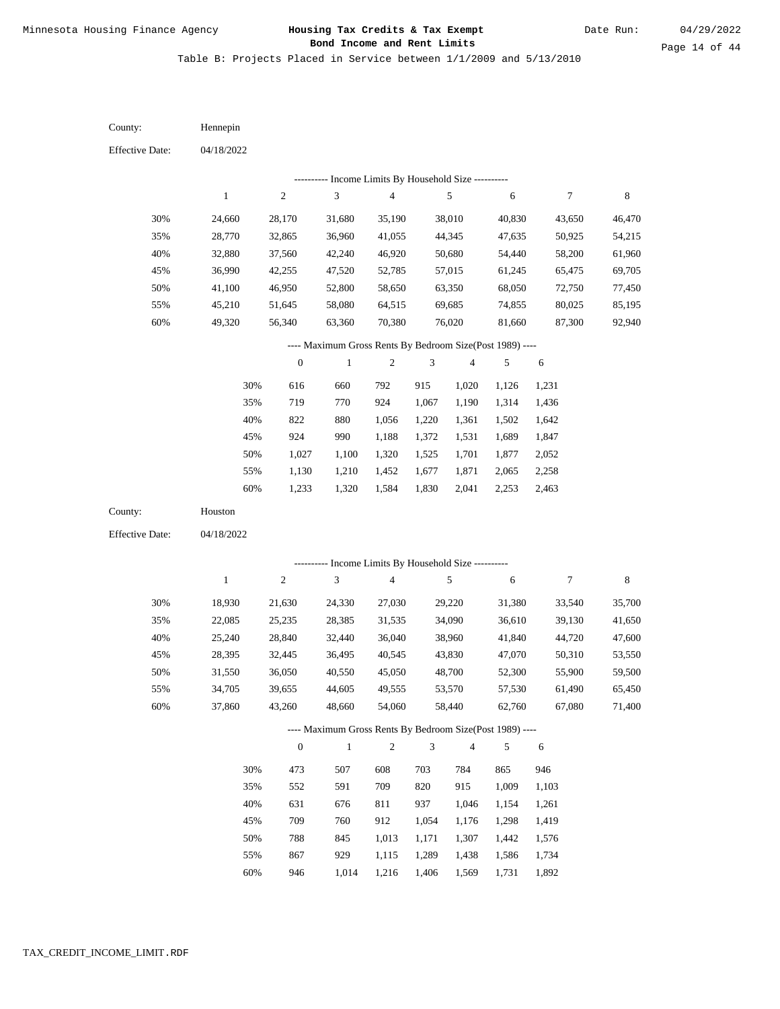Table B: Projects Placed in Service between 1/1/2009 and 5/13/2010

| County:                | Hennepin         |                  |                                                                                    |                         |       |                  |                  |                  |                  |
|------------------------|------------------|------------------|------------------------------------------------------------------------------------|-------------------------|-------|------------------|------------------|------------------|------------------|
| <b>Effective Date:</b> | 04/18/2022       |                  |                                                                                    |                         |       |                  |                  |                  |                  |
|                        |                  |                  |                                                                                    |                         |       |                  |                  |                  |                  |
|                        | $\,1$            | $\sqrt{2}$       | --------- Income Limits By Household Size ---------<br>$\ensuremath{\mathfrak{Z}}$ | $\overline{\mathbf{4}}$ |       | $\sqrt{5}$       | 6                | $\boldsymbol{7}$ | $\,$ 8 $\,$      |
| 30%                    |                  |                  |                                                                                    | 35,190                  |       |                  |                  |                  |                  |
| 35%                    | 24,660<br>28,770 | 28,170<br>32,865 | 31,680<br>36,960                                                                   | 41,055                  |       | 38,010<br>44,345 | 40,830<br>47,635 | 43,650<br>50,925 | 46,470<br>54,215 |
| 40%                    | 32,880           | 37,560           | 42,240                                                                             | 46,920                  |       | 50,680           | 54,440           | 58,200           | 61,960           |
| 45%                    | 36,990           | 42,255           | 47,520                                                                             | 52,785                  |       | 57,015           | 61,245           | 65,475           | 69,705           |
| 50%                    | 41,100           | 46,950           | 52,800                                                                             | 58,650                  |       | 63,350           | 68,050           | 72,750           | 77,450           |
| 55%                    | 45,210           | 51,645           | 58,080                                                                             | 64,515                  |       | 69,685           | 74,855           | 80,025           | 85,195           |
| 60%                    | 49,320           | 56,340           | 63,360                                                                             | 70,380                  |       | 76,020           | 81,660           | 87,300           | 92,940           |
|                        |                  |                  | ---- Maximum Gross Rents By Bedroom Size(Post 1989) ----                           |                         |       |                  |                  |                  |                  |
|                        |                  | $\boldsymbol{0}$ | $\mathbf{1}$                                                                       | $\mathfrak{2}$          | 3     | $\overline{4}$   | $\sqrt{5}$       | $\sqrt{6}$       |                  |
|                        | 30%              | 616              | 660                                                                                | 792                     | 915   | 1,020            | 1,126            | 1,231            |                  |
|                        | 35%              | 719              | 770                                                                                | 924                     | 1,067 | 1,190            | 1,314            | 1,436            |                  |
|                        | 40%              | 822              | 880                                                                                | 1,056                   | 1,220 | 1,361            | 1,502            | 1,642            |                  |
|                        | 45%              | 924              | 990                                                                                | 1,188                   | 1,372 | 1,531            | 1,689            | 1,847            |                  |
|                        | 50%              | 1,027            | 1,100                                                                              | 1,320                   | 1,525 | 1,701            | 1,877            | 2,052            |                  |
|                        | 55%              | 1,130            | 1,210                                                                              | 1,452                   | 1,677 | 1,871            | 2,065            | 2,258            |                  |
|                        | 60%              | 1,233            | 1,320                                                                              | 1,584                   | 1,830 | 2,041            | 2,253            | 2,463            |                  |
| County:                | Houston          |                  |                                                                                    |                         |       |                  |                  |                  |                  |
| <b>Effective Date:</b> | 04/18/2022       |                  |                                                                                    |                         |       |                  |                  |                  |                  |
|                        |                  |                  |                                                                                    |                         |       |                  |                  |                  |                  |
|                        |                  |                  | --------- Income Limits By Household Size ----------                               |                         |       |                  |                  |                  |                  |
|                        | $\mathbf{1}$     | $\sqrt{2}$       | 3                                                                                  | $\overline{\mathbf{4}}$ |       | 5                | 6                | $\boldsymbol{7}$ | $\,$ 8 $\,$      |
| 30%                    | 18,930           | 21,630           | 24,330                                                                             | 27,030                  |       | 29,220           | 31,380           | 33,540           | 35,700           |
| 35%                    | 22,085           | 25,235           | 28,385                                                                             | 31,535                  |       | 34,090           | 36,610           | 39,130           | 41,650           |
| 40%                    | 25,240           | 28,840           | 32,440                                                                             | 36,040                  |       | 38,960           | 41,840           | 44,720           | 47,600           |
| 45%                    | 28,395           | 32,445           | 36,495                                                                             | 40,545                  |       | 43,830           | 47,070           | 50,310           | 53,550           |
| 50%                    | 31,550           | 36,050           | 40,550                                                                             | 45,050                  |       | 48,700           | 52,300           | 55,900           | 59,500           |
| 55%                    | 34,705           | 39,655           | 44,605                                                                             | 49,555                  |       | 53,570           | 57,530           | 61,490           | 65,450           |
| 60%                    | 37,860           | 43,260           | 48,660                                                                             | 54,060                  |       | 58,440           | 62,760           | 67,080           | 71,400           |
|                        |                  |                  | ---- Maximum Gross Rents By Bedroom Size(Post 1989) ----                           |                         |       |                  |                  |                  |                  |
|                        |                  | $\boldsymbol{0}$ | $\mathbf{1}$                                                                       | $\boldsymbol{2}$        | 3     | $\overline{4}$   | 5                | 6                |                  |
|                        | 30%              | 473              | 507                                                                                | 608                     | 703   | 784              | 865              | 946              |                  |
|                        | 35%              | 552              | 591                                                                                | 709                     | 820   | 915              | 1,009            | 1,103            |                  |
|                        | 40%              | 631              | 676                                                                                | 811                     | 937   | 1,046            | 1,154            | 1,261            |                  |
|                        | 45%              | 709              | 760                                                                                | 912                     | 1,054 | 1,176            | 1,298            | 1,419            |                  |
|                        | 50%              | 788              | 845                                                                                | 1,013                   | 1,171 | 1,307            | 1,442            | 1,576            |                  |
|                        | 55%              | 867              | 929                                                                                | 1,115                   | 1,289 | 1,438            | 1,586            | 1,734            |                  |

946 1,014 1,216 1,406 1,569 1,731 1,892 60%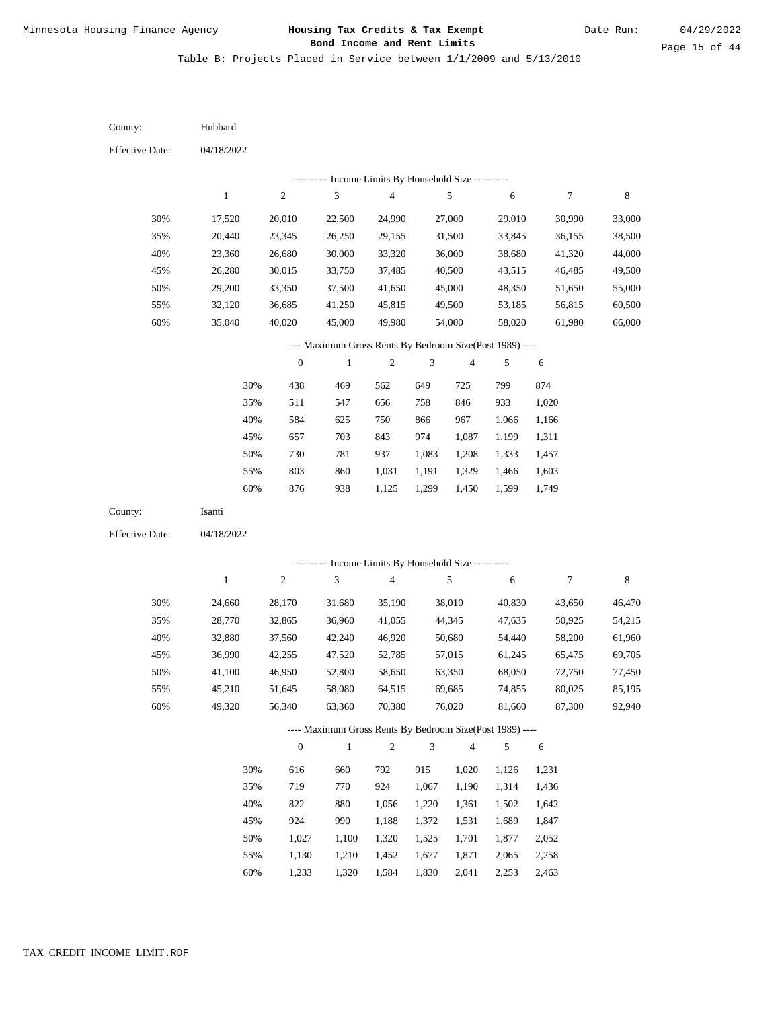Table B: Projects Placed in Service between 1/1/2009 and 5/13/2010

| County:                | Hubbard      |                  |                                                            |                         |                |                |            |            |        |
|------------------------|--------------|------------------|------------------------------------------------------------|-------------------------|----------------|----------------|------------|------------|--------|
| <b>Effective Date:</b> | 04/18/2022   |                  |                                                            |                         |                |                |            |            |        |
|                        |              |                  |                                                            |                         |                |                |            |            |        |
|                        | $\,1\,$      | $\sqrt{2}$       | ---------- Income Limits By Household Size ----------<br>3 | $\overline{\mathbf{4}}$ |                | $\sqrt{5}$     | $\sqrt{6}$ | $\tau$     | 8      |
| 30%                    | 17,520       | 20,010           | 22,500                                                     | 24,990                  |                | 27,000         | 29,010     | 30,990     | 33,000 |
| 35%                    | 20,440       | 23,345           | 26,250                                                     | 29,155                  |                | 31,500         | 33,845     | 36,155     | 38,500 |
| 40%                    | 23,360       | 26,680           | 30,000                                                     | 33,320                  |                | 36,000         | 38,680     | 41,320     | 44,000 |
| 45%                    | 26,280       | 30,015           | 33,750                                                     | 37,485                  |                | 40,500         | 43,515     | 46,485     | 49,500 |
| 50%                    | 29,200       | 33,350           | 37,500                                                     | 41,650                  |                | 45,000         | 48,350     | 51,650     | 55,000 |
| 55%                    | 32,120       | 36,685           | 41,250                                                     | 45,815                  |                | 49,500         | 53,185     | 56,815     | 60,500 |
| 60%                    | 35,040       | 40,020           | 45,000                                                     | 49,980                  |                | 54,000         | 58,020     | 61,980     | 66,000 |
|                        |              |                  | ---- Maximum Gross Rents By Bedroom Size(Post 1989) ----   |                         |                |                |            |            |        |
|                        |              | $\boldsymbol{0}$ | $\mathbf{1}$                                               | $\overline{c}$          | 3              | $\overline{4}$ | 5          | $\sqrt{6}$ |        |
|                        | 30%          | 438              | 469                                                        |                         | 649            |                | 799        | 874        |        |
|                        | 35%          | 511              | 547                                                        | 562<br>656              | 758            | 725<br>846     | 933        | 1,020      |        |
|                        | 40%          | 584              | 625                                                        | 750                     | 866            | 967            | 1,066      | 1,166      |        |
|                        | 45%          | 657              | 703                                                        | 843                     | 974            | 1,087          | 1,199      | 1,311      |        |
|                        | 50%          | 730              | 781                                                        | 937                     | 1,083          | 1,208          | 1,333      | 1,457      |        |
|                        | 55%          | 803              | 860                                                        | 1,031                   | 1,191          | 1,329          | 1,466      | 1,603      |        |
|                        | 60%          | 876              | 938                                                        | 1,125                   | 1,299          | 1,450          | 1,599      | 1,749      |        |
| County:                | Isanti       |                  |                                                            |                         |                |                |            |            |        |
| <b>Effective Date:</b> | 04/18/2022   |                  |                                                            |                         |                |                |            |            |        |
|                        |              |                  |                                                            |                         |                |                |            |            |        |
|                        |              |                  | --------- Income Limits By Household Size ----------       |                         |                |                |            |            |        |
|                        | $\mathbf{1}$ | $\sqrt{2}$       | 3                                                          | $\overline{\mathbf{4}}$ |                | $\sqrt{5}$     | 6          | $\tau$     | 8      |
| 30%                    | 24,660       | 28,170           | 31,680                                                     | 35,190                  |                | 38,010         | 40,830     | 43,650     | 46,470 |
| 35%                    | 28,770       | 32,865           | 36,960                                                     | 41,055                  |                | 44,345         | 47,635     | 50,925     | 54,215 |
| 40%                    | 32,880       | 37,560           | 42,240                                                     | 46,920                  |                | 50,680         | 54,440     | 58,200     | 61,960 |
| 45%                    | 36,990       | 42,255           | 47,520                                                     | 52,785                  |                | 57,015         | 61,245     | 65,475     | 69,705 |
| 50%                    | 41,100       | 46,950           | 52,800                                                     | 58,650                  |                | 63,350         | 68,050     | 72,750     | 77,450 |
| 55%                    | 45,210       | 51,645           | 58,080                                                     | 64,515                  |                | 69,685         | 74,855     | 80,025     | 85,195 |
| 60%                    | 49,320       | 56,340           | 63,360                                                     | 70,380                  |                | 76,020         | 81,660     | 87,300     | 92,940 |
|                        |              |                  | ---- Maximum Gross Rents By Bedroom Size(Post 1989) ----   |                         |                |                |            |            |        |
|                        |              | $\boldsymbol{0}$ | $\mathbf{1}$                                               | $\sqrt{2}$              | $\mathfrak{Z}$ | $\overline{4}$ | 5          | 6          |        |
|                        | 30%          | 616              | 660                                                        | 792                     | 915            | 1,020          | 1,126      | 1,231      |        |
|                        | 35%          | 719              | 770                                                        | 924                     | 1,067          | 1,190          | 1,314      | 1,436      |        |
|                        | 40%          | 822              | 880                                                        | 1,056                   | 1,220          | 1,361          | 1,502      | 1,642      |        |
|                        | 45%          | 924              | 990                                                        | 1,188                   | 1,372          | 1,531          | 1,689      | 1,847      |        |
|                        | 50%          | 1,027            | 1,100                                                      | 1,320                   | 1,525          | 1,701          | 1,877      | 2,052      |        |
|                        | 55%          | 1,130            | 1,210                                                      | 1,452                   | 1,677          | 1,871          | 2,065      | 2,258      |        |

1,233 1,320 1,584 1,830 2,041 2,253 2,463 60%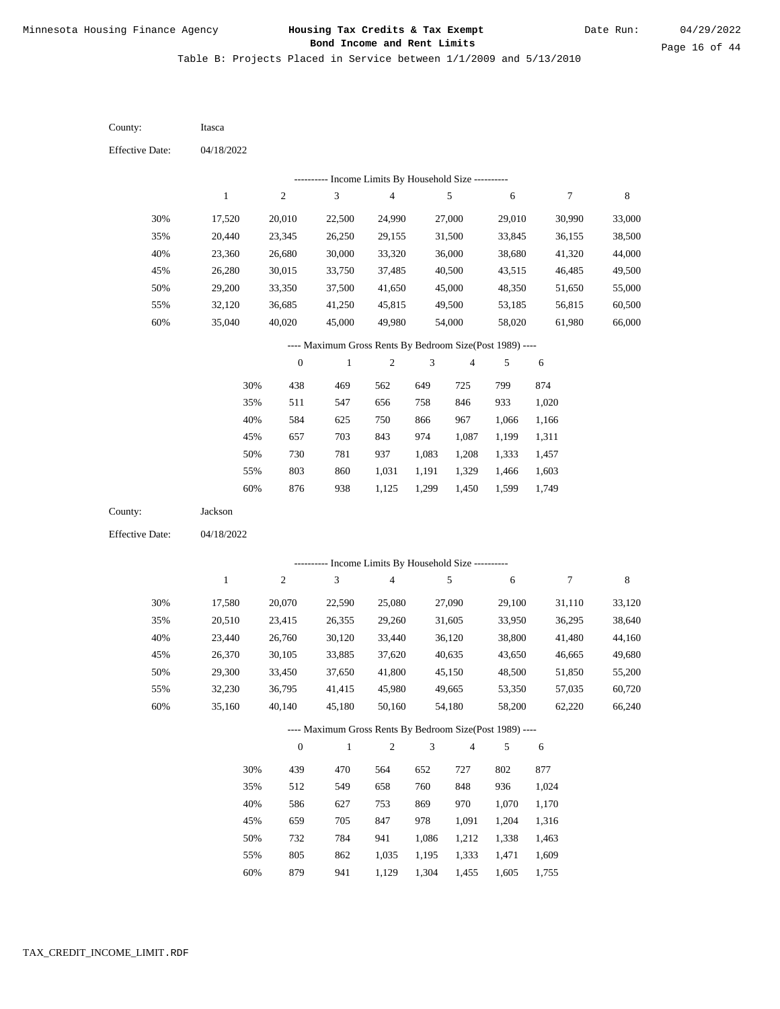Table B: Projects Placed in Service between 1/1/2009 and 5/13/2010

| County:                | Itasca       |                  |                                                          |                          |                |                         |            |              |         |
|------------------------|--------------|------------------|----------------------------------------------------------|--------------------------|----------------|-------------------------|------------|--------------|---------|
| <b>Effective Date:</b> | 04/18/2022   |                  |                                                          |                          |                |                         |            |              |         |
|                        |              |                  | ---------- Income Limits By Household Size ----------    |                          |                |                         |            |              |         |
|                        | $\mathbf{1}$ | $\boldsymbol{2}$ | 3                                                        | $\overline{\mathcal{A}}$ |                | 5                       | 6          | 7            | $\,8\,$ |
| 30%                    | 17,520       | 20,010           | 22,500                                                   | 24,990                   |                | 27,000                  | 29,010     | 30,990       | 33,000  |
| 35%                    | 20,440       | 23,345           | 26,250                                                   | 29,155                   |                | 31,500                  | 33,845     | 36,155       | 38,500  |
| 40%                    | 23,360       | 26,680           | 30,000                                                   | 33,320                   |                | 36,000                  | 38,680     | 41,320       | 44,000  |
| 45%                    | 26,280       | 30,015           | 33,750                                                   | 37,485                   |                | 40,500                  | 43,515     | 46,485       | 49,500  |
| 50%                    | 29,200       | 33,350           | 37,500                                                   | 41,650                   |                | 45,000                  | 48,350     | 51,650       | 55,000  |
| 55%                    | 32,120       | 36,685           | 41,250                                                   | 45,815                   |                | 49,500                  | 53,185     | 56,815       | 60,500  |
| 60%                    | 35,040       | 40,020           | 45,000                                                   | 49,980                   |                | 54,000                  | 58,020     | 61,980       | 66,000  |
|                        |              |                  | ---- Maximum Gross Rents By Bedroom Size(Post 1989) ---- |                          |                |                         |            |              |         |
|                        |              | $\boldsymbol{0}$ | $\mathbf{1}$                                             | $\boldsymbol{2}$         | 3              | 4                       | 5          | 6            |         |
|                        | 30%          | 438              | 469                                                      | 562                      | 649            | 725                     | 799        | 874          |         |
|                        | 35%          | 511              | 547                                                      | 656                      | 758            | 846                     | 933        | 1,020        |         |
|                        | 40%          | 584              | 625                                                      | 750                      | 866            | 967                     | 1,066      | 1,166        |         |
|                        | 45%          | 657              | 703                                                      | 843                      | 974            | 1,087                   | 1,199      | 1,311        |         |
|                        | 50%          | 730              | 781                                                      | 937                      | 1,083          | 1,208                   | 1,333      | 1,457        |         |
|                        | 55%          | 803              | 860                                                      | 1,031                    | 1,191          | 1,329                   | 1,466      | 1,603        |         |
|                        | 60%          | 876              | 938                                                      | 1,125                    | 1,299          | 1,450                   | 1,599      | 1,749        |         |
| County:                | Jackson      |                  |                                                          |                          |                |                         |            |              |         |
| <b>Effective Date:</b> | 04/18/2022   |                  |                                                          |                          |                |                         |            |              |         |
|                        |              |                  | --------- Income Limits By Household Size ----------     |                          |                |                         |            |              |         |
|                        | $\mathbf{1}$ | $\boldsymbol{2}$ | 3                                                        | $\overline{4}$           |                | 5                       | 6          | 7            | $\,8\,$ |
| 30%                    | 17,580       | 20,070           | 22,590                                                   | 25,080                   |                | 27,090                  | 29,100     | 31,110       | 33,120  |
| 35%                    | 20,510       | 23,415           | 26,355                                                   | 29,260                   |                | 31,605                  | 33,950     | 36,295       | 38,640  |
| 40%                    | 23,440       | 26,760           | 30,120                                                   | 33,440                   |                | 36,120                  | 38,800     | 41,480       | 44,160  |
| 45%                    | 26,370       | 30,105           | 33,885                                                   | 37,620                   |                | 40,635                  | 43,650     | 46,665       | 49,680  |
| 50%                    | 29,300       | 33,450           | 37,650                                                   | 41,800                   |                | 45,150                  | 48,500     | 51,850       | 55,200  |
| 55%                    | 32,230       | 36,795           | 41,415                                                   | 45,980                   |                | 49,665                  | 53,350     | 57,035       | 60,720  |
| 60%                    | 35,160       | 40,140           | 45,180                                                   | 50,160                   |                | 54,180                  | 58,200     | 62,220       | 66,240  |
|                        |              |                  | ---- Maximum Gross Rents By Bedroom Size(Post 1989) ---- |                          |                |                         |            |              |         |
|                        |              | $\boldsymbol{0}$ | $\,1$                                                    | $\sqrt{2}$               | $\mathfrak{Z}$ | $\overline{\mathbf{4}}$ | 5          | 6            |         |
|                        |              |                  |                                                          |                          |                |                         |            |              |         |
|                        | 30%<br>35%   | 439<br>512       | 470<br>549                                               | 564                      | 652<br>760     | 727<br>848              | 802<br>936 | 877<br>1,024 |         |
|                        | 40%          | 586              | 627                                                      | 658<br>753               | 869            | 970                     | 1,070      | 1,170        |         |
|                        | 45%          | 659              | 705                                                      | 847                      | 978            | 1,091                   | 1,204      | 1,316        |         |
|                        | 50%          | 732              | 784                                                      | 941                      | 1,086          | 1,212                   | 1,338      | 1,463        |         |
|                        | 55%          | 805              | 862                                                      | 1,035                    | 1,195          | 1,333                   | 1,471      | 1,609        |         |
|                        |              |                  |                                                          |                          |                |                         |            |              |         |

879 941 1,129 1,304 1,455 1,605 1,755 60%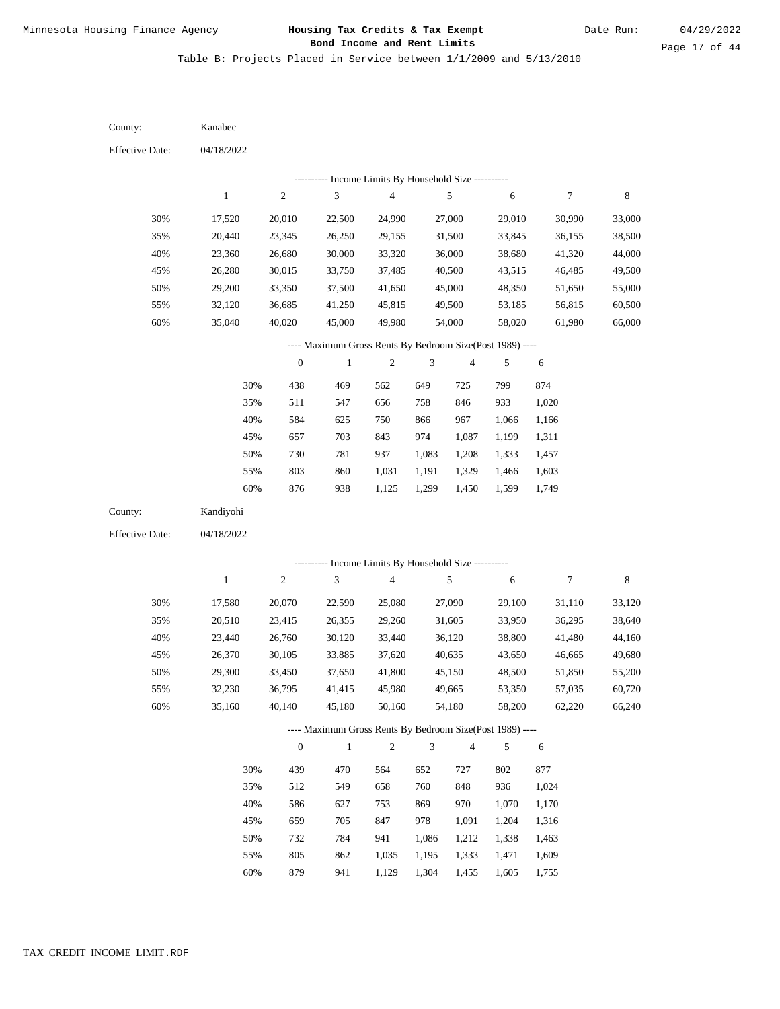Table B: Projects Placed in Service between 1/1/2009 and 5/13/2010

| County:                | Kanabec          |                  |                                                           |                         |                |                          |                  |                  |                  |
|------------------------|------------------|------------------|-----------------------------------------------------------|-------------------------|----------------|--------------------------|------------------|------------------|------------------|
| <b>Effective Date:</b> | 04/18/2022       |                  |                                                           |                         |                |                          |                  |                  |                  |
|                        |                  |                  | --------- Income Limits By Household Size ---------       |                         |                |                          |                  |                  |                  |
|                        | $\mathbf{1}$     | $\sqrt{2}$       | 3                                                         | $\overline{4}$          |                | $\sqrt{5}$               | 6                | $\boldsymbol{7}$ | $\,$ 8 $\,$      |
| 30%                    | 17,520           | 20,010           | 22,500                                                    | 24,990                  |                | 27,000                   | 29,010           | 30,990           | 33,000           |
| 35%                    | 20,440           | 23,345           | 26,250                                                    | 29,155                  |                | 31,500                   | 33,845           | 36,155           | 38,500           |
| 40%                    | 23,360           | 26,680           | 30,000                                                    | 33,320                  |                | 36,000                   | 38,680           | 41,320           | 44,000           |
| 45%                    | 26,280           | 30,015           | 33,750                                                    | 37,485                  |                | 40,500                   | 43,515           | 46,485           | 49,500           |
| 50%                    | 29,200           | 33,350           | 37,500                                                    | 41,650                  |                | 45,000                   | 48,350           | 51,650           | 55,000           |
| 55%                    | 32,120           | 36,685           | 41,250                                                    | 45,815                  |                | 49,500                   | 53,185           | 56,815           | 60,500           |
| 60%                    | 35,040           | 40,020           | 45,000                                                    | 49,980                  |                | 54,000                   | 58,020           | 61,980           | 66,000           |
|                        |                  |                  | ---- Maximum Gross Rents By Bedroom Size(Post 1989) ----  |                         |                |                          |                  |                  |                  |
|                        |                  | $\boldsymbol{0}$ | $\mathbf{1}$                                              | $\mathfrak{2}$          | 3              | $\overline{\mathbf{4}}$  | 5                | $\sqrt{6}$       |                  |
|                        | 30%              | 438              | 469                                                       | 562                     | 649            | 725                      | 799              | 874              |                  |
|                        | 35%              | 511              | 547                                                       | 656                     | 758            | 846                      | 933              | 1,020            |                  |
|                        | 40%              | 584              | 625                                                       | 750                     | 866            | 967                      | 1,066            | 1,166            |                  |
|                        | 45%              | 657              | 703                                                       | 843                     | 974            | 1,087                    | 1,199            | 1,311            |                  |
|                        | 50%              | 730              | 781                                                       | 937                     | 1,083          | 1,208                    | 1,333            | 1,457            |                  |
|                        | 55%              | 803              | 860                                                       | 1,031                   | 1,191          | 1,329                    | 1,466            | 1,603            |                  |
|                        | 60%              | 876              | 938                                                       | 1,125                   | 1,299          | 1,450                    | 1,599            | 1,749            |                  |
| County:                | Kandiyohi        |                  |                                                           |                         |                |                          |                  |                  |                  |
| <b>Effective Date:</b> | 04/18/2022       |                  |                                                           |                         |                |                          |                  |                  |                  |
|                        |                  |                  |                                                           |                         |                |                          |                  |                  |                  |
|                        | $\mathbf{1}$     | $\sqrt{2}$       | --------- Income Limits By Household Size ----------<br>3 | $\overline{\mathbf{4}}$ |                | $\sqrt{5}$               | 6                | $\boldsymbol{7}$ | $\,$ 8 $\,$      |
|                        |                  |                  |                                                           |                         |                |                          |                  |                  |                  |
| 30%                    | 17,580           | 20,070           | 22,590                                                    | 25,080                  |                | 27,090                   | 29,100           | 31,110           | 33,120           |
| 35%                    | 20,510           | 23,415           | 26,355                                                    | 29,260                  |                | 31,605                   | 33,950           | 36,295           | 38,640           |
| 40%                    | 23,440           | 26,760           | 30,120                                                    | 33,440                  |                | 36,120                   | 38,800           | 41,480           | 44,160           |
| 45%                    | 26,370           | 30,105           | 33,885                                                    | 37,620                  |                | 40,635                   | 43,650           | 46,665           | 49,680           |
| 50%                    | 29,300           | 33,450           | 37,650                                                    | 41,800                  |                | 45,150                   | 48,500           | 51,850           | 55,200<br>60,720 |
| 55%                    | 32,230<br>35,160 | 36,795<br>40,140 | 41,415<br>45,180                                          | 45,980<br>50,160        |                | 49,665<br>54,180         | 53,350<br>58,200 | 57,035<br>62,220 | 66,240           |
| 60%                    |                  |                  |                                                           |                         |                |                          |                  |                  |                  |
|                        |                  |                  | ---- Maximum Gross Rents By Bedroom Size(Post 1989) ----  |                         |                |                          |                  |                  |                  |
|                        |                  | $\boldsymbol{0}$ | $\mathbf{1}$                                              | $\sqrt{2}$              | $\mathfrak{Z}$ | $\overline{\mathcal{A}}$ | 5                | 6                |                  |
|                        | 30%              | 439              | 470                                                       | 564                     | 652            | 727                      | 802              | 877              |                  |
|                        | 35%              | 512              | 549                                                       | 658                     | 760            | 848                      | 936              | 1,024            |                  |
|                        | 40%              | 586              | 627                                                       | 753                     | 869            | 970                      | 1,070            | 1,170            |                  |
|                        | 45%              | 659              | 705                                                       | 847                     | 978            | 1,091                    | 1,204            | 1,316            |                  |
|                        | 50%              | 732              | 784                                                       | 941                     | 1,086          | 1,212                    | 1,338            | 1,463            |                  |
|                        | 55%              | 805              | 862                                                       | 1,035                   | 1,195          | 1,333                    | 1,471            | 1,609            |                  |

879 941 1,129 1,304 1,455 1,605 1,755 60%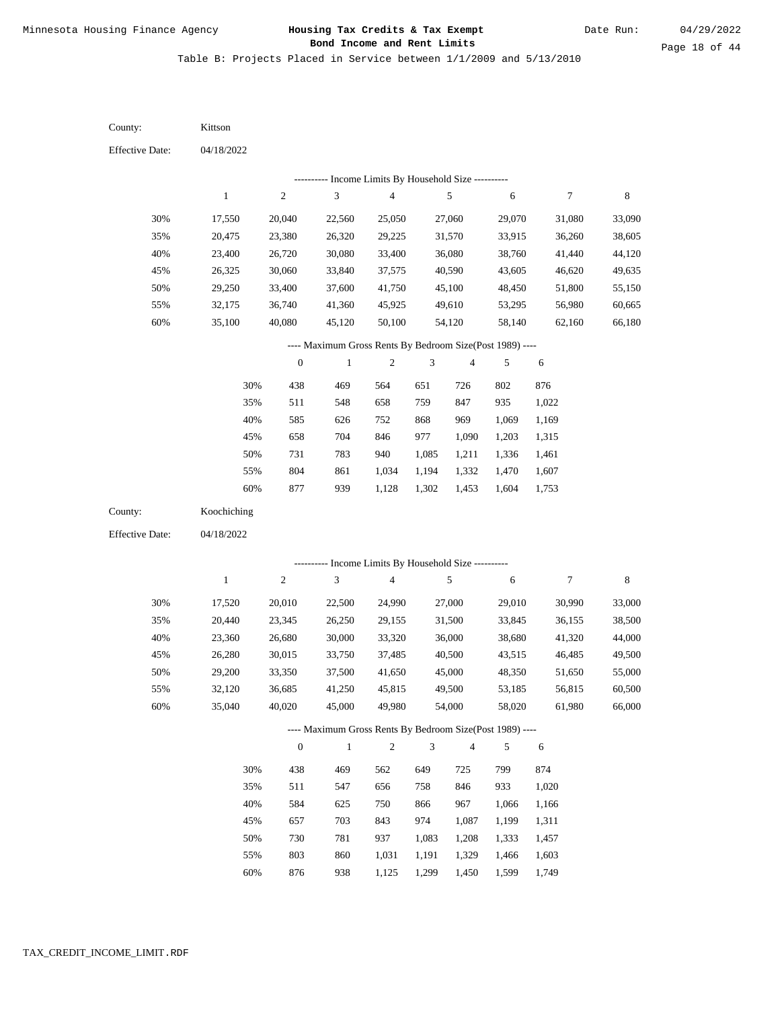Table B: Projects Placed in Service between 1/1/2009 and 5/13/2010

| County:                | Kittson      |                  |                                                          |                                            |                |        |        |                |        |
|------------------------|--------------|------------------|----------------------------------------------------------|--------------------------------------------|----------------|--------|--------|----------------|--------|
| <b>Effective Date:</b> | 04/18/2022   |                  |                                                          |                                            |                |        |        |                |        |
|                        |              |                  |                                                          | Income Limits By Household Size ---------- |                |        |        |                |        |
|                        | $\mathbf{1}$ | $\sqrt{2}$       | 3                                                        | $\overline{\mathcal{L}}$                   |                | 5      | 6      | 7              | 8      |
| 30%                    | 17,550       | 20,040           | 22,560                                                   | 25,050                                     |                | 27,060 | 29,070 | 31,080         | 33,090 |
| 35%                    | 20,475       | 23,380           | 26,320                                                   | 29,225                                     |                | 31,570 | 33,915 | 36,260         | 38,605 |
| 40%                    | 23,400       | 26,720           | 30,080                                                   | 33,400                                     |                | 36,080 | 38,760 | 41,440         | 44,120 |
| 45%                    | 26,325       | 30,060           | 33,840                                                   | 37,575                                     |                | 40,590 | 43,605 | 46,620         | 49,635 |
| 50%                    | 29,250       | 33,400           | 37,600                                                   | 41,750                                     |                | 45,100 | 48,450 | 51,800         | 55,150 |
| 55%                    | 32,175       | 36,740           | 41,360                                                   | 45,925                                     |                | 49,610 | 53,295 | 56,980         | 60,665 |
| 60%                    | 35,100       | 40,080           | 45,120                                                   | 50,100                                     |                | 54,120 | 58,140 | 62,160         | 66,180 |
|                        |              |                  | ---- Maximum Gross Rents By Bedroom Size(Post 1989) ---- |                                            |                |        |        |                |        |
|                        |              | $\boldsymbol{0}$ | 1                                                        | $\mathfrak{2}$                             | 3              | 4      | 5      | 6              |        |
|                        | 30%          | 438              | 469                                                      | 564                                        | 651            | 726    | 802    | 876            |        |
|                        | 35%          | 511              | 548                                                      | 658                                        | 759            | 847    | 935    | 1,022          |        |
|                        | 40%          | 585              | 626                                                      | 752                                        | 868            | 969    | 1,069  | 1,169          |        |
|                        | 45%          | 658              | 704                                                      | 846                                        | 977            | 1,090  | 1,203  | 1,315          |        |
|                        | 50%          | 731              | 783                                                      | 940                                        | 1,085          | 1,211  | 1,336  | 1,461          |        |
|                        | 55%          | 804              | 861                                                      | 1,034                                      | 1,194          | 1,332  | 1,470  | 1,607          |        |
|                        | 60%          | 877              | 939                                                      | 1,128                                      | 1,302          | 1,453  | 1,604  | 1,753          |        |
| County:                | Koochiching  |                  |                                                          |                                            |                |        |        |                |        |
| <b>Effective Date:</b> | 04/18/2022   |                  |                                                          |                                            |                |        |        |                |        |
|                        |              |                  | --------- Income Limits By Household Size ----------     |                                            |                |        |        |                |        |
|                        | $\,1$        | $\sqrt{2}$       | 3                                                        | $\overline{4}$                             |                | 5      | 6      | $\overline{7}$ | 8      |
| 30%                    | 17,520       | 20,010           | 22,500                                                   | 24,990                                     |                | 27,000 | 29,010 | 30,990         | 33,000 |
| 35%                    | 20,440       | 23,345           | 26,250                                                   | 29,155                                     |                | 31,500 | 33,845 | 36,155         | 38,500 |
| 40%                    | 23,360       | 26,680           | 30,000                                                   | 33,320                                     |                | 36,000 | 38,680 | 41,320         | 44,000 |
| 45%                    | 26,280       | 30,015           | 33,750                                                   | 37,485                                     |                | 40,500 | 43,515 | 46,485         | 49,500 |
| 50%                    | 29,200       | 33,350           | 37,500                                                   | 41,650                                     |                | 45,000 | 48,350 | 51,650         | 55,000 |
| 55%                    | 32,120       | 36,685           | 41,250                                                   | 45,815                                     |                | 49,500 | 53,185 | 56,815         | 60,500 |
| 60%                    | 35,040       | 40,020           | 45,000                                                   | 49,980                                     |                | 54,000 | 58,020 | 61,980         | 66,000 |
|                        |              |                  | ---- Maximum Gross Rents By Bedroom Size(Post 1989) ---- |                                            |                |        |        |                |        |
|                        |              | $\boldsymbol{0}$ | $\mathbf{1}$                                             | $\sqrt{2}$                                 | $\mathfrak{Z}$ | 4      | 5      | 6              |        |
|                        | 30%          | 438              | 469                                                      | 562                                        | 649            | 725    | 799    | 874            |        |
|                        | 35%          | 511              | 547                                                      | 656                                        | 758            | 846    | 933    | 1,020          |        |
|                        | 40%          | 584              | 625                                                      | 750                                        | 866            | 967    | 1,066  | 1,166          |        |
|                        | 45%          | 657              | 703                                                      | 843                                        | 974            | 1,087  | 1,199  | 1,311          |        |
|                        | 50%          | 730              | 781                                                      | 937                                        | 1,083          | 1,208  | 1,333  | 1,457          |        |
|                        | 55%          | 803              | 860                                                      | 1,031                                      | 1,191          | 1,329  | 1,466  | 1,603          |        |

876 938 1,125 1,299 1,450 1,599 1,749 60%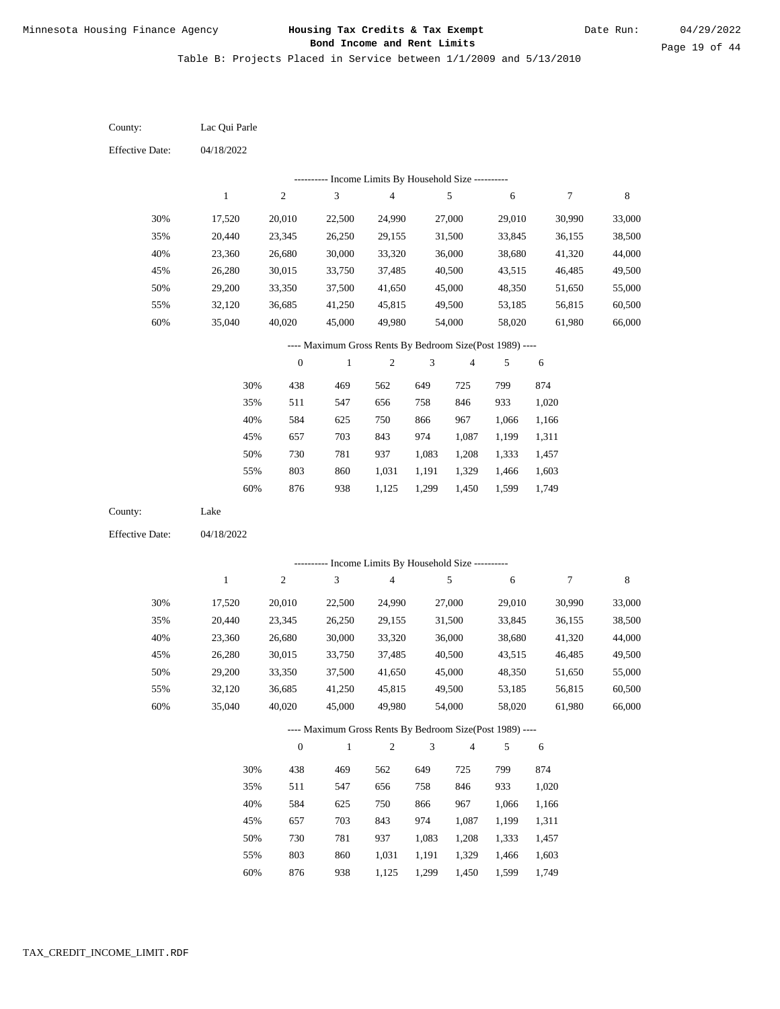Table B: Projects Placed in Service between 1/1/2009 and 5/13/2010

04/18/2022 04/18/2022 Lac Qui Parle Lake 30% 35% 40% 45% 50% 55% 60% 30% 35% 40% 45% 50% 55% 60% 17,520 20,440 23,360 26,280 29,200 32,120 35,040 17,520 20,440 23,360 26,280 29,200 32,120 35,040 20,010 23,345 26,680 30,015 33,350 36,685 40,020 20,010 23,345 26,680 30,015 33,350 36,685 40,020 22,500 26,250 30,000 33,750 37,500 41,250 45,000 22,500 26,250 30,000 33,750 37,500 41,250 45,000 24,990 29,155 33,320 37,485 41,650 45,815 49,980 24,990 29,155 33,320 37,485 41,650 45,815 49,980 27,000 31,500 36,000 40,500 45,000 49,500 54,000 27,000 31,500 36,000 40,500 45,000 49,500 54,000 29,010 33,845 38,680 43,515 48,350 53,185 58,020 29,010 33,845 38,680 43,515 48,350 53,185 58,020 30,990 36,155 41,320 46,485 51,650 56,815 61,980 30,990 36,155 41,320 46,485 51,650 56,815 61,980 33,000 38,500 44,000 49,500 55,000 60,500 66,000 33,000 38,500 44,000 49,500 55,000 60,500 66,000 438 511 584 657 730 803 876 438 511 584 657 730 803 876 469 547 625 703 781 860 938 469 547 625 703 781 860 938 562 656 750 843 937 1,031 1,125 562 656 750 843 937 1,031 1,125 649 758 866 974 1,083 1,191 1,299 649 758 866 974 1,083 1,191 1,299 725 846 967 1,087 1,208 1,329 1,450 725 846 967 1,087 1,208 1,329 1,450 799 933 1,066 1,199 1,333 1,466 1,599 799 933 1,066 1,199 1,333 1,466 1,599 874 1,020 1,166 1,311 1,457 1,603 1,749 874 1,020 1,166 1,311 1,457 1,603 1,749 County: County: Effective Date: Effective Date: 1 1 2 2 3 3 4 4 5 5 6 6 7 7 8 8 0 0 1 1 2 2 3 3 4 4 5 5 6 6 ---------- Income Limits By Household Size ---------- ---------- Income Limits By Household Size ---------- ---- Maximum Gross Rents By Bedroom Size(Post 1989) ---- ---- Maximum Gross Rents By Bedroom Size(Post 1989) ---- 30% 35% 40% 45% 50% 55% 60% 30% 35% 40% 45% 50% 55% 60%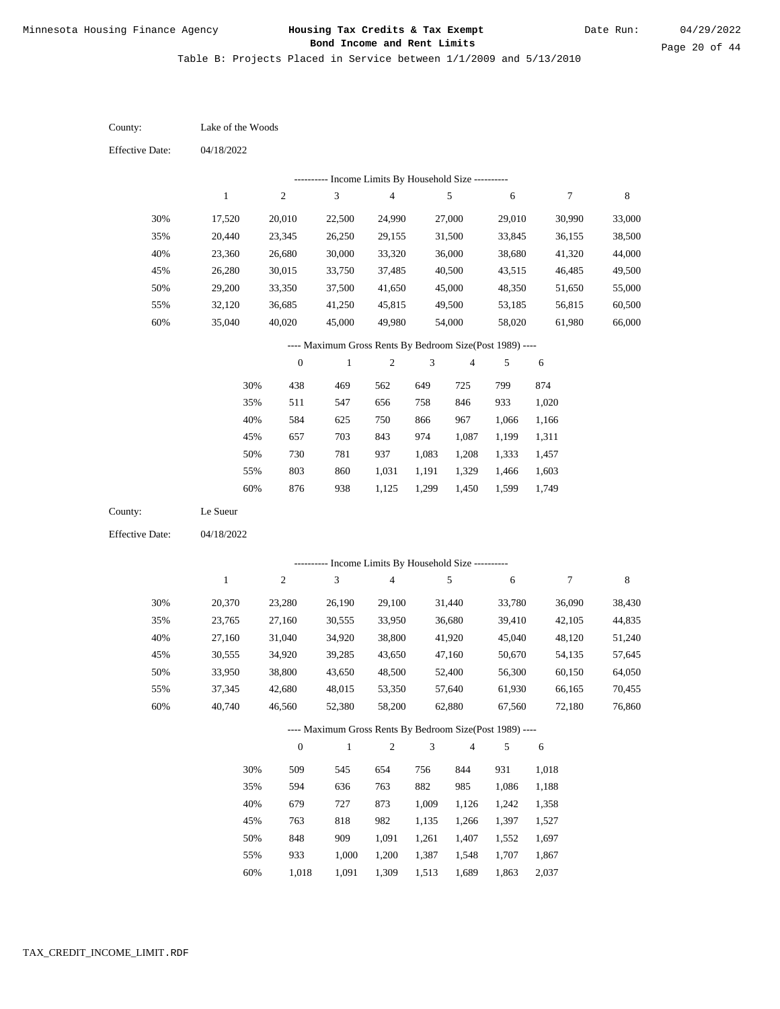Table B: Projects Placed in Service between 1/1/2009 and 5/13/2010

04/18/2022 04/18/2022 Lake of the Woods Le Sueur 30% 35% 40% 45% 50% 55% 60% 30% 35% 40% 45% 50% 55% 60% 17,520 20,440 23,360 26,280 29,200 32,120 35,040 20,370 23,765 27,160 30,555 33,950 37,345 40,740 20,010 23,345 26,680 30,015 33,350 36,685 40,020 23,280 27,160 31,040 34,920 38,800 42,680 46,560 22,500 26,250 30,000 33,750 37,500 41,250 45,000 26,190 30,555 34,920 39,285 43,650 48,015 52,380 24,990 29,155 33,320 37,485 41,650 45,815 49,980 29,100 33,950 38,800 43,650 48,500 53,350 58,200 27,000 31,500 36,000 40,500 45,000 49,500 54,000 31,440 36,680 41,920 47,160 52,400 57,640 62,880 29,010 33,845 38,680 43,515 48,350 53,185 58,020 33,780 39,410 45,040 50,670 56,300 61,930 67,560 30,990 36,155 41,320 46,485 51,650 56,815 61,980 36,090 42,105 48,120 54,135 60,150 66,165 72,180 33,000 38,500 44,000 49,500 55,000 60,500 66,000 38,430 44,835 51,240 57,645 64,050 70,455 76,860 438 511 584 657 730 803 876 509 594 679 763 848 933 469 547 625 703 781 860 938 545 636 727 818 909 1,000 562 656 750 843 937 1,031 1,125 654 763 873 982 1,091 1,200 649 758 866 974 1,083 1,191 1,299 756 882 1,009 1,135 1,261 1,387 725 846 967 1,087 1,208 1,329 1,450 844 985 1,126 1,266 1,407 1,548 799 933 1,066 1,199 1,333 1,466 1,599 931 1,086 1,242 1,397 1,552 1,707 874 1,020 1,166 1,311 1,457 1,603 1,749 1,018 1,188 1,358 1,527 1,697 1,867 County: County: Effective Date: Effective Date: 1 1 2 2 3 3 4 4 5 5 6 6 7 7 8 8 0 0 1 1 2 2 3 3 4 4 5 5 6 6 ---------- Income Limits By Household Size ---------- ---------- Income Limits By Household Size ---------- ---- Maximum Gross Rents By Bedroom Size(Post 1989) ---- ---- Maximum Gross Rents By Bedroom Size(Post 1989) ---- 30% 35% 40% 45% 50% 55% 60% 30% 35% 40% 45% 50% 55%

1,018

60%

1,091

1,309

1,513

1,689

1,863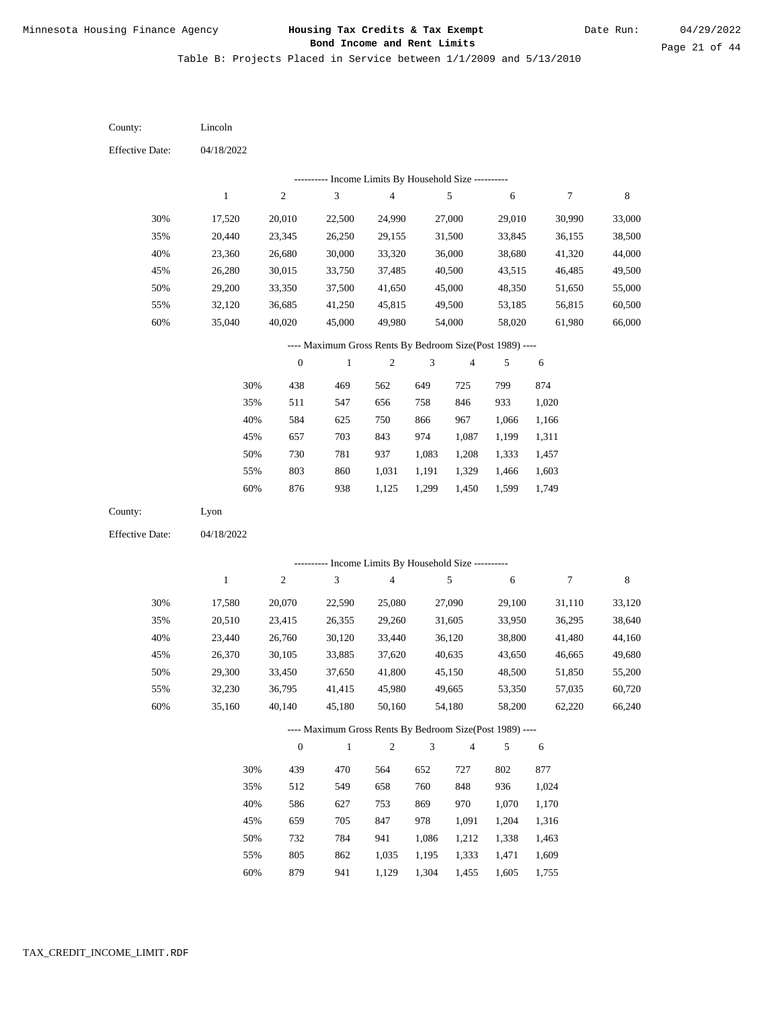Table B: Projects Placed in Service between 1/1/2009 and 5/13/2010

04/18/2022 04/18/2022 Lincoln Lyon 30% 35% 40% 45% 50% 55% 60% 30% 35% 40% 45% 50% 55% 60% 17,520 20,440 23,360 26,280 29,200 32,120 35,040 17,580 20,510 23,440 26,370 29,300 32,230 35,160 20,010 23,345 26,680 30,015 33,350 36,685 40,020 20,070 23,415 26,760 30,105 33,450 36,795 40,140 22,500 26,250 30,000 33,750 37,500 41,250 45,000 22,590 26,355 30,120 33,885 37,650 41,415 45,180 24,990 29,155 33,320 37,485 41,650 45,815 49,980 25,080 29,260 33,440 37,620 41,800 45,980 50,160 27,000 31,500 36,000 40,500 45,000 49,500 54,000 27,090 31,605 36,120 40,635 45,150 49,665 54,180 29,010 33,845 38,680 43,515 48,350 53,185 58,020 29,100 33,950 38,800 43,650 48,500 53,350 58,200 30,990 36,155 41,320 46,485 51,650 56,815 61,980 31,110 36,295 41,480 46,665 51,850 57,035 62,220 33,000 38,500 44,000 49,500 55,000 60,500 66,000 33,120 38,640 44,160 49,680 55,200 60,720 66,240 438 511 584 657 730 803 876 439 512 586 659 732 805 469 547 625 703 781 860 938 470 549 627 705 784 862 562 656 750 843 937 1,031 1,125 564 658 753 847 941 1,035 649 758 866 974 1,083 1,191 1,299 652 760 869 978 1,086 1,195 725 846 967 1,087 1,208 1,329 1,450 727 848 970 1,091 1,212 1,333 799 933 1,066 1,199 1,333 1,466 1,599 802 936 1,070 1,204 1,338 1,471 874 1,020 1,166 1,311 1,457 1,603 1,749 877 1,024 1,170 1,316 1,463 1,609 County: County: Effective Date: Effective Date: 1 1 2 2 3 3 4 4 5 5 6 6 7 7 8 8 0 0 1 1 2 2 3 3 4 4 5 5 6 6 ---------- Income Limits By Household Size ---------- ---------- Income Limits By Household Size ---------- ---- Maximum Gross Rents By Bedroom Size(Post 1989) ---- ---- Maximum Gross Rents By Bedroom Size(Post 1989) ---- 30% 35% 40% 45% 50% 55% 60% 30% 35% 40% 45% 50% 55%

879

60%

941

1,129

1,304

1,455

1,605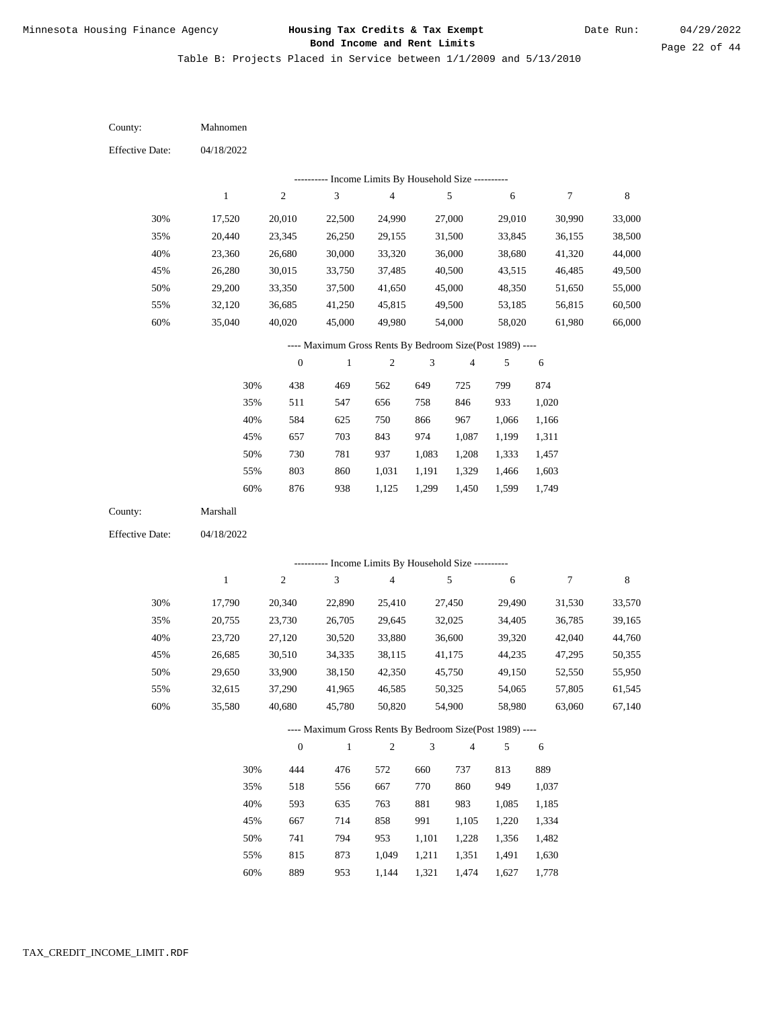Table B: Projects Placed in Service between 1/1/2009 and 5/13/2010

| County:                | Mahnomen     |                  |                                                                         |                         |                |                |            |            |        |
|------------------------|--------------|------------------|-------------------------------------------------------------------------|-------------------------|----------------|----------------|------------|------------|--------|
| Effective Date:        | 04/18/2022   |                  |                                                                         |                         |                |                |            |            |        |
|                        |              |                  | --------- Income Limits By Household Size ----------                    |                         |                |                |            |            |        |
|                        | $\,1$        | $\sqrt{2}$       | $\overline{3}$                                                          | $\overline{\mathbf{4}}$ |                | $\sqrt{5}$     | 6          | 7          | 8      |
| 30%                    | 17,520       | 20,010           | 22,500                                                                  | 24,990                  |                | 27,000         | 29,010     | 30,990     | 33,000 |
| 35%                    | 20,440       | 23,345           | 26,250                                                                  | 29,155                  |                | 31,500         | 33,845     | 36,155     | 38,500 |
| 40%                    | 23,360       | 26,680           | 30,000                                                                  | 33,320                  |                | 36,000         | 38,680     | 41,320     | 44,000 |
| 45%                    | 26,280       | 30,015           | 33,750                                                                  | 37,485                  |                | 40,500         | 43,515     | 46,485     | 49,500 |
| 50%                    | 29,200       | 33,350           | 37,500                                                                  | 41,650                  |                | 45,000         | 48,350     | 51,650     | 55,000 |
| 55%                    | 32,120       | 36,685           | 41,250                                                                  | 45,815                  |                | 49,500         | 53,185     | 56,815     | 60,500 |
| 60%                    | 35,040       | 40,020           | 45,000                                                                  | 49,980                  |                | 54,000         | 58,020     | 61,980     | 66,000 |
|                        |              |                  | ---- Maximum Gross Rents By Bedroom Size(Post 1989) ----                |                         |                |                |            |            |        |
|                        |              | $\boldsymbol{0}$ | $\mathbf{1}$                                                            | $\boldsymbol{2}$        | 3              | $\overline{4}$ | 5          | 6          |        |
|                        | 30%          | 438              | 469                                                                     | 562                     | 649            | 725            | 799        | 874        |        |
|                        | 35%          | 511              | 547                                                                     | 656                     | 758            | 846            | 933        | 1,020      |        |
|                        | 40%          | 584              | 625                                                                     | 750                     | 866            | 967            | 1,066      | 1,166      |        |
|                        | 45%          | 657              | 703                                                                     | 843                     | 974            | 1,087          | 1,199      | 1,311      |        |
|                        | 50%          | 730              | 781                                                                     | 937                     | 1,083          | 1,208          | 1,333      | 1,457      |        |
|                        | 55%          | 803              | 860                                                                     | 1,031                   | 1,191          | 1,329          | 1,466      | 1,603      |        |
|                        | 60%          | 876              | 938                                                                     | 1,125                   | 1,299          | 1,450          | 1,599      | 1,749      |        |
| County:                | Marshall     |                  |                                                                         |                         |                |                |            |            |        |
| <b>Effective Date:</b> | 04/18/2022   |                  |                                                                         |                         |                |                |            |            |        |
|                        |              |                  |                                                                         |                         |                |                |            |            |        |
|                        | $\mathbf{1}$ | $\sqrt{2}$       | ---------- Income Limits By Household Size ----------<br>$\mathfrak{Z}$ | $\overline{4}$          |                | $\sqrt{5}$     | $\sqrt{6}$ | 7          | 8      |
|                        |              |                  |                                                                         |                         |                |                |            |            |        |
| 30%                    | 17,790       | 20,340           | 22,890                                                                  | 25,410                  |                | 27,450         | 29,490     | 31,530     | 33,570 |
| 35%                    | 20,755       | 23,730           | 26,705                                                                  | 29,645                  |                | 32,025         | 34,405     | 36,785     | 39,165 |
| 40%                    | 23,720       | 27,120           | 30,520                                                                  | 33,880                  |                | 36,600         | 39,320     | 42,040     | 44,760 |
| 45%                    | 26,685       | 30,510           | 34,335                                                                  | 38,115                  |                | 41,175         | 44,235     | 47,295     | 50,355 |
| 50%                    | 29,650       | 33,900           | 38,150                                                                  | 42,350                  |                | 45,750         | 49,150     | 52,550     | 55,950 |
| 55%                    | 32,615       | 37,290           | 41,965                                                                  | 46,585                  |                | 50,325         | 54,065     | 57,805     | 61,545 |
| 60%                    | 35,580       | 40,680           | 45,780                                                                  | 50,820                  |                | 54,900         | 58,980     | 63,060     | 67,140 |
|                        |              |                  | ---- Maximum Gross Rents By Bedroom Size(Post 1989) ----                |                         |                |                |            |            |        |
|                        |              | $\boldsymbol{0}$ | $\mathbf{1}$                                                            | $\sqrt{2}$              | $\mathfrak{Z}$ | $\overline{4}$ | 5          | $\sqrt{6}$ |        |
|                        | 30%          | 444              | 476                                                                     | 572                     | 660            | 737            | 813        | 889        |        |
|                        | 35%          | 518              | 556                                                                     | 667                     | 770            | 860            | 949        | 1,037      |        |
|                        | 40%          | 593              | 635                                                                     | 763                     | 881            | 983            | 1,085      | 1,185      |        |
|                        | 45%          | 667              | 714                                                                     | 858                     | 991            | 1,105          | 1,220      | 1,334      |        |
|                        | 50%          | 741              | 794                                                                     | 953                     | 1,101          | 1,228          | 1,356      | 1,482      |        |
|                        | 55%          | 815              | 873                                                                     | 1,049                   | 1,211          | 1,351          | 1,491      | 1,630      |        |

889 953 1,144 1,321 1,474 1,627 1,778 60%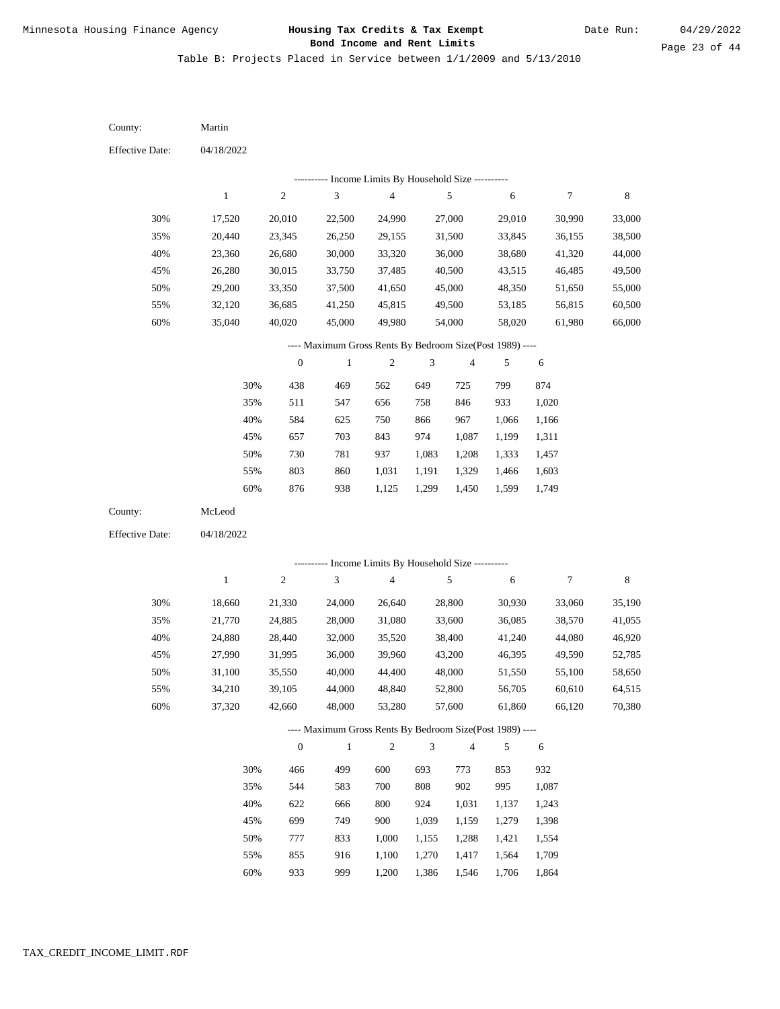Table B: Projects Placed in Service between 1/1/2009 and 5/13/2010

04/18/2022 04/18/2022 Martin McLeod 30% 35% 40% 45% 50% 55% 60% 30% 35% 40% 45% 50% 55% 60% 17,520 20,440 23,360 26,280 29,200 32,120 35,040 18,660 21,770 24,880 27,990 31,100 34,210 37,320 20,010 23,345 26,680 30,015 33,350 36,685 40,020 21,330 24,885 28,440 31,995 35,550 39,105 42,660 22,500 26,250 30,000 33,750 37,500 41,250 45,000 24,000 28,000 32,000 36,000 40,000 44,000 48,000 24,990 29,155 33,320 37,485 41,650 45,815 49,980 26,640 31,080 35,520 39,960 44,400 48,840 53,280 27,000 31,500 36,000 40,500 45,000 49,500 54,000 28,800 33,600 38,400 43,200 48,000 52,800 57,600 29,010 33,845 38,680 43,515 48,350 53,185 58,020 30,930 36,085 41,240 46,395 51,550 56,705 61,860 30,990 36,155 41,320 46,485 51,650 56,815 61,980 33,060 38,570 44,080 49,590 55,100 60,610 66,120 33,000 38,500 44,000 49,500 55,000 60,500 66,000 35,190 41,055 46,920 52,785 58,650 64,515 70,380 438 511 584 657 730 803 876 466 544 622 699 777 855 469 547 625 703 781 860 938 499 583 666 749 833 916 562 656 750 843 937 1,031 1,125 600 700 800 900 1,000 1,100 649 758 866 974 1,083 1,191 1,299 693 808 924 1,039 1,155 1,270 725 846 967 1,087 1,208 1,329 1,450 773 902 1,031 1,159 1,288 1,417 799 933 1,066 1,199 1,333 1,466 1,599 853 995 1,137 1,279 1,421 1,564 874 1,020 1,166 1,311 1,457 1,603 1,749 932 1,087 1,243 1,398 1,554 1,709 County: County: Effective Date: Effective Date: 1 1 2 2 3 3 4 4 5 5 6 6 7 7 8 8 0 0 1 1 2 2 3 3 4 4 5 5 6 6 ---------- Income Limits By Household Size ---------- ---------- Income Limits By Household Size ---------- ---- Maximum Gross Rents By Bedroom Size(Post 1989) ---- ---- Maximum Gross Rents By Bedroom Size(Post 1989) ---- 30% 35% 40% 45% 50% 55% 60% 30% 35% 40% 45% 50% 55%

933

60%

999

1,200

1,386

1,546

1,706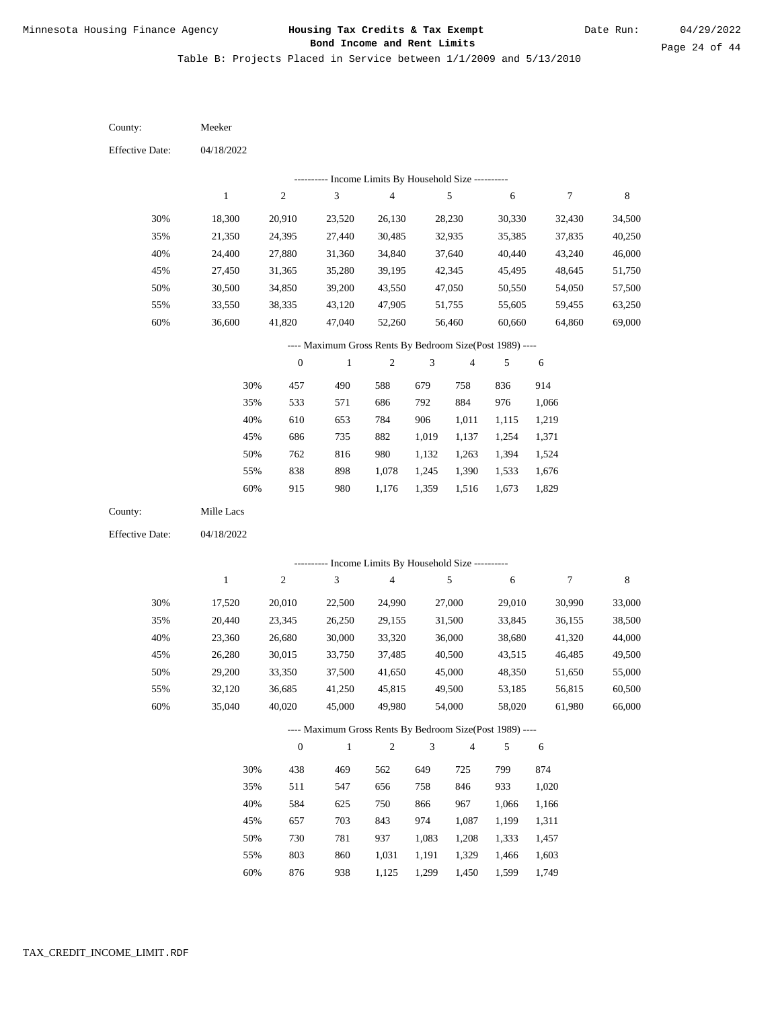Table B: Projects Placed in Service between 1/1/2009 and 5/13/2010

| County:                | Meeker                                                   |                  |                                                                   |                          |                |                         |                  |                  |                  |  |
|------------------------|----------------------------------------------------------|------------------|-------------------------------------------------------------------|--------------------------|----------------|-------------------------|------------------|------------------|------------------|--|
| <b>Effective Date:</b> | 04/18/2022                                               |                  |                                                                   |                          |                |                         |                  |                  |                  |  |
|                        |                                                          |                  | ---------- Income Limits By Household Size ----------             |                          |                |                         |                  |                  |                  |  |
|                        | $\mathbf{1}$                                             | $\mathfrak{2}$   | $\sqrt{3}$                                                        | $\overline{\mathcal{L}}$ |                | $\sqrt{5}$              | 6                | 7                | 8                |  |
| 30%                    | 18,300                                                   | 20,910           | 23,520                                                            | 26,130                   |                | 28,230                  | 30,330           | 32,430           | 34,500           |  |
| 35%                    | 21,350                                                   | 24,395           | 27,440                                                            | 30,485                   |                | 32,935                  | 35,385           | 37,835           | 40,250           |  |
| 40%                    | 24,400                                                   | 27,880           | 31,360                                                            | 34,840                   |                | 37,640                  | 40,440           | 43,240           | 46,000           |  |
| 45%                    | 27,450                                                   | 31,365           | 35,280                                                            | 39,195                   |                | 42,345                  | 45,495           | 48,645           | 51,750           |  |
| 50%                    | 30,500                                                   | 34,850           | 39,200                                                            | 43,550                   |                | 47,050                  | 50,550           | 54,050           | 57,500           |  |
| 55%                    | 33,550                                                   | 38,335           | 43,120                                                            | 47,905                   |                | 51,755                  | 55,605           | 59,455           | 63,250           |  |
| 60%                    | 36,600                                                   | 41,820           | 47,040                                                            | 52,260                   |                | 56,460                  | 60,660           | 64,860           | 69,000           |  |
|                        | ---- Maximum Gross Rents By Bedroom Size(Post 1989) ---- |                  |                                                                   |                          |                |                         |                  |                  |                  |  |
|                        |                                                          | $\boldsymbol{0}$ | $\mathbf{1}$                                                      | $\boldsymbol{2}$         | 3              | 4                       | 5                | 6                |                  |  |
|                        | 30%                                                      | 457              | 490                                                               | 588                      | 679            | 758                     | 836              | 914              |                  |  |
|                        | 35%                                                      | 533              | 571                                                               | 686                      | 792            | 884                     | 976              | 1,066            |                  |  |
|                        | 40%                                                      | 610              | 653                                                               | 784                      | 906            | 1,011                   | 1,115            | 1,219            |                  |  |
|                        | 45%                                                      | 686              | 735                                                               | 882                      | 1,019          | 1,137                   | 1,254            | 1,371            |                  |  |
|                        | 50%                                                      | 762              | 816                                                               | 980                      | 1,132          | 1,263                   | 1,394            | 1,524            |                  |  |
|                        | 55%                                                      | 838              | 898                                                               | 1,078                    | 1,245          | 1,390                   | 1,533            | 1,676            |                  |  |
|                        | 60%                                                      | 915              | 980                                                               | 1,176                    | 1,359          | 1,516                   | 1,673            | 1,829            |                  |  |
| County:                | Mille Lacs                                               |                  |                                                                   |                          |                |                         |                  |                  |                  |  |
| <b>Effective Date:</b> | 04/18/2022                                               |                  |                                                                   |                          |                |                         |                  |                  |                  |  |
|                        |                                                          |                  | ------- Income Limits By Household Size ----------                |                          |                |                         |                  |                  |                  |  |
|                        | $\mathbf{1}$                                             | $\overline{c}$   | $\mathfrak{Z}$                                                    | $\overline{4}$           |                | $\sqrt{5}$              | $\sqrt{6}$       | $\boldsymbol{7}$ | 8                |  |
|                        |                                                          |                  |                                                                   |                          |                |                         |                  |                  |                  |  |
| 30%                    | 17,520                                                   | 20,010           | 22,500                                                            | 24,990                   |                | 27,000                  | 29,010           | 30,990           | 33,000           |  |
| 35%                    | 20,440                                                   | 23,345           | 26,250                                                            | 29,155                   |                | 31,500                  | 33,845           | 36,155           | 38,500           |  |
| 40%<br>45%             | 23,360<br>26,280                                         | 26,680<br>30,015 | 30,000<br>33,750                                                  | 33,320<br>37,485         |                | 36,000<br>40,500        | 38,680<br>43,515 | 41,320<br>46,485 | 44,000<br>49,500 |  |
| 50%                    | 29,200                                                   | 33,350           | 37,500                                                            | 41,650                   |                | 45,000                  | 48,350           | 51,650           | 55,000           |  |
| 55%                    | 32,120                                                   | 36,685           | 41,250                                                            | 45,815                   |                | 49,500                  | 53,185           | 56,815           | 60,500           |  |
| 60%                    | 35,040                                                   | 40,020           | 45,000                                                            | 49,980                   |                | 54,000                  | 58,020           | 61,980           | 66,000           |  |
|                        |                                                          |                  |                                                                   |                          |                |                         |                  |                  |                  |  |
|                        |                                                          | $\boldsymbol{0}$ | ---- Maximum Gross Rents By Bedroom Size(Post 1989) ----<br>$1\,$ | $\sqrt{2}$               | $\mathfrak{Z}$ | $\overline{\mathbf{4}}$ | 5                | $\sqrt{6}$       |                  |  |
|                        |                                                          |                  |                                                                   |                          |                |                         |                  |                  |                  |  |
|                        | 30%                                                      | 438              | 469                                                               | 562                      | 649            | 725                     | 799              | 874              |                  |  |
|                        | 35%                                                      | 511              | 547                                                               | 656                      | 758            | 846                     | 933              | 1,020            |                  |  |
|                        | 40%                                                      | 584              | 625                                                               | 750                      | 866            | 967                     | 1,066            | 1,166            |                  |  |
|                        | 45%                                                      | 657              | 703                                                               | 843                      | 974            | 1,087                   | 1,199            | 1,311            |                  |  |
|                        | 50%                                                      | 730              | 781                                                               | 937                      | 1,083          | 1,208                   | 1,333            | 1,457            |                  |  |
|                        | 55%                                                      | 803              | 860                                                               | 1,031                    | 1,191          | 1,329                   | 1,466            | 1,603            |                  |  |

876 938 1,125 1,299 1,450 1,599 1,749 60%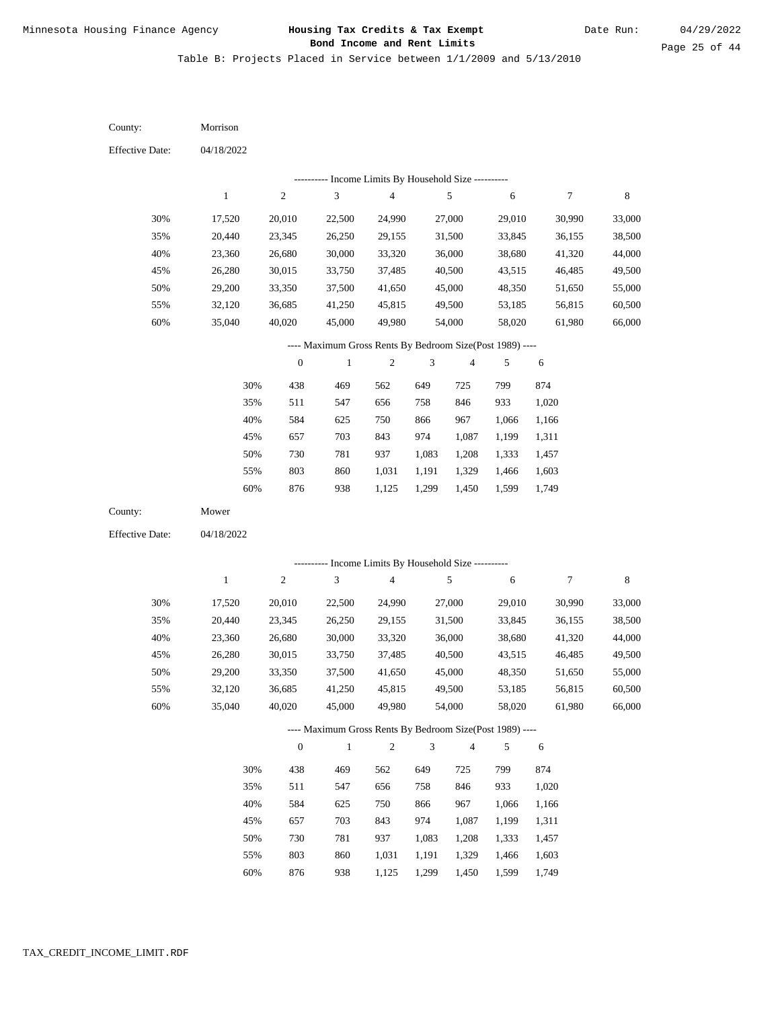Table B: Projects Placed in Service between 1/1/2009 and 5/13/2010

| County:                | Morrison     |                  |                                                          |                                            |                |                         |        |                  |             |
|------------------------|--------------|------------------|----------------------------------------------------------|--------------------------------------------|----------------|-------------------------|--------|------------------|-------------|
| <b>Effective Date:</b> | 04/18/2022   |                  |                                                          |                                            |                |                         |        |                  |             |
|                        |              |                  |                                                          | Income Limits By Household Size ---------- |                |                         |        |                  |             |
|                        | $\,1$        | $\sqrt{2}$       | $\mathfrak{Z}$                                           | $\overline{\mathbf{4}}$                    |                | $\sqrt{5}$              | 6      | $\boldsymbol{7}$ | $\,$ 8 $\,$ |
| 30%                    | 17,520       | 20,010           | 22,500                                                   | 24,990                                     |                | 27,000                  | 29,010 | 30,990           | 33,000      |
| 35%                    | 20,440       | 23,345           | 26,250                                                   | 29,155                                     |                | 31,500                  | 33,845 | 36,155           | 38,500      |
| 40%                    | 23,360       | 26,680           | 30,000                                                   | 33,320                                     |                | 36,000                  | 38,680 | 41,320           | 44,000      |
| 45%                    | 26,280       | 30,015           | 33,750                                                   | 37,485                                     |                | 40,500                  | 43,515 | 46,485           | 49,500      |
| 50%                    | 29,200       | 33,350           | 37,500                                                   | 41,650                                     |                | 45,000                  | 48,350 | 51,650           | 55,000      |
| 55%                    | 32,120       | 36,685           | 41,250                                                   | 45,815                                     |                | 49,500                  | 53,185 | 56,815           | 60,500      |
| 60%                    | 35,040       | 40,020           | 45,000                                                   | 49,980                                     |                | 54,000                  | 58,020 | 61,980           | 66,000      |
|                        |              |                  | ---- Maximum Gross Rents By Bedroom Size(Post 1989) ---- |                                            |                |                         |        |                  |             |
|                        |              | $\boldsymbol{0}$ | $\mathbf{1}$                                             | $\sqrt{2}$                                 | 3              | $\overline{\mathbf{4}}$ | 5      | $\sqrt{6}$       |             |
|                        | 30%          | 438              | 469                                                      | 562                                        | 649            | 725                     | 799    | 874              |             |
|                        | 35%          | 511              | 547                                                      | 656                                        | 758            | 846                     | 933    | 1,020            |             |
|                        | 40%          | 584              | 625                                                      | 750                                        | 866            | 967                     | 1,066  | 1,166            |             |
|                        | 45%          | 657              | 703                                                      | 843                                        | 974            | 1,087                   | 1,199  | 1,311            |             |
|                        | 50%          | 730              | 781                                                      | 937                                        | 1,083          | 1,208                   | 1,333  | 1,457            |             |
|                        | 55%          | 803              | 860                                                      | 1,031                                      | 1,191          | 1,329                   | 1,466  | 1,603            |             |
|                        | $60\%$       | 876              | 938                                                      | 1,125                                      | 1,299          | 1,450                   | 1,599  | 1,749            |             |
| County:                | Mower        |                  |                                                          |                                            |                |                         |        |                  |             |
| <b>Effective Date:</b> | 04/18/2022   |                  |                                                          |                                            |                |                         |        |                  |             |
|                        |              |                  |                                                          |                                            |                |                         |        |                  |             |
|                        |              |                  | ---------- Income Limits By Household Size ----------    |                                            |                |                         |        |                  |             |
|                        | $\mathbf{1}$ | $\sqrt{2}$       | 3                                                        | $\overline{\mathbf{4}}$                    |                | $\sqrt{5}$              | 6      | $\boldsymbol{7}$ | $\,$ 8 $\,$ |
| 30%                    | 17,520       | 20,010           | 22,500                                                   | 24,990                                     |                | 27,000                  | 29,010 | 30,990           | 33,000      |
| 35%                    | 20,440       | 23,345           | 26,250                                                   | 29,155                                     |                | 31,500                  | 33,845 | 36,155           | 38,500      |
| 40%                    | 23,360       | 26,680           | 30,000                                                   | 33,320                                     |                | 36,000                  | 38,680 | 41,320           | 44,000      |
| 45%                    | 26,280       | 30,015           | 33,750                                                   | 37,485                                     |                | 40,500                  | 43,515 | 46,485           | 49,500      |
| 50%                    | 29,200       | 33,350           | 37,500                                                   | 41,650                                     |                | 45,000                  | 48,350 | 51,650           | 55,000      |
| 55%                    | 32,120       | 36,685           | 41,250                                                   | 45,815                                     |                | 49,500                  | 53,185 | 56,815           | 60,500      |
| $60\%$                 | 35,040       | 40.020           | 45,000                                                   | 49,980                                     |                | 54,000                  | 58,020 | 61,980           | 66,000      |
|                        |              |                  | ---- Maximum Gross Rents By Bedroom Size(Post 1989) ---- |                                            |                |                         |        |                  |             |
|                        |              | $\boldsymbol{0}$ | $\mathbf{1}$                                             | $\overline{c}$                             | $\mathfrak{Z}$ | $\overline{4}$          | 5      | $\sqrt{6}$       |             |
|                        | 30%          | 438              | 469                                                      | 562                                        | 649            | 725                     | 799    | 874              |             |
|                        | 35%          | 511              | 547                                                      | 656                                        | 758            | 846                     | 933    | 1,020            |             |
|                        | 40%          | 584              | 625                                                      | 750                                        | 866            | 967                     | 1,066  | 1,166            |             |
|                        | 45%          | 657              | 703                                                      | 843                                        | 974            | 1,087                   | 1,199  | 1,311            |             |
|                        | 50%          | 730              | 781                                                      | 937                                        | 1,083          | 1,208                   | 1,333  | 1,457            |             |
|                        | 55%          | 803              | 860                                                      | 1,031                                      | 1,191          | 1,329                   | 1,466  | 1,603            |             |

876 938 1,125 1,299 1,450 1,599 1,749 60%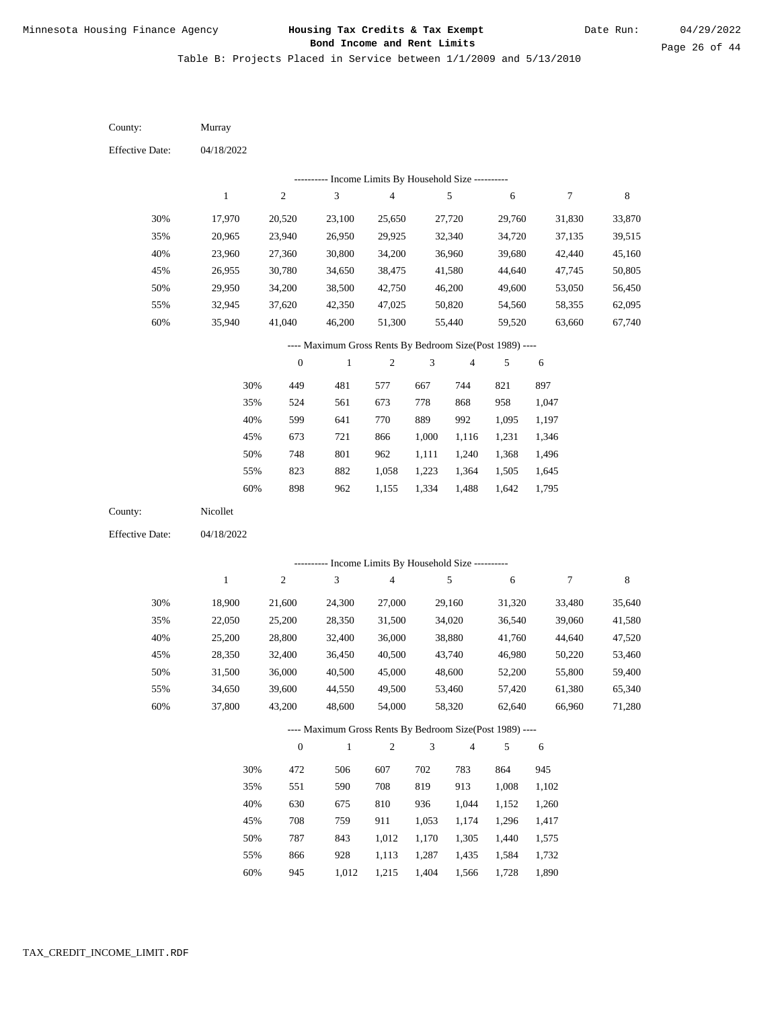Table B: Projects Placed in Service between 1/1/2009 and 5/13/2010

04/18/2022 04/18/2022 Murray Nicollet 30% 35% 40% 45% 50% 55% 60% 30% 35% 40% 45% 50% 55% 60% 17,970 20,965 23,960 26,955 29,950 32,945 35,940 18,900 22,050 25,200 28,350 31,500 34,650 37,800 20,520 23,940 27,360 30,780 34,200 37,620 41,040 21,600 25,200 28,800 32,400 36,000 39,600 43,200 23,100 26,950 30,800 34,650 38,500 42,350 46,200 24,300 28,350 32,400 36,450 40,500 44,550 48,600 25,650 29,925 34,200 38,475 42,750 47,025 51,300 27,000 31,500 36,000 40,500 45,000 49,500 54,000 27,720 32,340 36,960 41,580 46,200 50,820 55,440 29,160 34,020 38,880 43,740 48,600 53,460 58,320 29,760 34,720 39,680 44,640 49,600 54,560 59,520 31,320 36,540 41,760 46,980 52,200 57,420 62,640 31,830 37,135 42,440 47,745 53,050 58,355 63,660 33,480 39,060 44,640 50,220 55,800 61,380 66,960 33,870 39,515 45,160 50,805 56,450 62,095 67,740 35,640 41,580 47,520 53,460 59,400 65,340 71,280 449 524 599 673 748 823 898 472 551 630 708 787 866 481 561 641 721 801 882 962 506 590 675 759 843 928 577 673 770 866 962 1,058 1,155 607 708 810 911 1,012 1,113 667 778 889 1,000 1,111 1,223 1,334 702 819 936 1,053 1,170 1,287 744 868 992 1,116 1,240 1,364 1,488 783 913 1,044 1,174 1,305 1,435 821 958 1,095 1,231 1,368 1,505 1,642 864 1,008 1,152 1,296 1,440 1,584 897 1,047 1,197 1,346 1,496 1,645 1,795 945 1,102 1,260 1,417 1,575 1,732 County: County: Effective Date: Effective Date: 1 1 2 2 3 3 4 4 5 5 6 6 7 7 8 8 0 0 1 1 2 2 3 3 4 4 5 5 6 6 ---------- Income Limits By Household Size ---------- ---------- Income Limits By Household Size ---------- ---- Maximum Gross Rents By Bedroom Size(Post 1989) ---- ---- Maximum Gross Rents By Bedroom Size(Post 1989) ---- 30% 35% 40% 45% 50% 55% 60% 30% 35% 40% 45% 50% 55%

945

60%

1,012

1,215

1,404

1,566

1,728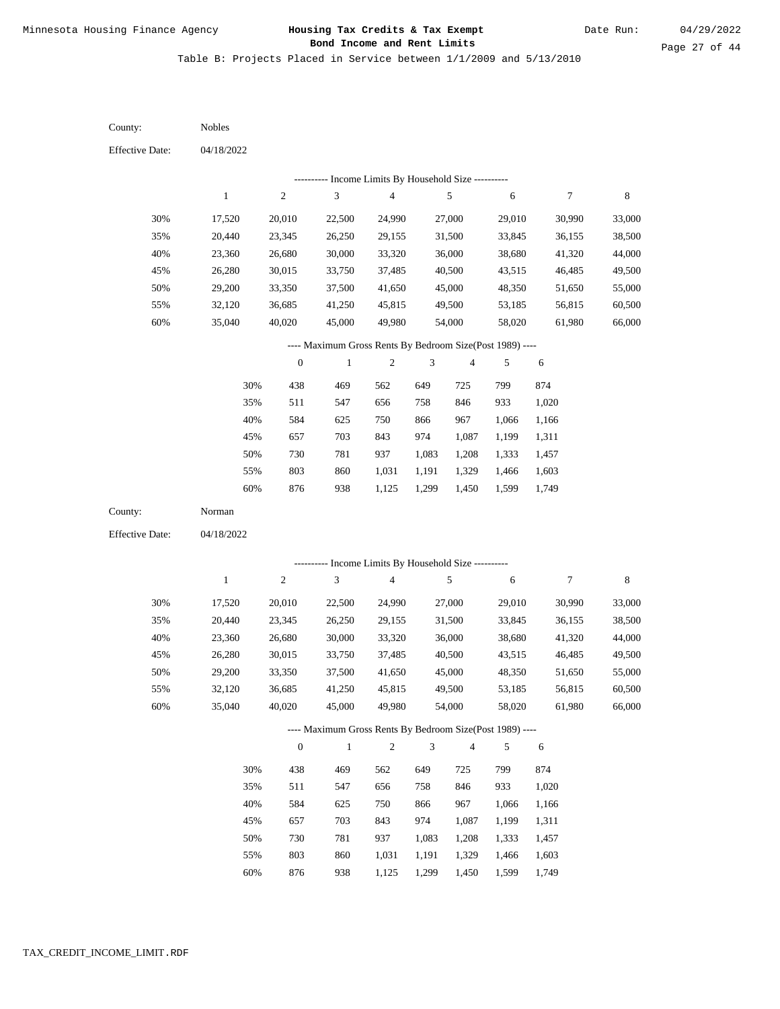Table B: Projects Placed in Service between 1/1/2009 and 5/13/2010

| County:                | <b>Nobles</b> |                  |                                                           |                                            |                |                |        |                  |             |
|------------------------|---------------|------------------|-----------------------------------------------------------|--------------------------------------------|----------------|----------------|--------|------------------|-------------|
| <b>Effective Date:</b> | 04/18/2022    |                  |                                                           |                                            |                |                |        |                  |             |
|                        |               |                  |                                                           | Income Limits By Household Size ---------- |                |                |        |                  |             |
|                        | $\mathbf{1}$  | $\sqrt{2}$       | 3                                                         | $\overline{4}$                             |                | $\sqrt{5}$     | 6      | $\boldsymbol{7}$ | $\,$ 8 $\,$ |
| 30%                    | 17,520        | 20,010           | 22,500                                                    | 24,990                                     |                | 27,000         | 29,010 | 30,990           | 33,000      |
| 35%                    | 20,440        | 23,345           | 26,250                                                    | 29,155                                     |                | 31,500         | 33,845 | 36,155           | 38,500      |
| 40%                    | 23,360        | 26,680           | 30,000                                                    | 33,320                                     |                | 36,000         | 38,680 | 41,320           | 44,000      |
| 45%                    | 26,280        | 30,015           | 33,750                                                    | 37,485                                     |                | 40,500         | 43,515 | 46,485           | 49,500      |
| 50%                    | 29,200        | 33,350           | 37,500                                                    | 41,650                                     |                | 45,000         | 48,350 | 51,650           | 55,000      |
| 55%                    | 32,120        | 36,685           | 41,250                                                    | 45,815                                     |                | 49,500         | 53,185 | 56,815           | 60,500      |
| 60%                    | 35,040        | 40,020           | 45,000                                                    | 49,980                                     |                | 54,000         | 58,020 | 61,980           | 66,000      |
|                        |               |                  | ---- Maximum Gross Rents By Bedroom Size(Post 1989) ----  |                                            |                |                |        |                  |             |
|                        |               | $\boldsymbol{0}$ | $\mathbf{1}$                                              | $\sqrt{2}$                                 | 3              | $\overline{4}$ | 5      | $\sqrt{6}$       |             |
|                        | 30%           | 438              | 469                                                       | 562                                        | 649            | 725            | 799    | 874              |             |
|                        | 35%           | 511              | 547                                                       | 656                                        | 758            | 846            | 933    | 1,020            |             |
|                        | 40%           | 584              | 625                                                       | 750                                        | 866            | 967            | 1,066  | 1,166            |             |
|                        | 45%           | 657              | 703                                                       | 843                                        | 974            | 1,087          | 1,199  | 1,311            |             |
|                        | 50%           | 730              | 781                                                       | 937                                        | 1,083          | 1,208          | 1,333  | 1,457            |             |
|                        | 55%           | 803              | 860                                                       | 1,031                                      | 1,191          | 1,329          | 1,466  | 1,603            |             |
|                        | 60%           | 876              | 938                                                       | 1,125                                      | 1,299          | 1,450          | 1,599  | 1,749            |             |
| County:                | Norman        |                  |                                                           |                                            |                |                |        |                  |             |
| <b>Effective Date:</b> | 04/18/2022    |                  |                                                           |                                            |                |                |        |                  |             |
|                        |               |                  |                                                           |                                            |                |                |        |                  |             |
|                        | $\mathbf{1}$  | $\sqrt{2}$       | --------- Income Limits By Household Size ----------<br>3 | $\overline{4}$                             |                | 5              | 6      | $\boldsymbol{7}$ | $\,$ 8 $\,$ |
|                        |               |                  |                                                           |                                            |                |                |        |                  |             |
| 30%                    | 17,520        | 20,010           | 22,500                                                    | 24,990                                     |                | 27,000         | 29,010 | 30,990           | 33,000      |
| 35%                    | 20,440        | 23,345           | 26,250                                                    | 29,155                                     |                | 31,500         | 33,845 | 36,155           | 38,500      |
| 40%                    | 23,360        | 26,680           | 30,000                                                    | 33,320                                     |                | 36,000         | 38,680 | 41,320           | 44,000      |
| 45%                    | 26,280        | 30,015           | 33,750                                                    | 37,485                                     |                | 40,500         | 43,515 | 46,485           | 49,500      |
| 50%                    | 29,200        | 33,350           | 37,500                                                    | 41,650                                     |                | 45,000         | 48,350 | 51,650           | 55,000      |
| 55%                    | 32,120        | 36,685           | 41,250                                                    | 45,815                                     |                | 49,500         | 53,185 | 56,815           | 60,500      |
| 60%                    | 35,040        | 40,020           | 45,000                                                    | 49,980                                     |                | 54,000         | 58,020 | 61,980           | 66,000      |
|                        |               |                  | ---- Maximum Gross Rents By Bedroom Size(Post 1989) ----  |                                            |                |                |        |                  |             |
|                        |               | $\boldsymbol{0}$ | $\mathbf{1}$                                              | $\sqrt{2}$                                 | $\mathfrak{Z}$ | $\overline{4}$ | 5      | 6                |             |
|                        | 30%           | 438              | 469                                                       | 562                                        | 649            | 725            | 799    | 874              |             |
|                        | 35%           | 511              | 547                                                       | 656                                        | 758            | 846            | 933    | 1,020            |             |
|                        | 40%           | 584              | 625                                                       | 750                                        | 866            | 967            | 1,066  | 1,166            |             |
|                        | 45%           | 657              | 703                                                       | 843                                        | 974            | 1,087          | 1,199  | 1,311            |             |
|                        | 50%           | 730              | 781                                                       | 937                                        | 1,083          | 1,208          | 1,333  | 1,457            |             |
|                        | 55%           | 803              | 860                                                       | 1,031                                      | 1,191          | 1,329          | 1,466  | 1,603            |             |

876 938 1,125 1,299 1,450 1,599 1,749 60%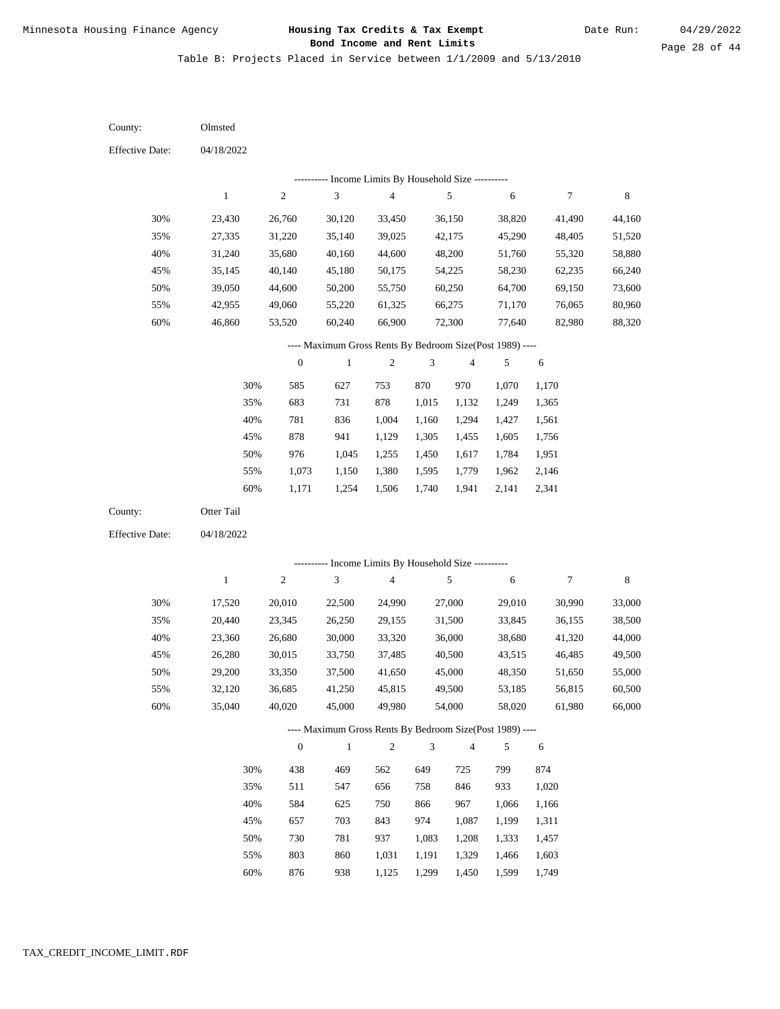Table B: Projects Placed in Service between 1/1/2009 and 5/13/2010

04/18/2022 04/18/2022 Olmsted Otter Tail 30% 35% 40% 45% 50% 55% 60% 30% 35% 40% 45% 50% 55% 60% 23,430 27,335 31,240 35,145 39,050 42,955 46,860 17,520 20,440 23,360 26,280 29,200 32,120 35,040 26,760 31,220 35,680 40,140 44,600 49,060 53,520 20,010 23,345 26,680 30,015 33,350 36,685 40,020 30,120 35,140 40,160 45,180 50,200 55,220 60,240 22,500 26,250 30,000 33,750 37,500 41,250 45,000 33,450 39,025 44,600 50,175 55,750 61,325 66,900 24,990 29,155 33,320 37,485 41,650 45,815 49,980 36,150 42,175 48,200 54,225 60,250 66,275 72,300 27,000 31,500 36,000 40,500 45,000 49,500 54,000 38,820 45,290 51,760 58,230 64,700 71,170 77,640 29,010 33,845 38,680 43,515 48,350 53,185 58,020 41,490 48,405 55,320 62,235 69,150 76,065 82,980 30,990 36,155 41,320 46,485 51,650 56,815 61,980 44,160 51,520 58,880 66,240 73,600 80,960 88,320 33,000 38,500 44,000 49,500 55,000 60,500 66,000 585 683 781 878 976 1,073 1,171 438 511 584 657 730 803 876 627 731 836 941 1,045 1,150 1,254 469 547 625 703 781 860 938 753 878 1,004 1,129 1,255 1,380 1,506 562 656 750 843 937 1,031 1,125 870 1,015 1,160 1,305 1,450 1,595 1,740 649 758 866 974 1,083 1,191 1,299 970 1,132 1,294 1,455 1,617 1,779 1,941 725 846 967 1,087 1,208 1,329 1,450 1,070 1,249 1,427 1,605 1,784 1,962 2,141 799 933 1,066 1,199 1,333 1,466 1,599 1,170 1,365 1,561 1,756 1,951 2,146 2,341 874 1,020 1,166 1,311 1,457 1,603 1,749 County: County: Effective Date: Effective Date: 1 1 2 2 3 3 4 4 5 5 6 6 7 7 8 8 0 0 1 1 2 2 3 3 4 4 5 5 6 6 ---------- Income Limits By Household Size ---------- ---------- Income Limits By Household Size ---------- ---- Maximum Gross Rents By Bedroom Size(Post 1989) ---- ---- Maximum Gross Rents By Bedroom Size(Post 1989) ---- 30% 35% 40% 45% 50% 55% 60% 30% 35% 40% 45% 50% 55% 60%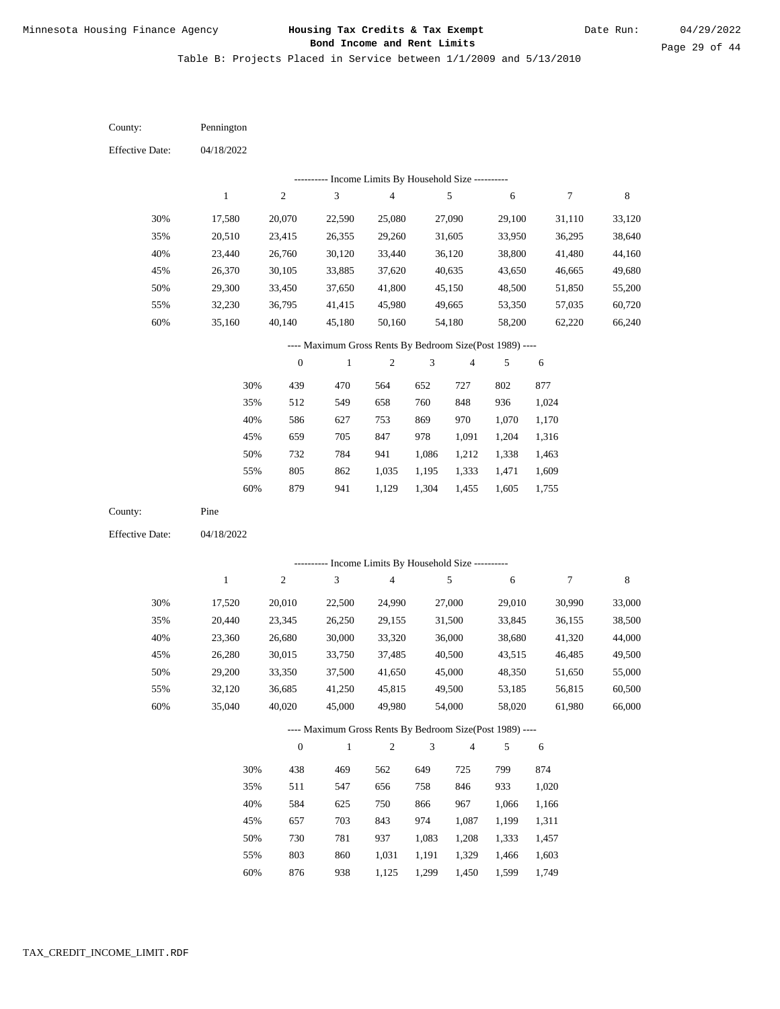Table B: Projects Placed in Service between 1/1/2009 and 5/13/2010

04/18/2022 04/18/2022 Pennington Pine 30% 35% 40% 45% 50% 55% 60% 30% 35% 40% 45% 50% 55% 60% 17,580 20,510 23,440 26,370 29,300 32,230 35,160 17,520 20,440 23,360 26,280 29,200 32,120 35,040 20,070 23,415 26,760 30,105 33,450 36,795 40,140 20,010 23,345 26,680 30,015 33,350 36,685 40,020 22,590 26,355 30,120 33,885 37,650 41,415 45,180 22,500 26,250 30,000 33,750 37,500 41,250 45,000 25,080 29,260 33,440 37,620 41,800 45,980 50,160 24,990 29,155 33,320 37,485 41,650 45,815 49,980 27,090 31,605 36,120 40,635 45,150 49,665 54,180 27,000 31,500 36,000 40,500 45,000 49,500 54,000 29,100 33,950 38,800 43,650 48,500 53,350 58,200 29,010 33,845 38,680 43,515 48,350 53,185 58,020 31,110 36,295 41,480 46,665 51,850 57,035 62,220 30,990 36,155 41,320 46,485 51,650 56,815 61,980 33,120 38,640 44,160 49,680 55,200 60,720 66,240 33,000 38,500 44,000 49,500 55,000 60,500 66,000 439 512 586 659 732 805 879 438 511 584 657 730 803 470 549 627 705 784 862 941 469 547 625 703 781 860 564 658 753 847 941 1,035 1,129 562 656 750 843 937 1,031 652 760 869 978 1,086 1,195 1,304 649 758 866 974 1,083 1,191 727 848 970 1,091 1,212 1,333 1,455 725 846 967 1,087 1,208 1,329 802 936 1,070 1,204 1,338 1,471 1,605 799 933 1,066 1,199 1,333 1,466 877 1,024 1,170 1,316 1,463 1,609 1,755 874 1,020 1,166 1,311 1,457 1,603 County: County: Effective Date: Effective Date: 1 1 2 2 3 3 4 4 5 5 6 6 7 7 8 8 0 0 1 1 2 2 3 3 4 4 5 5 6 6 ---------- Income Limits By Household Size ---------- ---------- Income Limits By Household Size ---------- ---- Maximum Gross Rents By Bedroom Size(Post 1989) ---- ---- Maximum Gross Rents By Bedroom Size(Post 1989) ---- 30% 35% 40% 45% 50% 55% 60% 30% 35% 40% 45% 50% 55%

876

60%

938

1,125

1,299

1,450

1,599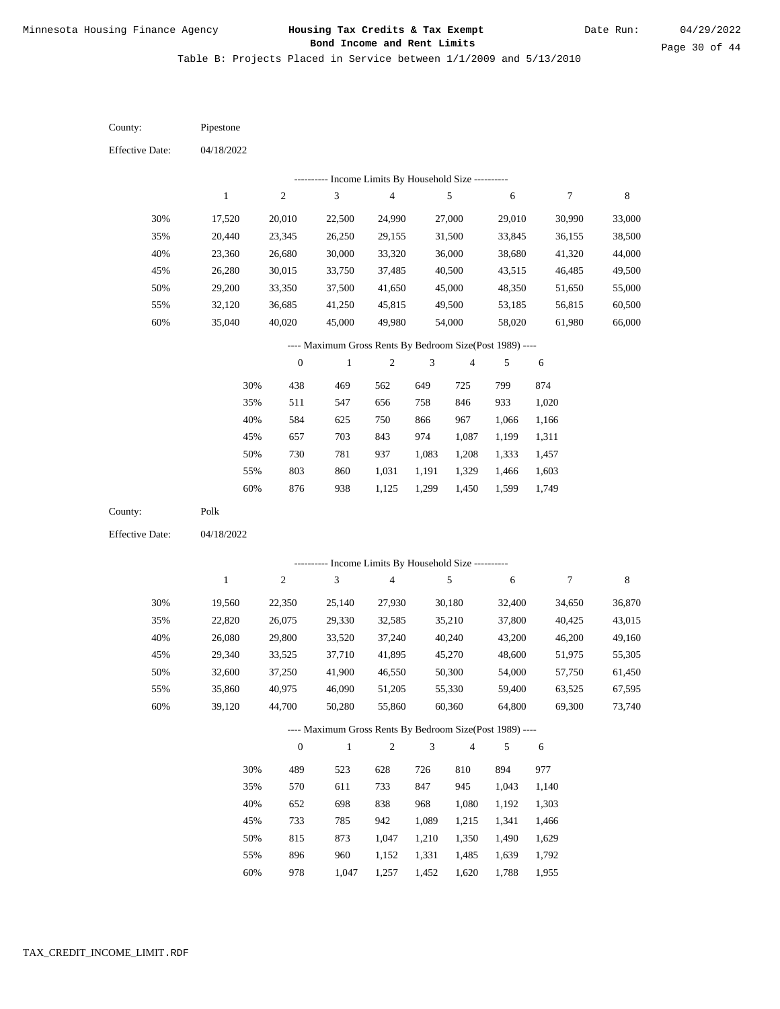Table B: Projects Placed in Service between 1/1/2009 and 5/13/2010

| County:                | Pipestone    |                  |                                                          |                          |                |                         |        |                  |             |
|------------------------|--------------|------------------|----------------------------------------------------------|--------------------------|----------------|-------------------------|--------|------------------|-------------|
| <b>Effective Date:</b> | 04/18/2022   |                  |                                                          |                          |                |                         |        |                  |             |
|                        |              |                  | ---------- Income Limits By Household Size ----------    |                          |                |                         |        |                  |             |
|                        | $\,1\,$      | $\sqrt{2}$       | $\mathfrak{Z}$                                           | $\overline{\mathcal{L}}$ |                | $\sqrt{5}$              | 6      | $\boldsymbol{7}$ | $\,$ 8 $\,$ |
| 30%                    | 17,520       | 20,010           | 22,500                                                   | 24,990                   |                | 27,000                  | 29,010 | 30,990           | 33,000      |
| 35%                    | 20,440       | 23,345           | 26,250                                                   | 29,155                   |                | 31,500                  | 33,845 | 36,155           | 38,500      |
| 40%                    | 23,360       | 26,680           | 30,000                                                   | 33,320                   |                | 36,000                  | 38,680 | 41,320           | 44,000      |
| 45%                    | 26,280       | 30,015           | 33,750                                                   | 37,485                   |                | 40,500                  | 43,515 | 46,485           | 49,500      |
| 50%                    | 29,200       | 33,350           | 37,500                                                   | 41,650                   |                | 45,000                  | 48,350 | 51,650           | 55,000      |
| 55%                    | 32,120       | 36,685           | 41,250                                                   | 45,815                   |                | 49,500                  | 53,185 | 56,815           | 60,500      |
| 60%                    | 35,040       | 40,020           | 45,000                                                   | 49,980                   |                | 54,000                  | 58,020 | 61,980           | 66,000      |
|                        |              |                  | ---- Maximum Gross Rents By Bedroom Size(Post 1989) ---- |                          |                |                         |        |                  |             |
|                        |              | $\boldsymbol{0}$ | $\,1$                                                    | $\overline{c}$           | 3              | $\overline{\mathbf{4}}$ | 5      | $\sqrt{6}$       |             |
|                        | 30%          | 438              | 469                                                      | 562                      | 649            | 725                     | 799    | 874              |             |
|                        | 35%          | 511              | 547                                                      | 656                      | 758            | 846                     | 933    | 1,020            |             |
|                        | 40%          | 584              | 625                                                      | 750                      | 866            | 967                     | 1,066  | 1,166            |             |
|                        | 45%          | 657              | 703                                                      | 843                      | 974            | 1,087                   | 1,199  | 1,311            |             |
|                        | 50%          | 730              | 781                                                      | 937                      | 1,083          | 1,208                   | 1,333  | 1,457            |             |
|                        | 55%          | 803              | 860                                                      | 1,031                    | 1,191          | 1,329                   | 1,466  | 1,603            |             |
|                        | 60%          | 876              | 938                                                      | 1,125                    | 1,299          | 1,450                   | 1,599  | 1,749            |             |
| County:                | Polk         |                  |                                                          |                          |                |                         |        |                  |             |
| <b>Effective Date:</b> | 04/18/2022   |                  |                                                          |                          |                |                         |        |                  |             |
|                        |              |                  |                                                          |                          |                |                         |        |                  |             |
|                        |              |                  | ---------- Income Limits By Household Size ----------    |                          |                |                         |        |                  |             |
|                        | $\mathbf{1}$ | $\sqrt{2}$       | 3                                                        | $\overline{\mathcal{L}}$ |                | $\sqrt{5}$              | 6      | $\boldsymbol{7}$ | $\,$ 8 $\,$ |
| 30%                    | 19,560       | 22,350           | 25,140                                                   | 27,930                   |                | 30,180                  | 32,400 | 34,650           | 36,870      |
| 35%                    | 22,820       | 26,075           | 29,330                                                   | 32,585                   |                | 35,210                  | 37,800 | 40,425           | 43,015      |
| 40%                    | 26,080       | 29,800           | 33,520                                                   | 37,240                   |                | 40,240                  | 43,200 | 46,200           | 49,160      |
| 45%                    | 29,340       | 33,525           | 37,710                                                   | 41,895                   |                | 45,270                  | 48,600 | 51,975           | 55,305      |
| 50%                    | 32,600       | 37,250           | 41,900                                                   | 46,550                   |                | 50,300                  | 54,000 | 57,750           | 61,450      |
| 55%                    | 35,860       | 40,975           | 46,090                                                   | 51,205                   |                | 55,330                  | 59,400 | 63,525           | 67,595      |
| $60\%$                 | 39,120       | 44,700           | 50,280                                                   | 55,860                   |                | 60,360                  | 64,800 | 69,300           | 73,740      |
|                        |              |                  | ---- Maximum Gross Rents By Bedroom Size(Post 1989) ---- |                          |                |                         |        |                  |             |
|                        |              | $\boldsymbol{0}$ | $\mathbf{1}$                                             | $\mathfrak{2}$           | $\mathfrak{Z}$ | 4                       | 5      | 6                |             |
|                        | 30%          | 489              | 523                                                      | 628                      | 726            | 810                     | 894    | 977              |             |
|                        | 35%          | 570              | 611                                                      | 733                      | 847            | 945                     | 1,043  | 1,140            |             |
|                        | 40%          | 652              | 698                                                      | 838                      | 968            | 1,080                   | 1,192  | 1,303            |             |
|                        | 45%          | 733              | 785                                                      | 942                      | 1,089          | 1,215                   | 1,341  | 1,466            |             |
|                        | 50%          | 815              | 873                                                      | 1,047                    | 1,210          | 1,350                   | 1,490  | 1,629            |             |
|                        | 55%          | 896              | 960                                                      | 1,152                    | 1,331          | 1,485                   | 1,639  | 1,792            |             |

978 1,047 1,257 1,452 1,620 1,788 1,955 60%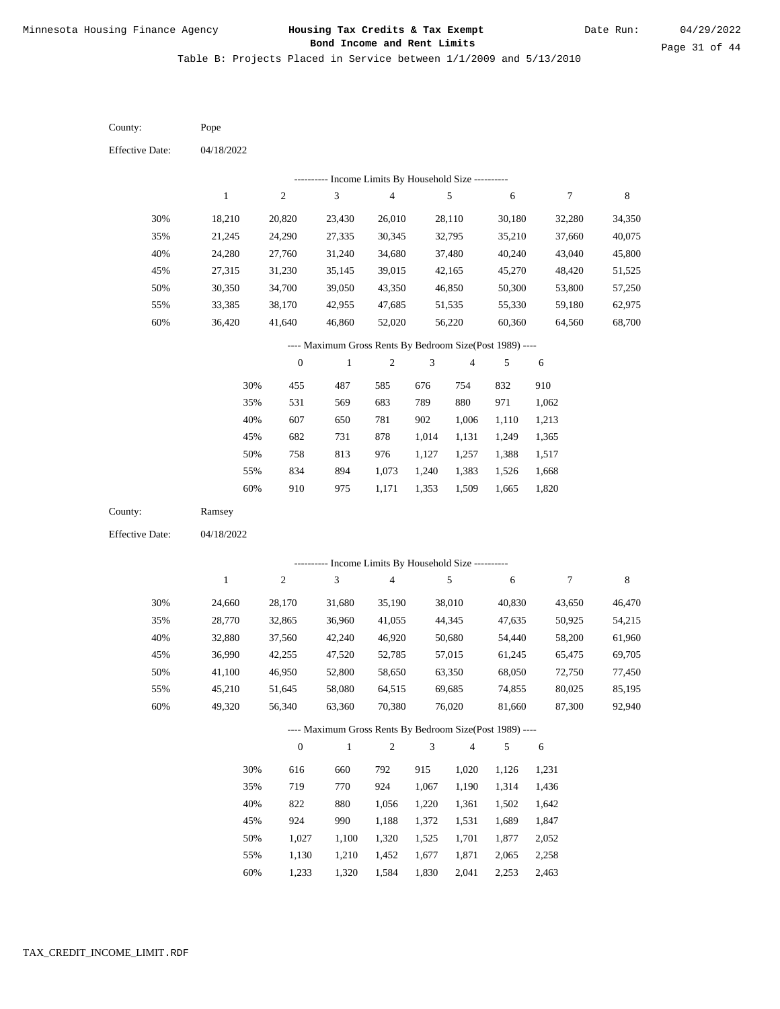Table B: Projects Placed in Service between 1/1/2009 and 5/13/2010

| County:                | Pope         |                  |                                                          |                                            |            |                         |        |        |             |
|------------------------|--------------|------------------|----------------------------------------------------------|--------------------------------------------|------------|-------------------------|--------|--------|-------------|
| <b>Effective Date:</b> | 04/18/2022   |                  |                                                          |                                            |            |                         |        |        |             |
|                        |              |                  |                                                          | Income Limits By Household Size ---------- |            |                         |        |        |             |
|                        | $\mathbf{1}$ | $\boldsymbol{2}$ | $\ensuremath{\mathfrak{Z}}$                              | $\overline{4}$                             |            | 5                       | 6      | $\tau$ | $\,$ 8 $\,$ |
| 30%                    | 18,210       | 20,820           | 23,430                                                   | 26,010                                     |            | 28,110                  | 30,180 | 32,280 | 34,350      |
| 35%                    | 21,245       | 24,290           | 27,335                                                   | 30,345                                     |            | 32,795                  | 35,210 | 37,660 | 40,075      |
| 40%                    | 24,280       | 27,760           | 31,240                                                   | 34,680                                     |            | 37,480                  | 40,240 | 43,040 | 45,800      |
| 45%                    | 27,315       | 31,230           | 35,145                                                   | 39,015                                     |            | 42,165                  | 45,270 | 48,420 | 51,525      |
| 50%                    | 30,350       | 34,700           | 39,050                                                   | 43,350                                     |            | 46,850                  | 50,300 | 53,800 | 57,250      |
| 55%                    | 33,385       | 38,170           | 42,955                                                   | 47,685                                     |            | 51,535                  | 55,330 | 59,180 | 62,975      |
| 60%                    | 36,420       | 41,640           | 46,860                                                   | 52,020                                     |            | 56,220                  | 60,360 | 64,560 | 68,700      |
|                        |              |                  | ---- Maximum Gross Rents By Bedroom Size(Post 1989) ---- |                                            |            |                         |        |        |             |
|                        |              | $\boldsymbol{0}$ | $\,1$                                                    | $\sqrt{2}$                                 | 3          | $\overline{\mathbf{4}}$ | 5      | 6      |             |
|                        | 30%          | 455              | 487                                                      | 585                                        | 676        | 754                     | 832    | 910    |             |
|                        | 35%          | 531              | 569                                                      | 683                                        | 789        | 880                     | 971    | 1,062  |             |
|                        | 40%          | 607              | 650                                                      | 781                                        | 902        | 1,006                   | 1,110  | 1,213  |             |
|                        | 45%          | 682              | 731                                                      | 878                                        | 1,014      | 1,131                   | 1,249  | 1,365  |             |
|                        | 50%          | 758              | 813                                                      | 976                                        | 1,127      | 1,257                   | 1,388  | 1,517  |             |
|                        | 55%          | 834              | 894                                                      | 1,073                                      | 1,240      | 1,383                   | 1,526  | 1,668  |             |
|                        | 60%          | 910              | 975                                                      | 1,171                                      | 1,353      | 1,509                   | 1,665  | 1,820  |             |
| County:                | Ramsey       |                  |                                                          |                                            |            |                         |        |        |             |
| <b>Effective Date:</b> | 04/18/2022   |                  |                                                          |                                            |            |                         |        |        |             |
|                        |              |                  | --------- Income Limits By Household Size ----------     |                                            |            |                         |        |        |             |
|                        | $\mathbf{1}$ | $\sqrt{2}$       | 3                                                        | $\overline{4}$                             |            | 5                       | 6      | $\tau$ | $\,$ 8 $\,$ |
| 30%                    | 24,660       | 28,170           | 31,680                                                   | 35,190                                     |            | 38,010                  | 40,830 | 43,650 | 46,470      |
| 35%                    | 28,770       | 32,865           | 36,960                                                   | 41,055                                     |            | 44,345                  | 47,635 | 50,925 | 54,215      |
| 40%                    | 32,880       | 37,560           | 42,240                                                   | 46,920                                     |            | 50,680                  | 54,440 | 58,200 | 61,960      |
| 45%                    | 36,990       | 42,255           | 47,520                                                   | 52,785                                     |            | 57,015                  | 61,245 | 65,475 | 69,705      |
| 50%                    | 41,100       | 46,950           | 52,800                                                   | 58,650                                     |            | 63,350                  | 68,050 | 72,750 | 77,450      |
| 55%                    | 45,210       | 51,645           | 58,080                                                   | 64,515                                     |            | 69,685                  | 74,855 | 80,025 | 85,195      |
| 60%                    | 49,320       | 56,340           | 63,360                                                   | 70,380                                     |            | 76,020                  | 81,660 | 87,300 | 92,940      |
|                        |              |                  | ---- Maximum Gross Rents By Bedroom Size(Post 1989) ---- |                                            |            |                         |        |        |             |
|                        |              | $\boldsymbol{0}$ | $\mathbf{1}$                                             | $\sqrt{2}$                                 | $\sqrt{3}$ | $\overline{4}$          | 5      | 6      |             |
|                        | 30%          | 616              | 660                                                      | 792                                        | 915        | 1,020                   | 1,126  | 1,231  |             |
|                        | 35%          | 719              | 770                                                      | 924                                        | 1,067      | 1,190                   | 1,314  | 1,436  |             |
|                        | 40%          | 822              | 880                                                      | 1,056                                      | 1,220      | 1,361                   | 1,502  | 1,642  |             |
|                        | 45%          | 924              | 990                                                      | 1,188                                      | 1,372      | 1,531                   | 1,689  | 1,847  |             |
|                        | 50%          | 1,027            | 1,100                                                    | 1,320                                      | 1,525      | 1,701                   | 1,877  | 2,052  |             |
|                        | 55%          | 1,130            | 1,210                                                    | 1,452                                      | 1,677      | 1,871                   | 2,065  | 2,258  |             |

1,233 1,320 1,584 1,830 2,041 2,253 2,463 60%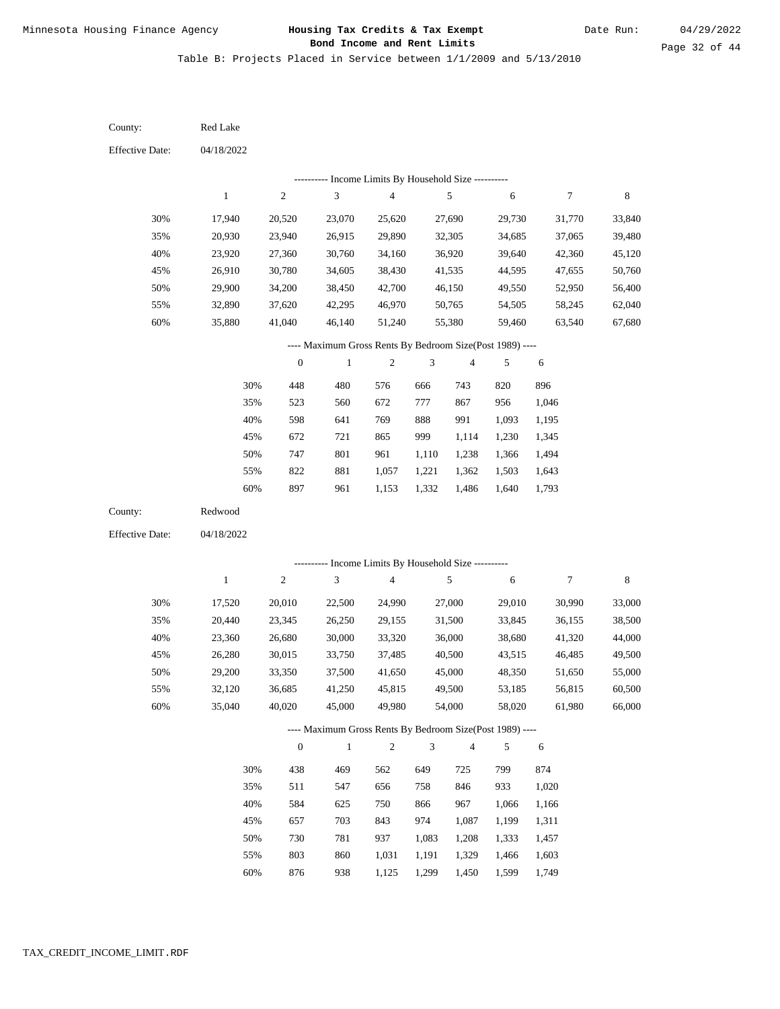Table B: Projects Placed in Service between 1/1/2009 and 5/13/2010

04/18/2022 04/18/2022 Red Lake Redwood 30% 35% 40% 45% 50% 55% 60% 30% 35% 40% 45% 50% 55% 60% 17,940 20,930 23,920 26,910 29,900 32,890 35,880 17,520 20,440 23,360 26,280 29,200 32,120 35,040 20,520 23,940 27,360 30,780 34,200 37,620 41,040 20,010 23,345 26,680 30,015 33,350 36,685 40,020 23,070 26,915 30,760 34,605 38,450 42,295 46,140 22,500 26,250 30,000 33,750 37,500 41,250 45,000 25,620 29,890 34,160 38,430 42,700 46,970 51,240 24,990 29,155 33,320 37,485 41,650 45,815 49,980 27,690 32,305 36,920 41,535 46,150 50,765 55,380 27,000 31,500 36,000 40,500 45,000 49,500 54,000 29,730 34,685 39,640 44,595 49,550 54,505 59,460 29,010 33,845 38,680 43,515 48,350 53,185 58,020 31,770 37,065 42,360 47,655 52,950 58,245 63,540 30,990 36,155 41,320 46,485 51,650 56,815 61,980 33,840 39,480 45,120 50,760 56,400 62,040 67,680 33,000 38,500 44,000 49,500 55,000 60,500 66,000 448 523 598 672 747 822 897 438 511 584 657 730 803 480 560 641 721 801 881 961 469 547 625 703 781 860 576 672 769 865 961 1,057 1,153 562 656 750 843 937 1,031 666 777 888 999 1,110 1,221 1,332 649 758 866 974 1,083 1,191 743 867 991 1,114 1,238 1,362 1,486 725 846 967 1,087 1,208 1,329 820 956 1,093 1,230 1,366 1,503 1,640 799 933 1,066 1,199 1,333 1,466 896 1,046 1,195 1,345 1,494 1,643 1,793 874 1,020 1,166 1,311 1,457 1,603 County: County: Effective Date: Effective Date: 1 1 2 2 3 3 4 4 5 5 6 6 7 7 8 8 0 0 1 1 2 2 3 3 4 4 5 5 6 6 ---------- Income Limits By Household Size ---------- ---------- Income Limits By Household Size ---------- ---- Maximum Gross Rents By Bedroom Size(Post 1989) ---- ---- Maximum Gross Rents By Bedroom Size(Post 1989) ---- 30% 35% 40% 45% 50% 55% 60% 30% 35% 40% 45% 50% 55%

876

60%

938

1,125

1,299

1,450

1,599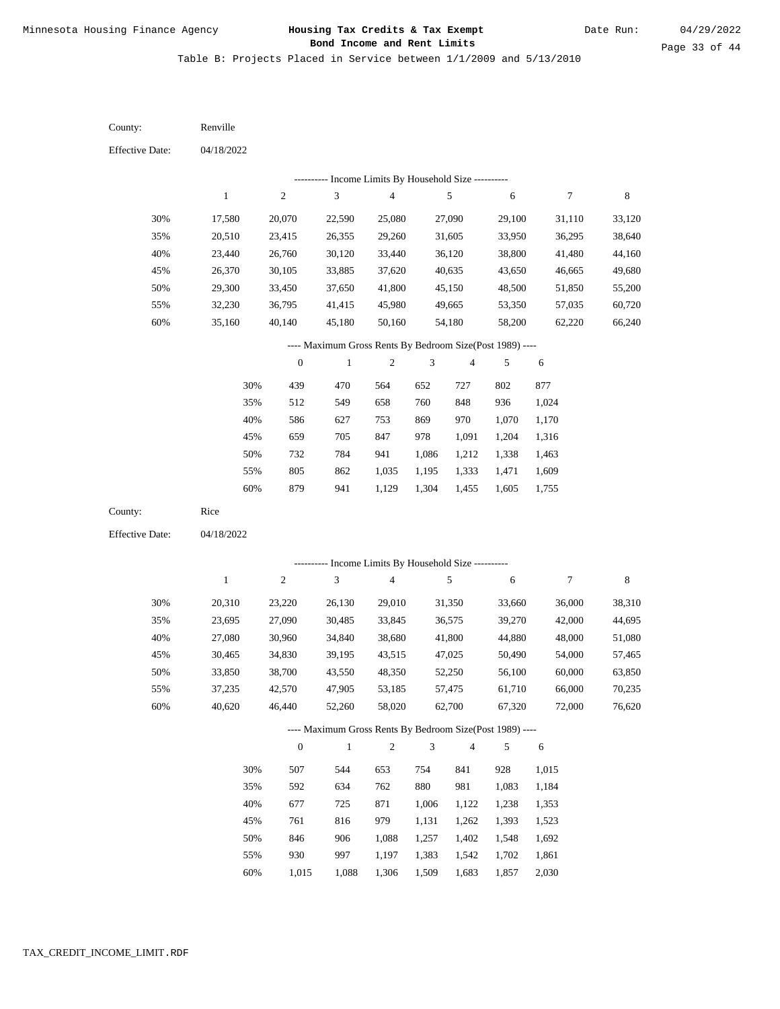Table B: Projects Placed in Service between 1/1/2009 and 5/13/2010

04/18/2022 04/18/2022 Renville Rice 30% 35% 40% 45% 50% 55% 60% 30% 35% 40% 45% 50% 55% 60% 17,580 20,510 23,440 26,370 29,300 32,230 35,160 20,310 23,695 27,080 30,465 33,850 37,235 40,620 20,070 23,415 26,760 30,105 33,450 36,795 40,140 23,220 27,090 30,960 34,830 38,700 42,570 46,440 22,590 26,355 30,120 33,885 37,650 41,415 45,180 26,130 30,485 34,840 39,195 43,550 47,905 52,260 25,080 29,260 33,440 37,620 41,800 45,980 50,160 29,010 33,845 38,680 43,515 48,350 53,185 58,020 27,090 31,605 36,120 40,635 45,150 49,665 54,180 31,350 36,575 41,800 47,025 52,250 57,475 62,700 29,100 33,950 38,800 43,650 48,500 53,350 58,200 33,660 39,270 44,880 50,490 56,100 61,710 67,320 31,110 36,295 41,480 46,665 51,850 57,035 62,220 36,000 42,000 48,000 54,000 60,000 66,000 72,000 33,120 38,640 44,160 49,680 55,200 60,720 66,240 38,310 44,695 51,080 57,465 63,850 70,235 76,620 439 512 586 659 732 805 879 507 592 677 761 846 930 470 549 627 705 784 862 941 544 634 725 816 906 997 564 658 753 847 941 1,035 1,129 653 762 871 979 1,088 1,197 652 760 869 978 1,086 1,195 1,304 754 880 1,006 1,131 1,257 1,383 727 848 970 1,091 1,212 1,333 1,455 841 981 1,122 1,262 1,402 1,542 802 936 1,070 1,204 1,338 1,471 1,605 928 1,083 1,238 1,393 1,548 1,702 877 1,024 1,170 1,316 1,463 1,609 1,755 1,015 1,184 1,353 1,523 1,692 1,861 County: County: Effective Date: Effective Date: 1 1 2 2 3 3 4 4 5 5 6 6 7 7 8 8 0 0 1 1 2 2 3 3 4 4 5 5 6 6 ---------- Income Limits By Household Size ---------- ---------- Income Limits By Household Size ---------- ---- Maximum Gross Rents By Bedroom Size(Post 1989) ---- ---- Maximum Gross Rents By Bedroom Size(Post 1989) ---- 30% 35% 40% 45% 50% 55% 60% 30% 35% 40% 45% 50% 55%

1,015

60%

1,088

1,306

1,509

1,683

1,857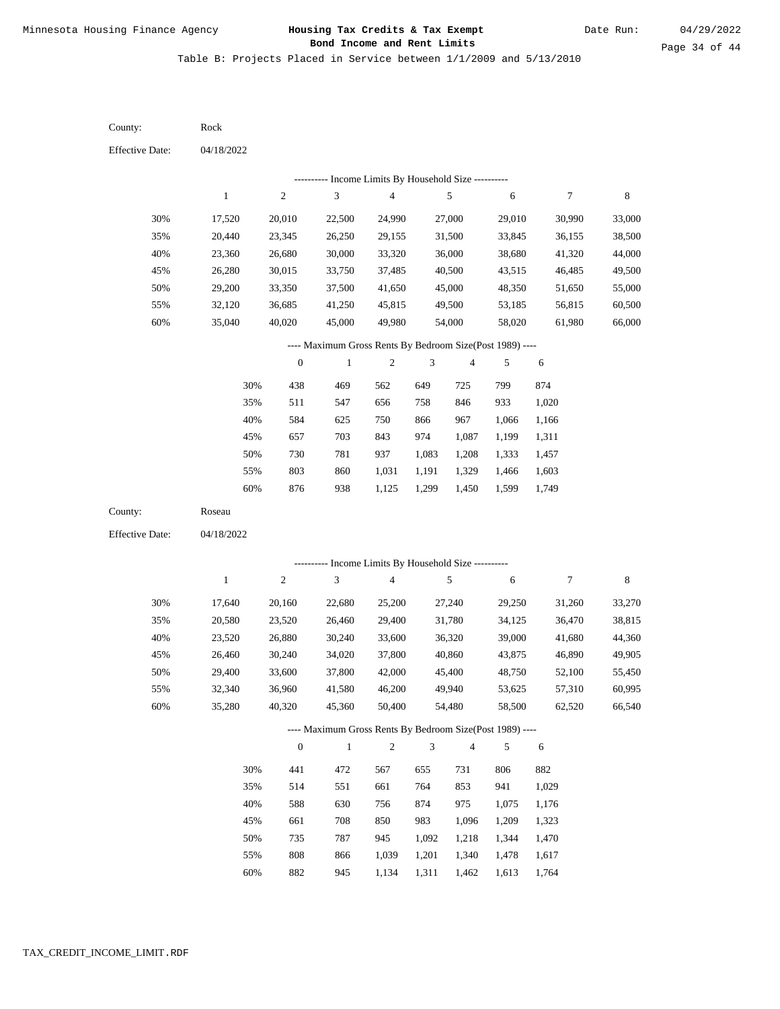Table B: Projects Placed in Service between 1/1/2009 and 5/13/2010

| County:                | Rock         |                  |                                                          |                         |                |                |        |        |        |
|------------------------|--------------|------------------|----------------------------------------------------------|-------------------------|----------------|----------------|--------|--------|--------|
| <b>Effective Date:</b> | 04/18/2022   |                  |                                                          |                         |                |                |        |        |        |
|                        |              |                  | --------- Income Limits By Household Size ----------     |                         |                |                |        |        |        |
|                        | $\,1$        | $\sqrt{2}$       | 3                                                        | 4                       |                | 5              | 6      | 7      | 8      |
| 30%                    | 17,520       | 20,010           | 22,500                                                   | 24,990                  |                | 27,000         | 29,010 | 30,990 | 33,000 |
| 35%                    | 20,440       | 23,345           | 26,250                                                   | 29,155                  |                | 31,500         | 33,845 | 36,155 | 38,500 |
| 40%                    | 23,360       | 26,680           | 30,000                                                   | 33,320                  |                | 36,000         | 38,680 | 41,320 | 44,000 |
| 45%                    | 26,280       | 30,015           | 33,750                                                   | 37,485                  |                | 40,500         | 43,515 | 46,485 | 49,500 |
| 50%                    | 29,200       | 33,350           | 37,500                                                   | 41,650                  |                | 45,000         | 48,350 | 51,650 | 55,000 |
| 55%                    | 32,120       | 36,685           | 41,250                                                   | 45,815                  |                | 49,500         | 53,185 | 56,815 | 60,500 |
| 60%                    | 35,040       | 40,020           | 45,000                                                   | 49,980                  |                | 54,000         | 58,020 | 61,980 | 66,000 |
|                        |              |                  | ---- Maximum Gross Rents By Bedroom Size(Post 1989) ---- |                         |                |                |        |        |        |
|                        |              | $\boldsymbol{0}$ | $\mathbf{1}$                                             | $\boldsymbol{2}$        | 3              | 4              | 5      | 6      |        |
|                        | 30%          | 438              | 469                                                      | 562                     | 649            | 725            | 799    | 874    |        |
|                        | 35%          | 511              | 547                                                      | 656                     | 758            | 846            | 933    | 1,020  |        |
|                        | 40%          | 584              | 625                                                      | 750                     | 866            | 967            | 1,066  | 1,166  |        |
|                        | 45%          | 657              | 703                                                      | 843                     | 974            | 1,087          | 1,199  | 1,311  |        |
|                        | 50%          | 730              | 781                                                      | 937                     | 1,083          | 1,208          | 1,333  | 1,457  |        |
|                        | 55%          | 803              | 860                                                      | 1,031                   | 1,191          | 1,329          | 1,466  | 1,603  |        |
|                        | 60%          | 876              | 938                                                      | 1,125                   | 1,299          | 1,450          | 1,599  | 1,749  |        |
| County:                | Roseau       |                  |                                                          |                         |                |                |        |        |        |
| <b>Effective Date:</b> | 04/18/2022   |                  |                                                          |                         |                |                |        |        |        |
|                        |              |                  | --------- Income Limits By Household Size ----------     |                         |                |                |        |        |        |
|                        | $\mathbf{1}$ | $\sqrt{2}$       | 3                                                        | $\overline{\mathbf{4}}$ |                | 5              | 6      | $\tau$ | 8      |
| 30%                    | 17,640       | 20,160           | 22,680                                                   | 25,200                  |                | 27,240         | 29,250 | 31,260 | 33,270 |
| 35%                    | 20,580       | 23,520           | 26,460                                                   | 29,400                  |                | 31,780         | 34,125 | 36,470 | 38,815 |
| 40%                    | 23,520       | 26,880           | 30,240                                                   | 33,600                  |                | 36,320         | 39,000 | 41,680 | 44,360 |
| 45%                    | 26,460       | 30,240           | 34,020                                                   | 37,800                  |                | 40,860         | 43,875 | 46,890 | 49,905 |
| 50%                    | 29,400       | 33,600           | 37,800                                                   | 42,000                  |                | 45,400         | 48,750 | 52,100 | 55,450 |
| 55%                    | 32,340       | 36,960           | 41,580                                                   | 46,200                  |                | 49,940         | 53,625 | 57,310 | 60,995 |
| 60%                    | 35,280       | 40,320           | 45,360                                                   | 50,400                  |                | 54,480         | 58,500 | 62,520 | 66,540 |
|                        |              |                  | ---- Maximum Gross Rents By Bedroom Size(Post 1989) ---- |                         |                |                |        |        |        |
|                        |              | $\mathbf{0}$     | $\,1\,$                                                  | $\sqrt{2}$              | $\mathfrak{Z}$ | $\overline{4}$ | 5      | 6      |        |
|                        | 30%          | 441              | 472                                                      | 567                     | 655            | 731            | 806    | 882    |        |
|                        | 35%          | 514              | 551                                                      | 661                     | 764            | 853            | 941    | 1,029  |        |
|                        | 40%          | 588              | 630                                                      | 756                     | 874            | 975            | 1,075  | 1,176  |        |
|                        | 45%          | 661              | 708                                                      | 850                     | 983            | 1,096          | 1,209  | 1,323  |        |
|                        | 50%          | 735              | 787                                                      | 945                     | 1,092          | 1,218          | 1,344  | 1,470  |        |
|                        | 55%          | $808\,$          | 866                                                      | 1,039                   | 1,201          | 1,340          | 1,478  | 1,617  |        |

60% 882 945 1,134 1,311 1,462 1,613 1,764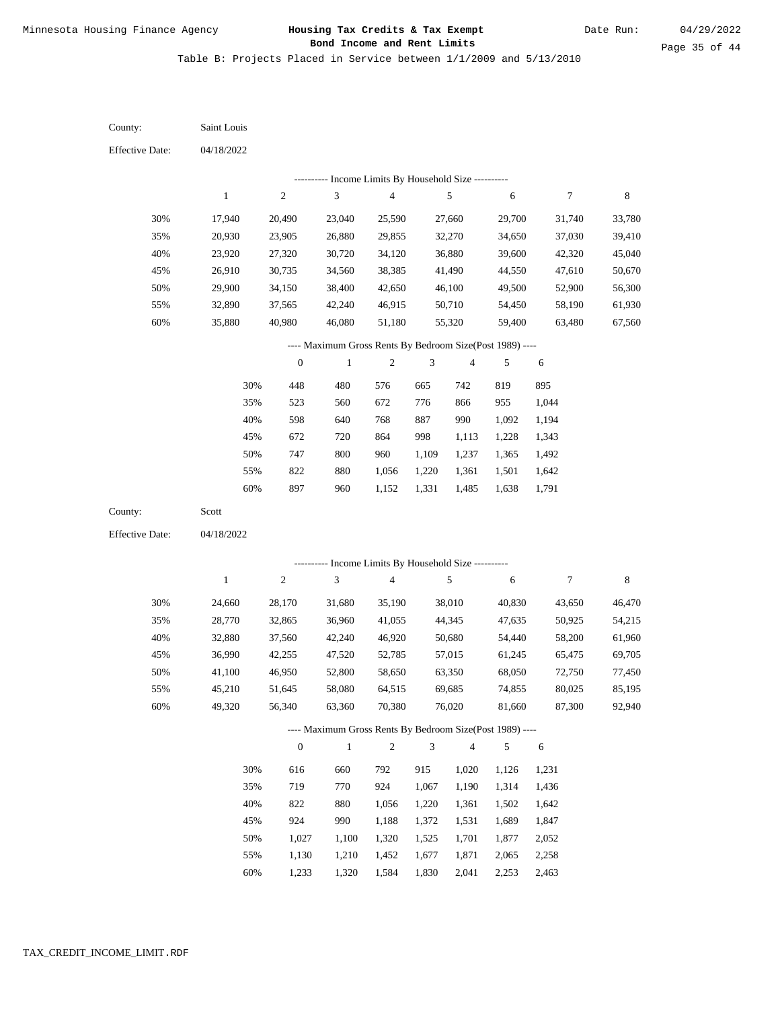Table B: Projects Placed in Service between 1/1/2009 and 5/13/2010

04/18/2022 04/18/2022 Saint Louis Scott 30% 35% 40% 45% 50% 55% 60% 30% 35% 40% 45% 50% 55% 60% 17,940 20,930 23,920 26,910 29,900 32,890 35,880 24,660 28,770 32,880 36,990 41,100 45,210 49,320 20,490 23,905 27,320 30,735 34,150 37,565 40,980 28,170 32,865 37,560 42,255 46,950 51,645 56,340 23,040 26,880 30,720 34,560 38,400 42,240 46,080 31,680 36,960 42,240 47,520 52,800 58,080 63,360 25,590 29,855 34,120 38,385 42,650 46,915 51,180 35,190 41,055 46,920 52,785 58,650 64,515 70,380 27,660 32,270 36,880 41,490 46,100 50,710 55,320 38,010 44,345 50,680 57,015 63,350 69,685 76,020 29,700 34,650 39,600 44,550 49,500 54,450 59,400 40,830 47,635 54,440 61,245 68,050 74,855 81,660 31,740 37,030 42,320 47,610 52,900 58,190 63,480 43,650 50,925 58,200 65,475 72,750 80,025 87,300 33,780 39,410 45,040 50,670 56,300 61,930 67,560 46,470 54,215 61,960 69,705 77,450 85,195 92,940 448 523 598 672 747 822 897 616 719 822 924 1,027 1,130 480 560 640 720 800 880 960 660 770 880 990 1,100 1,210 576 672 768 864 960 1,056 1,152 792 924 1,056 1,188 1,320 1,452 665 776 887 998 1,109 1,220 1,331 915 1,067 1,220 1,372 1,525 1,677 742 866 990 1,113 1,237 1,361 1,485 1,020 1,190 1,361 1,531 1,701 1,871 819 955 1,092 1,228 1,365 1,501 1,638 1,126 1,314 1,502 1,689 1,877 2,065 895 1,044 1,194 1,343 1,492 1,642 1,791 1,231 1,436 1,642 1,847 2,052 2,258 County: County: Effective Date: Effective Date: 1 1 2 2 3 3 4 4 5 5 6 6 7 7 8 8 0 0 1 1 2 2 3 3 4 4 5 5 6 6 ---------- Income Limits By Household Size ---------- ---------- Income Limits By Household Size ---------- ---- Maximum Gross Rents By Bedroom Size(Post 1989) ---- ---- Maximum Gross Rents By Bedroom Size(Post 1989) ---- 30% 35% 40% 45% 50% 55% 60% 30% 35% 40% 45% 50% 55%

1,233

60%

1,320

1,584

1,830

2,041

2,253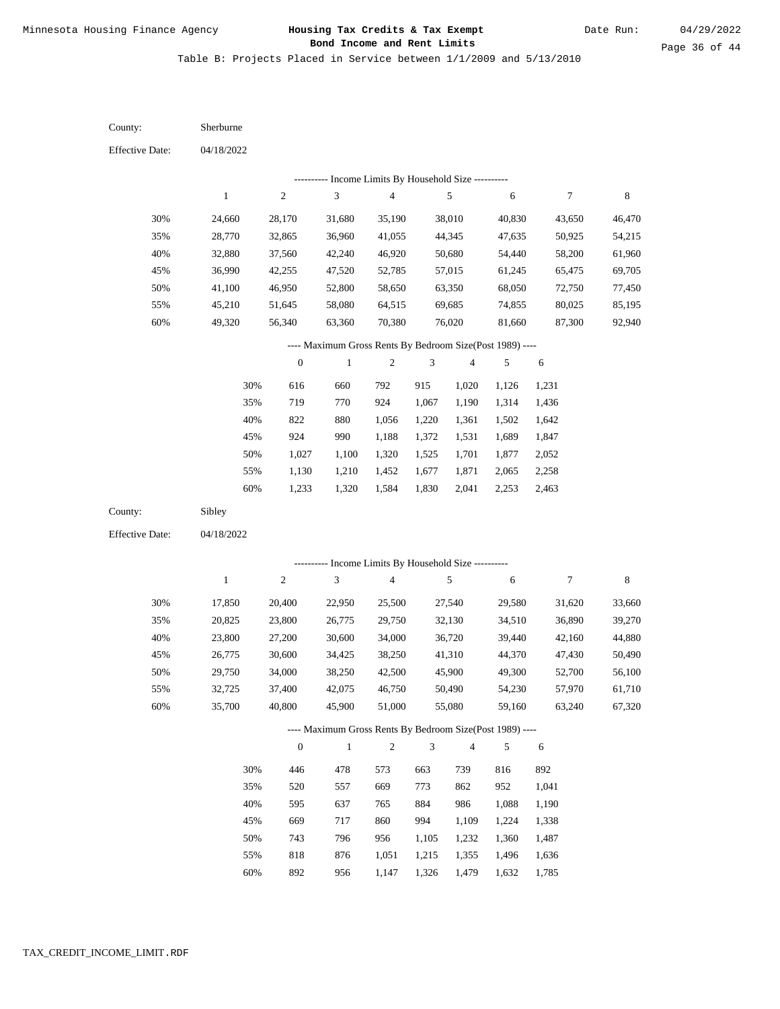Table B: Projects Placed in Service between 1/1/2009 and 5/13/2010

| County:                | Sherburne    |                  |                                                           |                         |                |                          |        |        |        |
|------------------------|--------------|------------------|-----------------------------------------------------------|-------------------------|----------------|--------------------------|--------|--------|--------|
| <b>Effective Date:</b> | 04/18/2022   |                  |                                                           |                         |                |                          |        |        |        |
|                        |              |                  | --------- Income Limits By Household Size ----------      |                         |                |                          |        |        |        |
|                        | $\mathbf{1}$ | $\sqrt{2}$       | $\mathfrak{Z}$                                            | 4                       |                | 5                        | 6      | 7      | 8      |
| 30%                    | 24,660       | 28,170           | 31,680                                                    | 35,190                  |                | 38,010                   | 40,830 | 43,650 | 46,470 |
| 35%                    | 28,770       | 32,865           | 36,960                                                    | 41,055                  |                | 44,345                   | 47,635 | 50,925 | 54,215 |
| 40%                    | 32,880       | 37,560           | 42,240                                                    | 46,920                  |                | 50,680                   | 54,440 | 58,200 | 61,960 |
| 45%                    | 36,990       | 42,255           | 47,520                                                    | 52,785                  |                | 57,015                   | 61,245 | 65,475 | 69,705 |
| 50%                    | 41,100       | 46,950           | 52,800                                                    | 58,650                  |                | 63,350                   | 68,050 | 72,750 | 77,450 |
| 55%                    | 45,210       | 51,645           | 58,080                                                    | 64,515                  |                | 69,685                   | 74,855 | 80,025 | 85,195 |
| 60%                    | 49,320       | 56,340           | 63,360                                                    | 70,380                  |                | 76,020                   | 81,660 | 87,300 | 92,940 |
|                        |              |                  | ---- Maximum Gross Rents By Bedroom Size(Post 1989) ----  |                         |                |                          |        |        |        |
|                        |              | $\boldsymbol{0}$ | $\mathbf{1}$                                              | $\boldsymbol{2}$        | 3              | $\overline{\mathcal{A}}$ | 5      | 6      |        |
|                        | 30%          | 616              | 660                                                       | 792                     | 915            | 1,020                    | 1,126  | 1,231  |        |
|                        | 35%          | 719              | 770                                                       | 924                     | 1,067          | 1,190                    | 1,314  | 1,436  |        |
|                        | 40%          | 822              | 880                                                       | 1,056                   | 1,220          | 1,361                    | 1,502  | 1,642  |        |
|                        | 45%          | 924              | 990                                                       | 1,188                   | 1,372          | 1,531                    | 1,689  | 1,847  |        |
|                        | 50%          | 1,027            | 1,100                                                     | 1,320                   | 1,525          | 1,701                    | 1,877  | 2,052  |        |
|                        | 55%          | 1,130            | 1,210                                                     | 1,452                   | 1,677          | 1,871                    | 2,065  | 2,258  |        |
|                        | 60%          | 1,233            | 1,320                                                     | 1,584                   | 1,830          | 2,041                    | 2,253  | 2,463  |        |
| County:                | Sibley       |                  |                                                           |                         |                |                          |        |        |        |
| <b>Effective Date:</b> | 04/18/2022   |                  |                                                           |                         |                |                          |        |        |        |
|                        |              |                  |                                                           |                         |                |                          |        |        |        |
|                        |              |                  | --------- Income Limits By Household Size ----------<br>3 |                         |                | 5                        |        |        |        |
|                        | $\mathbf{1}$ | $\sqrt{2}$       |                                                           | $\overline{\mathbf{4}}$ |                |                          | 6      | 7      | 8      |
| 30%                    | 17,850       | 20,400           | 22,950                                                    | 25,500                  |                | 27,540                   | 29,580 | 31,620 | 33,660 |
| 35%                    | 20,825       | 23,800           | 26,775                                                    | 29,750                  |                | 32,130                   | 34,510 | 36,890 | 39,270 |
| 40%                    | 23,800       | 27,200           | 30,600                                                    | 34,000                  |                | 36,720                   | 39,440 | 42,160 | 44,880 |
| 45%                    | 26,775       | 30,600           | 34,425                                                    | 38,250                  |                | 41,310                   | 44,370 | 47,430 | 50,490 |
| 50%                    | 29,750       | 34,000           | 38,250                                                    | 42,500                  |                | 45,900                   | 49,300 | 52,700 | 56,100 |
| 55%                    | 32,725       | 37,400           | 42,075                                                    | 46,750                  |                | 50,490                   | 54,230 | 57,970 | 61,710 |
| 60%                    | 35,700       | 40,800           | 45,900                                                    | 51,000                  |                | 55,080                   | 59,160 | 63,240 | 67,320 |
|                        |              |                  | ---- Maximum Gross Rents By Bedroom Size(Post 1989) ----  |                         |                |                          |        |        |        |
|                        |              | $\mathbf{0}$     | $\mathbf{1}$                                              | $\overline{c}$          | $\mathfrak{Z}$ | $\overline{4}$           | 5      | 6      |        |
|                        | 30%          | 446              | 478                                                       | 573                     | 663            | 739                      | 816    | 892    |        |
|                        | 35%          | 520              | 557                                                       | 669                     | 773            | 862                      | 952    | 1,041  |        |
|                        | 40%          | 595              | 637                                                       | 765                     | 884            | 986                      | 1,088  | 1,190  |        |
|                        | 45%          | 669              | 717                                                       | 860                     | 994            | 1,109                    | 1,224  | 1,338  |        |
|                        | 50%          | 743              | 796                                                       | 956                     | 1,105          | 1,232                    | 1,360  | 1,487  |        |
|                        | 55%          | 818              | 876                                                       | 1,051                   | 1,215          | 1,355                    | 1,496  | 1,636  |        |

892 956 1,147 1,326 1,479 1,632 1,785 60%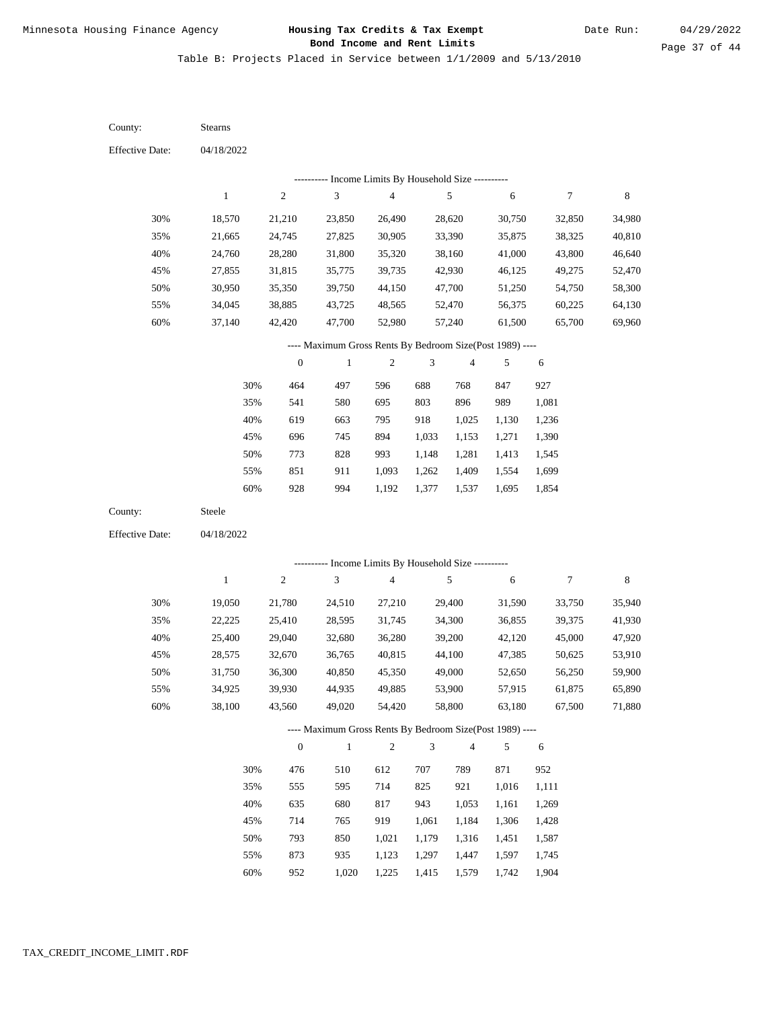Table B: Projects Placed in Service between 1/1/2009 and 5/13/2010

| County:                | Stearns      |                  |                                                          |                                            |            |                |        |                  |             |
|------------------------|--------------|------------------|----------------------------------------------------------|--------------------------------------------|------------|----------------|--------|------------------|-------------|
| <b>Effective Date:</b> | 04/18/2022   |                  |                                                          |                                            |            |                |        |                  |             |
|                        |              |                  |                                                          | Income Limits By Household Size ---------- |            |                |        |                  |             |
|                        | $\mathbf{1}$ | $\sqrt{2}$       | $\mathfrak{Z}$                                           | $\overline{\mathbf{4}}$                    |            | $\sqrt{5}$     | 6      | $\boldsymbol{7}$ | $\,$ 8 $\,$ |
| 30%                    | 18,570       | 21,210           | 23,850                                                   | 26,490                                     |            | 28,620         | 30,750 | 32,850           | 34,980      |
| 35%                    | 21,665       | 24,745           | 27,825                                                   | 30,905                                     |            | 33,390         | 35,875 | 38,325           | 40,810      |
| 40%                    | 24,760       | 28,280           | 31,800                                                   | 35,320                                     |            | 38,160         | 41,000 | 43,800           | 46,640      |
| 45%                    | 27,855       | 31,815           | 35,775                                                   | 39,735                                     |            | 42,930         | 46,125 | 49,275           | 52,470      |
| 50%                    | 30,950       | 35,350           | 39,750                                                   | 44,150                                     |            | 47,700         | 51,250 | 54,750           | 58,300      |
| 55%                    | 34,045       | 38,885           | 43,725                                                   | 48,565                                     |            | 52,470         | 56,375 | 60,225           | 64,130      |
| 60%                    | 37,140       | 42,420           | 47,700                                                   | 52,980                                     |            | 57,240         | 61,500 | 65,700           | 69,960      |
|                        |              |                  | ---- Maximum Gross Rents By Bedroom Size(Post 1989) ---- |                                            |            |                |        |                  |             |
|                        |              | $\boldsymbol{0}$ | $\mathbf{1}$                                             | $\sqrt{2}$                                 | 3          | $\overline{4}$ | 5      | $\sqrt{6}$       |             |
|                        | 30%          | 464              | 497                                                      | 596                                        | 688        | 768            | 847    | 927              |             |
|                        | 35%          | 541              | 580                                                      | 695                                        | 803        | 896            | 989    | 1,081            |             |
|                        | 40%          | 619              | 663                                                      | 795                                        | 918        | 1,025          | 1,130  | 1,236            |             |
|                        | 45%          | 696              | 745                                                      | 894                                        | 1,033      | 1,153          | 1,271  | 1,390            |             |
|                        | 50%          | 773              | 828                                                      | 993                                        | 1,148      | 1,281          | 1,413  | 1,545            |             |
|                        | 55%          | 851              | 911                                                      | 1,093                                      | 1,262      | 1,409          | 1,554  | 1,699            |             |
|                        | 60%          | 928              | 994                                                      | 1,192                                      | 1,377      | 1,537          | 1,695  | 1,854            |             |
| County:                | Steele       |                  |                                                          |                                            |            |                |        |                  |             |
| <b>Effective Date:</b> | 04/18/2022   |                  |                                                          |                                            |            |                |        |                  |             |
|                        |              |                  |                                                          |                                            |            |                |        |                  |             |
|                        |              |                  | --------- Income Limits By Household Size ----------     |                                            |            |                |        |                  |             |
|                        | $\mathbf{1}$ | $\sqrt{2}$       | 3                                                        | $\overline{4}$                             |            | $\sqrt{5}$     | 6      | $\boldsymbol{7}$ | $\,$ 8 $\,$ |
| 30%                    | 19,050       | 21,780           | 24,510                                                   | 27,210                                     |            | 29,400         | 31,590 | 33,750           | 35,940      |
| 35%                    | 22,225       | 25,410           | 28,595                                                   | 31,745                                     |            | 34,300         | 36,855 | 39,375           | 41,930      |
| 40%                    | 25,400       | 29,040           | 32,680                                                   | 36,280                                     |            | 39,200         | 42,120 | 45,000           | 47,920      |
| 45%                    | 28,575       | 32,670           | 36,765                                                   | 40,815                                     |            | 44,100         | 47,385 | 50,625           | 53,910      |
| 50%                    | 31,750       | 36,300           | 40,850                                                   | 45,350                                     |            | 49,000         | 52,650 | 56,250           | 59,900      |
| 55%                    | 34,925       | 39,930           | 44,935                                                   | 49,885                                     |            | 53,900         | 57,915 | 61,875           | 65,890      |
| $60\%$                 | 38,100       | 43,560           | 49,020                                                   | 54,420                                     |            | 58,800         | 63,180 | 67,500           | 71,880      |
|                        |              |                  | ---- Maximum Gross Rents By Bedroom Size(Post 1989) ---- |                                            |            |                |        |                  |             |
|                        |              | $\boldsymbol{0}$ | $\,1\,$                                                  | $\overline{c}$                             | $\sqrt{3}$ | $\overline{4}$ | 5      | 6                |             |
|                        | 30%          | 476              | 510                                                      | 612                                        | 707        | 789            | 871    | 952              |             |
|                        | 35%          | 555              | 595                                                      | 714                                        | 825        | 921            | 1,016  | 1,111            |             |
|                        | 40%          | 635              | 680                                                      | 817                                        | 943        | 1,053          | 1,161  | 1,269            |             |
|                        | 45%          | 714              | 765                                                      | 919                                        | 1,061      | 1,184          | 1,306  | 1,428            |             |
|                        | 50%          | 793              | 850                                                      | 1,021                                      | 1,179      | 1,316          | 1,451  | 1,587            |             |
|                        | 55%          | 873              | 935                                                      | 1,123                                      | 1,297      | 1,447          | 1,597  | 1,745            |             |

952 1,020 1,225 1,415 1,579 1,742 1,904 60%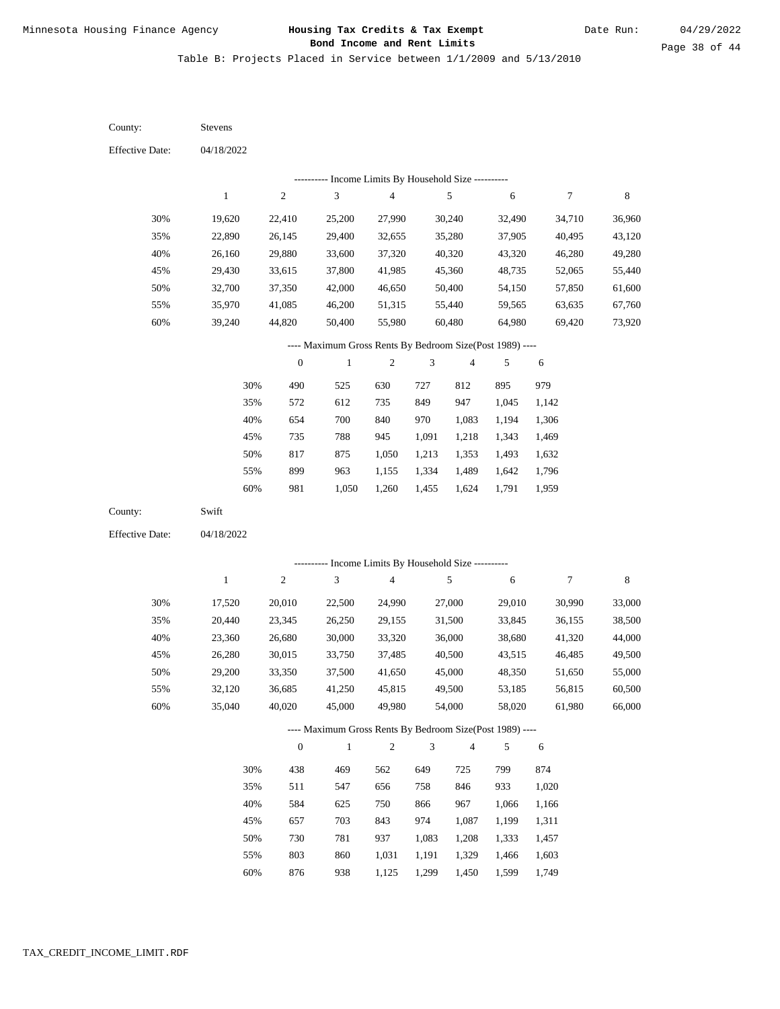Table B: Projects Placed in Service between 1/1/2009 and 5/13/2010

04/18/2022 04/18/2022 Stevens Swift 30% 35% 40% 45% 50% 55% 60% 30% 35% 40% 45% 50% 55% 60% 19,620 22,890 26,160 29,430 32,700 35,970 39,240 17,520 20,440 23,360 26,280 29,200 32,120 35,040 22,410 26,145 29,880 33,615 37,350 41,085 44,820 20,010 23,345 26,680 30,015 33,350 36,685 40,020 25,200 29,400 33,600 37,800 42,000 46,200 50,400 22,500 26,250 30,000 33,750 37,500 41,250 45,000 27,990 32,655 37,320 41,985 46,650 51,315 55,980 24,990 29,155 33,320 37,485 41,650 45,815 49,980 30,240 35,280 40,320 45,360 50,400 55,440 60,480 27,000 31,500 36,000 40,500 45,000 49,500 54,000 32,490 37,905 43,320 48,735 54,150 59,565 64,980 29,010 33,845 38,680 43,515 48,350 53,185 58,020 34,710 40,495 46,280 52,065 57,850 63,635 69,420 30,990 36,155 41,320 46,485 51,650 56,815 61,980 36,960 43,120 49,280 55,440 61,600 67,760 73,920 33,000 38,500 44,000 49,500 55,000 60,500 66,000 490 572 654 735 817 899 981 438 511 584 657 730 803 525 612 700 788 875 963 1,050 469 547 625 703 781 860 630 735 840 945 1,050 1,155 1,260 562 656 750 843 937 1,031 727 849 970 1,091 1,213 1,334 1,455 649 758 866 974 1,083 1,191 812 947 1,083 1,218 1,353 1,489 1,624 725 846 967 1,087 1,208 1,329 895 1,045 1,194 1,343 1,493 1,642 1,791 799 933 1,066 1,199 1,333 1,466 979 1,142 1,306 1,469 1,632 1,796 1,959 874 1,020 1,166 1,311 1,457 1,603 County: County: Effective Date: Effective Date: 1 1 2 2 3 3 4 4 5 5 6 6 7 7 8 8 0 0 1 1 2 2 3 3 4 4 5 5 6 6 ---------- Income Limits By Household Size ---------- ---------- Income Limits By Household Size ---------- ---- Maximum Gross Rents By Bedroom Size(Post 1989) ---- ---- Maximum Gross Rents By Bedroom Size(Post 1989) ---- 30% 35% 40% 45% 50% 55% 60% 30% 35% 40% 45% 50% 55%

876

60%

938

1,125

1,299

1,450

1,599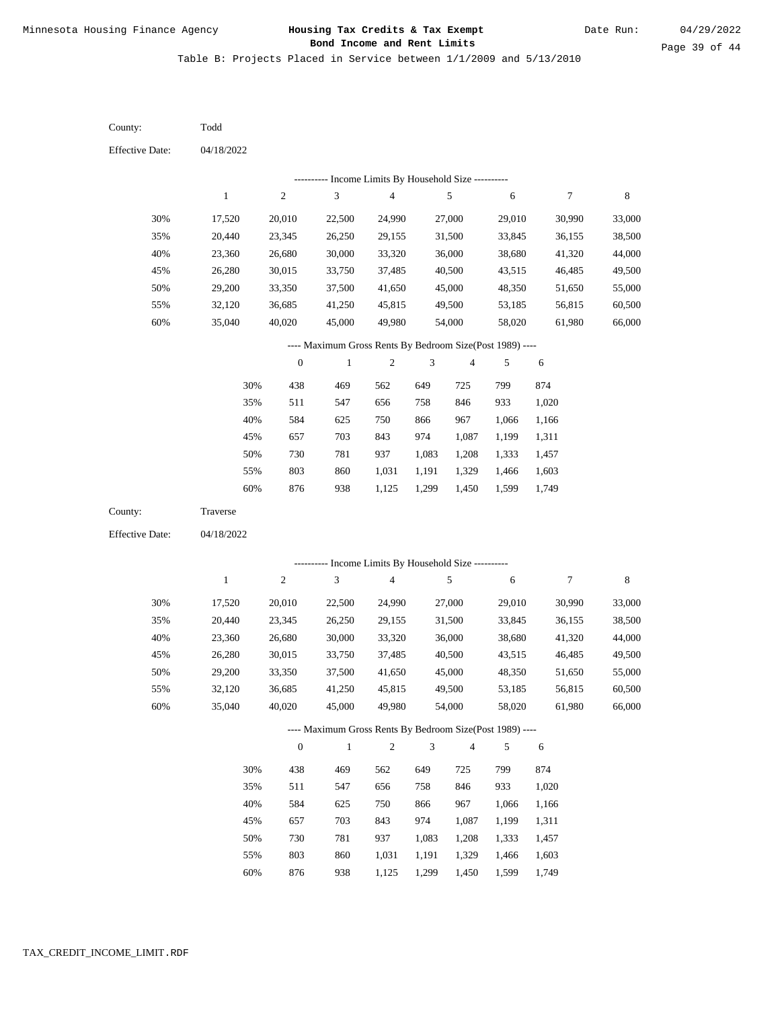Table B: Projects Placed in Service between 1/1/2009 and 5/13/2010

04/18/2022 04/18/2022 Todd Traverse 30% 35% 40% 45% 50% 55% 60% 30% 35% 40% 45% 50% 55% 60% 17,520 20,440 23,360 26,280 29,200 32,120 35,040 17,520 20,440 23,360 26,280 29,200 32,120 35,040 20,010 23,345 26,680 30,015 33,350 36,685 40,020 20,010 23,345 26,680 30,015 33,350 36,685 40,020 22,500 26,250 30,000 33,750 37,500 41,250 45,000 22,500 26,250 30,000 33,750 37,500 41,250 45,000 24,990 29,155 33,320 37,485 41,650 45,815 49,980 24,990 29,155 33,320 37,485 41,650 45,815 49,980 27,000 31,500 36,000 40,500 45,000 49,500 54,000 27,000 31,500 36,000 40,500 45,000 49,500 54,000 29,010 33,845 38,680 43,515 48,350 53,185 58,020 29,010 33,845 38,680 43,515 48,350 53,185 58,020 30,990 36,155 41,320 46,485 51,650 56,815 61,980 30,990 36,155 41,320 46,485 51,650 56,815 61,980 33,000 38,500 44,000 49,500 55,000 60,500 66,000 33,000 38,500 44,000 49,500 55,000 60,500 66,000 438 511 584 657 730 803 876 438 511 584 657 730 803 469 547 625 703 781 860 938 469 547 625 703 781 860 562 656 750 843 937 1,031 1,125 562 656 750 843 937 1,031 649 758 866 974 1,083 1,191 1,299 649 758 866 974 1,083 1,191 725 846 967 1,087 1,208 1,329 1,450 725 846 967 1,087 1,208 1,329 799 933 1,066 1,199 1,333 1,466 1,599 799 933 1,066 1,199 1,333 1,466 874 1,020 1,166 1,311 1,457 1,603 1,749 874 1,020 1,166 1,311 1,457 1,603 County: County: Effective Date: Effective Date: 1 1 2 2 3 3 4 4 5 5 6 6 7 7 8 8 0 0 1 1 2 2 3 3 4 4 5 5 6 6 ---------- Income Limits By Household Size ---------- ---------- Income Limits By Household Size ---------- ---- Maximum Gross Rents By Bedroom Size(Post 1989) ---- ---- Maximum Gross Rents By Bedroom Size(Post 1989) ---- 30% 35% 40% 45% 50% 55% 60% 30% 35% 40% 45% 50% 55%

876

60%

938

1,125

1,299

1,450

1,599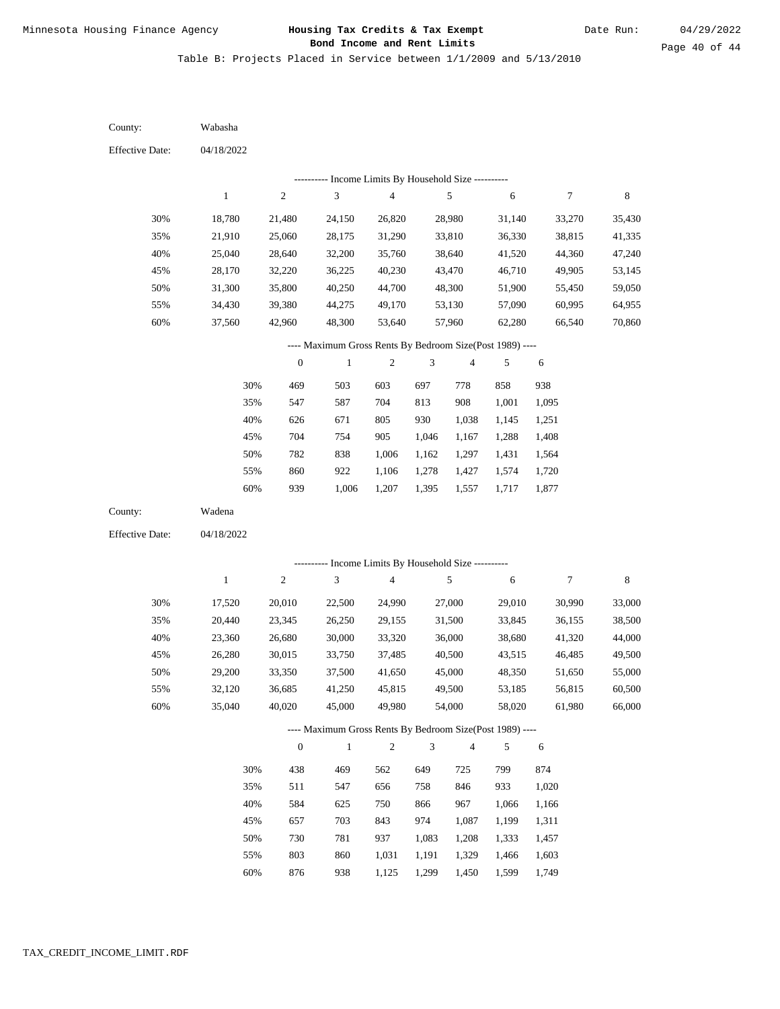Table B: Projects Placed in Service between 1/1/2009 and 5/13/2010

04/18/2022 04/18/2022 Wabasha Wadena 30% 35% 40% 45% 50% 55% 60% 30% 35% 40% 45% 50% 55% 60% 18,780 21,910 25,040 28,170 31,300 34,430 37,560 17,520 20,440 23,360 26,280 29,200 32,120 35,040 21,480 25,060 28,640 32,220 35,800 39,380 42,960 20,010 23,345 26,680 30,015 33,350 36,685 40,020 24,150 28,175 32,200 36,225 40,250 44,275 48,300 22,500 26,250 30,000 33,750 37,500 41,250 45,000 26,820 31,290 35,760 40,230 44,700 49,170 53,640 24,990 29,155 33,320 37,485 41,650 45,815 49,980 28,980 33,810 38,640 43,470 48,300 53,130 57,960 27,000 31,500 36,000 40,500 45,000 49,500 54,000 31,140 36,330 41,520 46,710 51,900 57,090 62,280 29,010 33,845 38,680 43,515 48,350 53,185 58,020 33,270 38,815 44,360 49,905 55,450 60,995 66,540 30,990 36,155 41,320 46,485 51,650 56,815 61,980 35,430 41,335 47,240 53,145 59,050 64,955 70,860 33,000 38,500 44,000 49,500 55,000 60,500 66,000 469 547 626 704 782 860 939 438 511 584 657 730 803 876 503 587 671 754 838 922 1,006 469 547 625 703 781 860 938 603 704 805 905 1,006 1,106 1,207 562 656 750 843 937 1,031 1,125 697 813 930 1,046 1,162 1,278 1,395 649 758 866 974 1,083 1,191 1,299 778 908 1,038 1,167 1,297 1,427 1,557 725 846 967 1,087 1,208 1,329 1,450 858 1,001 1,145 1,288 1,431 1,574 1,717 799 933 1,066 1,199 1,333 1,466 1,599 938 1,095 1,251 1,408 1,564 1,720 1,877 874 1,020 1,166 1,311 1,457 1,603 1,749 County: County: Effective Date: Effective Date: 1 1 2 2 3 3 4 4 5 5 6 6 7 7 8 8 0 0 1 1 2 2 3 3 4 4 5 5 6 6 ---------- Income Limits By Household Size ---------- ---------- Income Limits By Household Size ---------- ---- Maximum Gross Rents By Bedroom Size(Post 1989) ---- ---- Maximum Gross Rents By Bedroom Size(Post 1989) ---- 30% 35% 40% 45% 50% 55% 60% 30% 35% 40% 45% 50% 55% 60%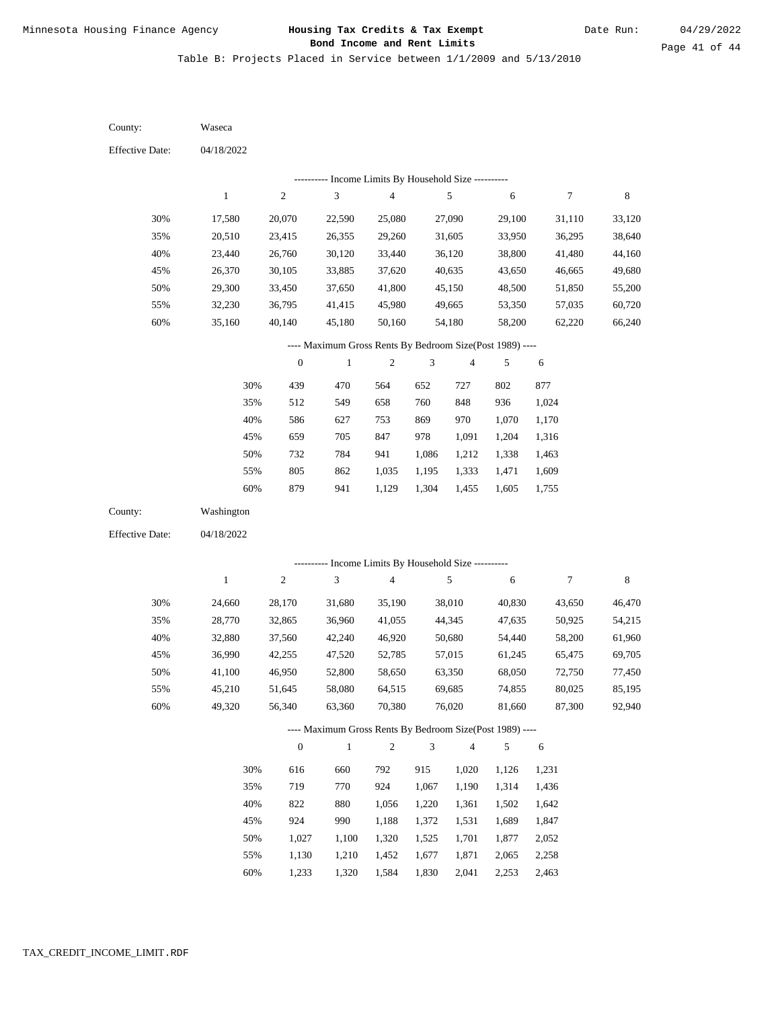Table B: Projects Placed in Service between 1/1/2009 and 5/13/2010

04/18/2022 04/18/2022 Waseca Washington 30% 35% 40% 45% 50% 55% 60% 30% 35% 40% 45% 50% 55% 60% 17,580 20,510 23,440 26,370 29,300 32,230 35,160 24,660 28,770 32,880 36,990 41,100 45,210 49,320 20,070 23,415 26,760 30,105 33,450 36,795 40,140 28,170 32,865 37,560 42,255 46,950 51,645 56,340 22,590 26,355 30,120 33,885 37,650 41,415 45,180 31,680 36,960 42,240 47,520 52,800 58,080 63,360 25,080 29,260 33,440 37,620 41,800 45,980 50,160 35,190 41,055 46,920 52,785 58,650 64,515 70,380 27,090 31,605 36,120 40,635 45,150 49,665 54,180 38,010 44,345 50,680 57,015 63,350 69,685 76,020 29,100 33,950 38,800 43,650 48,500 53,350 58,200 40,830 47,635 54,440 61,245 68,050 74,855 81,660 31,110 36,295 41,480 46,665 51,850 57,035 62,220 43,650 50,925 58,200 65,475 72,750 80,025 87,300 33,120 38,640 44,160 49,680 55,200 60,720 66,240 46,470 54,215 61,960 69,705 77,450 85,195 92,940 439 512 586 659 732 805 879 616 719 822 924 1,027 1,130 1,233 470 549 627 705 784 862 941 660 770 880 990 1,100 1,210 1,320 564 658 753 847 941 1,035 1,129 792 924 1,056 1,188 1,320 1,452 1,584 652 760 869 978 1,086 1,195 1,304 915 1,067 1,220 1,372 1,525 1,677 1,830 727 848 970 1,091 1,212 1,333 1,455 1,020 1,190 1,361 1,531 1,701 1,871 2,041 802 936 1,070 1,204 1,338 1,471 1,605 1,126 1,314 1,502 1,689 1,877 2,065 2,253 877 1,024 1,170 1,316 1,463 1,609 1,755 1,231 1,436 1,642 1,847 2,052 2,258 2,463 County: County: Effective Date: Effective Date: 1 1 2 2 3 3 4 4 5 5 6 6 7 7 8 8 0 0 1 1 2 2 3 3 4 4 5 5 6 6 ---------- Income Limits By Household Size ---------- ---------- Income Limits By Household Size ---------- ---- Maximum Gross Rents By Bedroom Size(Post 1989) ---- ---- Maximum Gross Rents By Bedroom Size(Post 1989) ---- 30% 35% 40% 45% 50% 55% 60% 30% 35% 40% 45% 50% 55% 60%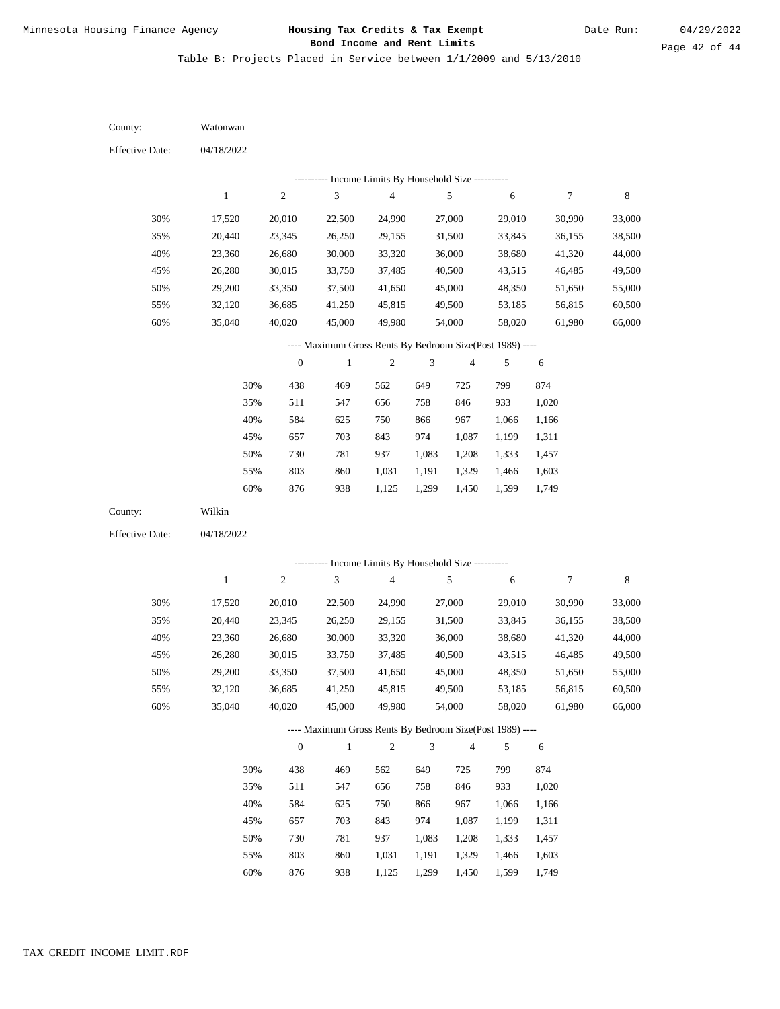Table B: Projects Placed in Service between 1/1/2009 and 5/13/2010

04/18/2022 04/18/2022 Watonwan Wilkin 30% 35% 40% 45% 50% 55% 60% 30% 35% 40% 45% 50% 55% 60% 17,520 20,440 23,360 26,280 29,200 32,120 35,040 17,520 20,440 23,360 26,280 29,200 32,120 35,040 20,010 23,345 26,680 30,015 33,350 36,685 40,020 20,010 23,345 26,680 30,015 33,350 36,685 40,020 22,500 26,250 30,000 33,750 37,500 41,250 45,000 22,500 26,250 30,000 33,750 37,500 41,250 45,000 24,990 29,155 33,320 37,485 41,650 45,815 49,980 24,990 29,155 33,320 37,485 41,650 45,815 49,980 27,000 31,500 36,000 40,500 45,000 49,500 54,000 27,000 31,500 36,000 40,500 45,000 49,500 54,000 29,010 33,845 38,680 43,515 48,350 53,185 58,020 29,010 33,845 38,680 43,515 48,350 53,185 58,020 30,990 36,155 41,320 46,485 51,650 56,815 61,980 30,990 36,155 41,320 46,485 51,650 56,815 61,980 33,000 38,500 44,000 49,500 55,000 60,500 66,000 33,000 38,500 44,000 49,500 55,000 60,500 66,000 438 511 584 657 730 803 876 438 511 584 657 730 803 469 547 625 703 781 860 938 469 547 625 703 781 860 562 656 750 843 937 1,031 1,125 562 656 750 843 937 1,031 649 758 866 974 1,083 1,191 1,299 649 758 866 974 1,083 1,191 725 846 967 1,087 1,208 1,329 1,450 725 846 967 1,087 1,208 1,329 799 933 1,066 1,199 1,333 1,466 1,599 799 933 1,066 1,199 1,333 1,466 874 1,020 1,166 1,311 1,457 1,603 1,749 874 1,020 1,166 1,311 1,457 1,603 County: County: Effective Date: Effective Date: 1 1 2 2 3 3 4 4 5 5 6 6 7 7 8 8 0 0 1 1 2 2 3 3 4 4 5 5 6 6 ---------- Income Limits By Household Size ---------- ---------- Income Limits By Household Size ---------- ---- Maximum Gross Rents By Bedroom Size(Post 1989) ---- ---- Maximum Gross Rents By Bedroom Size(Post 1989) ---- 30% 35% 40% 45% 50% 55% 60% 30% 35% 40% 45% 50% 55%

876

60%

938

1,125

1,299

1,450

1,599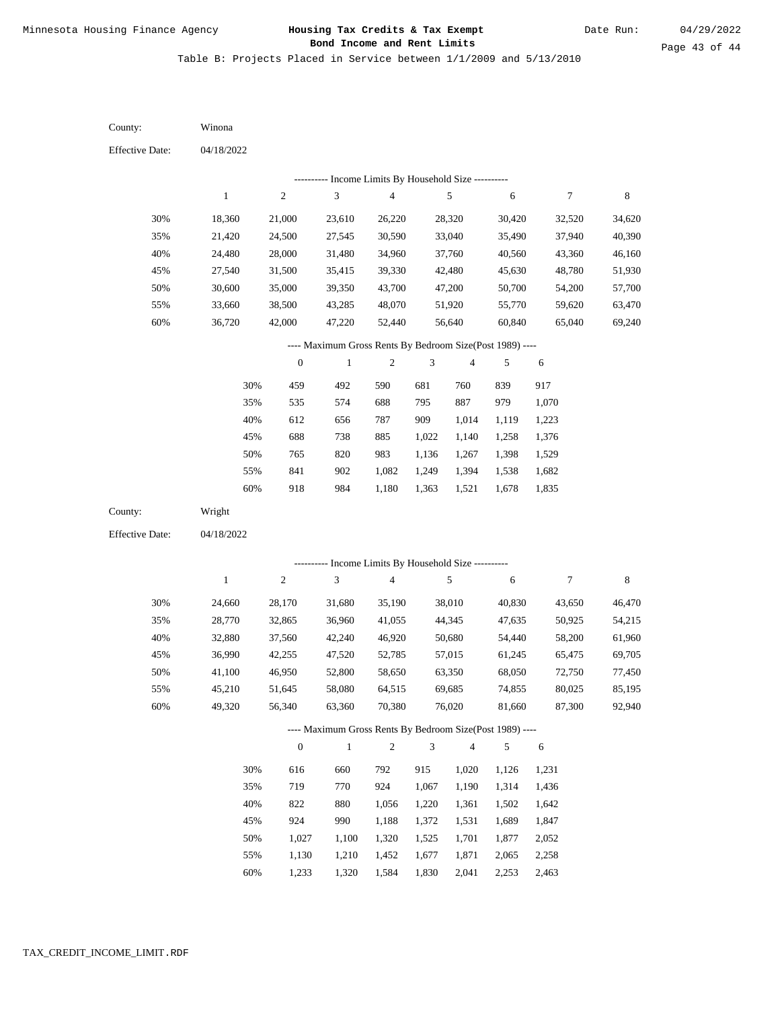Table B: Projects Placed in Service between 1/1/2009 and 5/13/2010

04/18/2022 04/18/2022 Winona Wright 30% 35% 40% 45% 50% 55% 60% 30% 35% 40% 45% 50% 55% 60% 18,360 21,420 24,480 27,540 30,600 33,660 36,720 24,660 28,770 32,880 36,990 41,100 45,210 49,320 21,000 24,500 28,000 31,500 35,000 38,500 42,000 28,170 32,865 37,560 42,255 46,950 51,645 56,340 23,610 27,545 31,480 35,415 39,350 43,285 47,220 31,680 36,960 42,240 47,520 52,800 58,080 63,360 26,220 30,590 34,960 39,330 43,700 48,070 52,440 35,190 41,055 46,920 52,785 58,650 64,515 70,380 28,320 33,040 37,760 42,480 47,200 51,920 56,640 38,010 44,345 50,680 57,015 63,350 69,685 76,020 30,420 35,490 40,560 45,630 50,700 55,770 60,840 40,830 47,635 54,440 61,245 68,050 74,855 81,660 32,520 37,940 43,360 48,780 54,200 59,620 65,040 43,650 50,925 58,200 65,475 72,750 80,025 87,300 34,620 40,390 46,160 51,930 57,700 63,470 69,240 46,470 54,215 61,960 69,705 77,450 85,195 92,940 459 535 612 688 765 841 918 616 719 822 924 1,027 1,130 492 574 656 738 820 902 984 660 770 880 990 1,100 1,210 590 688 787 885 983 1,082 1,180 792 924 1,056 1,188 1,320 1,452 681 795 909 1,022 1,136 1,249 1,363 915 1,067 1,220 1,372 1,525 1,677 760 887 1,014 1,140 1,267 1,394 1,521 1,020 1,190 1,361 1,531 1,701 1,871 839 979 1,119 1,258 1,398 1,538 1,678 1,126 1,314 1,502 1,689 1,877 2,065 917 1,070 1,223 1,376 1,529 1,682 1,835 1,231 1,436 1,642 1,847 2,052 2,258 County: County: Effective Date: Effective Date: 1 1 2 2 3 3 4 4 5 5 6 6 7 7 8 8 0 0 1 1 2 2 3 3 4 4 5 5 6 6 ---------- Income Limits By Household Size ---------- ---------- Income Limits By Household Size ---------- ---- Maximum Gross Rents By Bedroom Size(Post 1989) ---- ---- Maximum Gross Rents By Bedroom Size(Post 1989) ---- 30% 35% 40% 45% 50% 55% 60% 30% 35% 40% 45% 50% 55%

1,233

60%

1,320

1,584

1,830

2,041

2,253